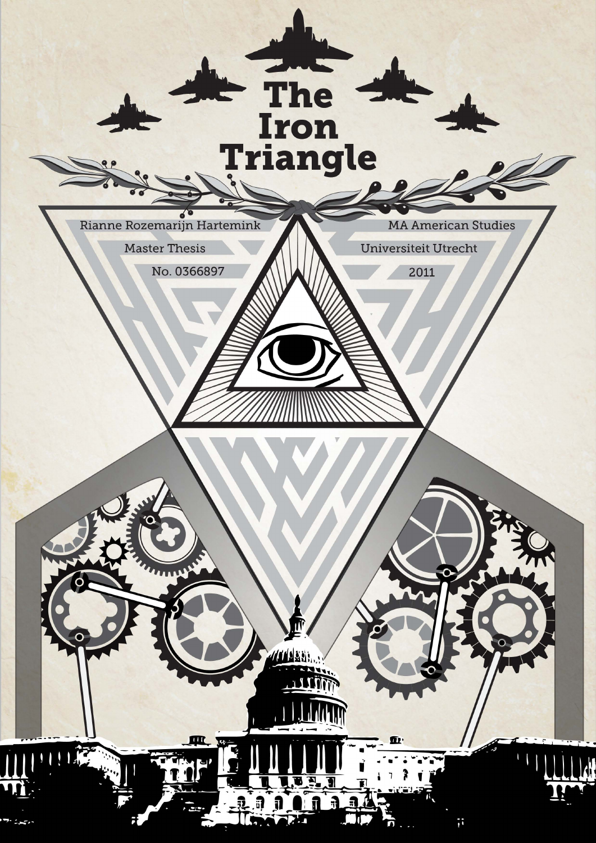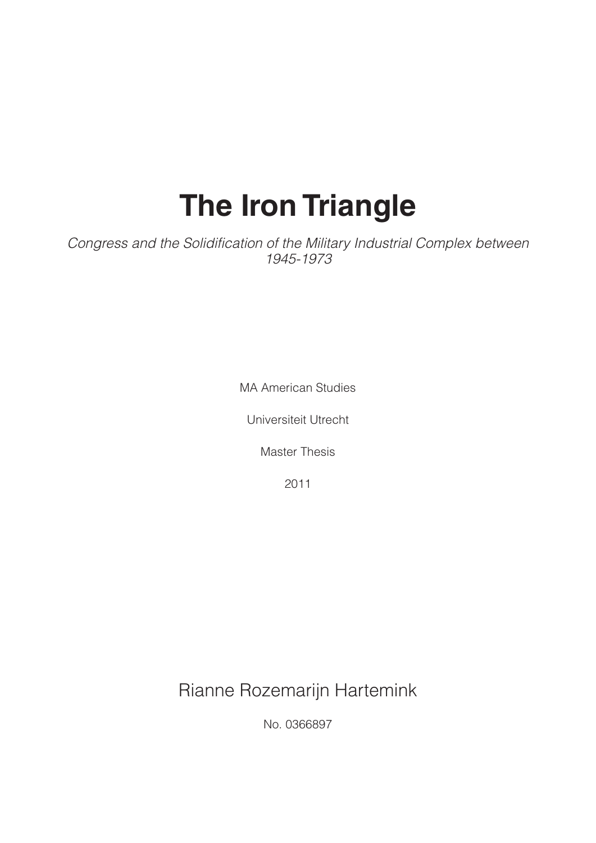## **The Iron Triangle**

*Congress and the Solidification of the Military Industrial Complex between 1945-1973*

MA American Studies

Universiteit Utrecht

Master Thesis

2011

Rianne Rozemarijn Hartemink

No. 0366897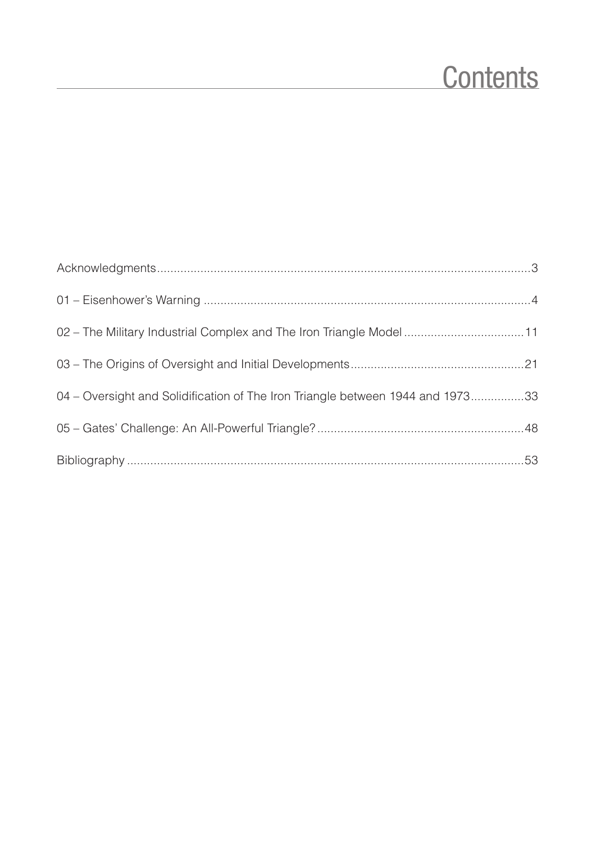### **Contents**

| 02 – The Military Industrial Complex and The Iron Triangle Model11             |  |
|--------------------------------------------------------------------------------|--|
|                                                                                |  |
| 04 – Oversight and Solidification of The Iron Triangle between 1944 and 197333 |  |
|                                                                                |  |
|                                                                                |  |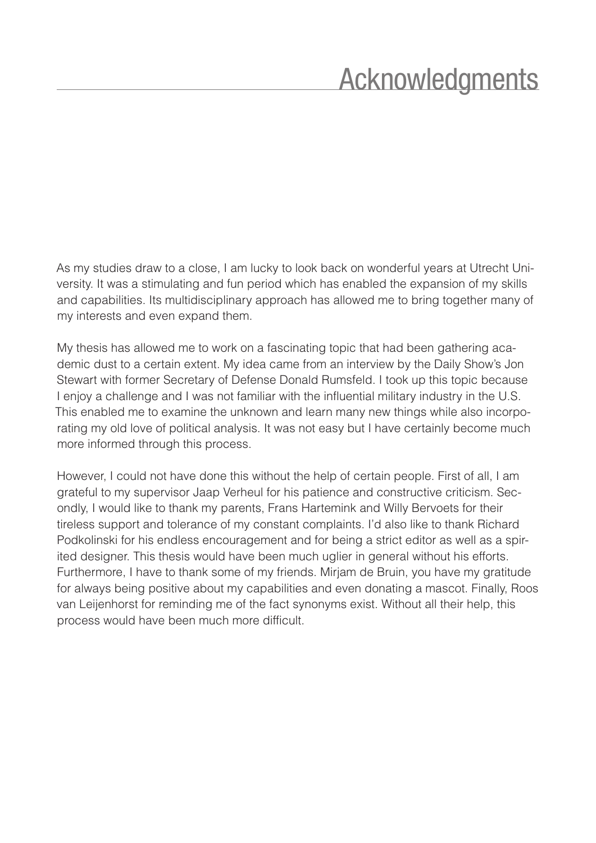### Acknowledgments

<span id="page-3-0"></span>As my studies draw to a close, I am lucky to look back on wonderful years at Utrecht University. It was a stimulating and fun period which has enabled the expansion of my skills and capabilities. Its multidisciplinary approach has allowed me to bring together many of my interests and even expand them.

My thesis has allowed me to work on a fascinating topic that had been gathering academic dust to a certain extent. My idea came from an interview by the Daily Show's Jon Stewart with former Secretary of Defense Donald Rumsfeld. I took up this topic because I enjoy a challenge and I was not familiar with the influential military industry in the U.S. This enabled me to examine the unknown and learn many new things while also incorporating my old love of political analysis. It was not easy but I have certainly become much more informed through this process.

However, I could not have done this without the help of certain people. First of all, I am grateful to my supervisor Jaap Verheul for his patience and constructive criticism. Secondly, I would like to thank my parents, Frans Hartemink and Willy Bervoets for their tireless support and tolerance of my constant complaints. I'd also like to thank Richard Podkolinski for his endless encouragement and for being a strict editor as well as a spirited designer. This thesis would have been much uglier in general without his efforts. Furthermore, I have to thank some of my friends. Mirjam de Bruin, you have my gratitude for always being positive about my capabilities and even donating a mascot. Finally, Roos van Leijenhorst for reminding me of the fact synonyms exist. Without all their help, this process would have been much more difficult.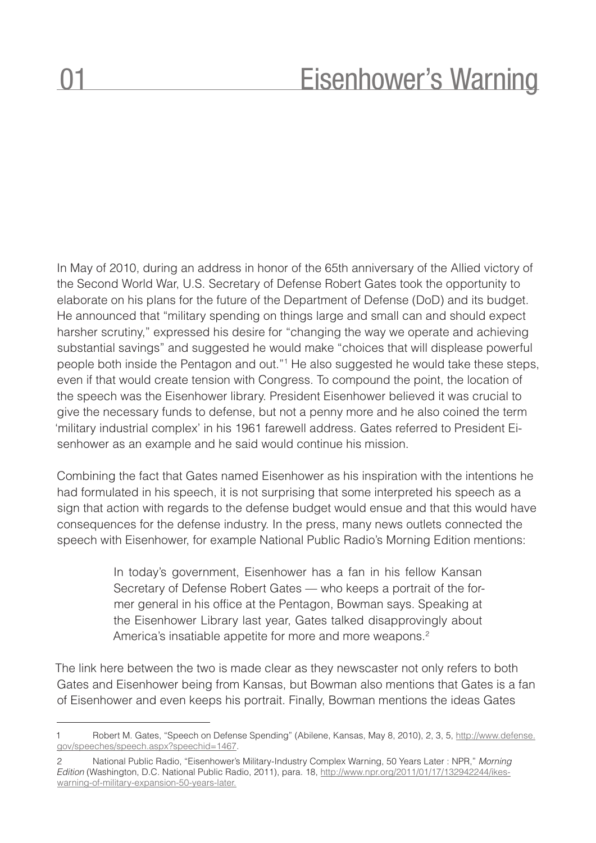### Eisenhower's Warning

<span id="page-4-0"></span>In May of 2010, during an address in honor of the 65th anniversary of the Allied victory of the Second World War, U.S. Secretary of Defense Robert Gates took the opportunity to elaborate on his plans for the future of the Department of Defense (DoD) and its budget. He announced that "military spending on things large and small can and should expect harsher scrutiny," expressed his desire for "changing the way we operate and achieving substantial savings" and suggested he would make "choices that will displease powerful people both inside the Pentagon and out."1 He also suggested he would take these steps, even if that would create tension with Congress. To compound the point, the location of the speech was the Eisenhower library. President Eisenhower believed it was crucial to give the necessary funds to defense, but not a penny more and he also coined the term 'military industrial complex' in his 1961 farewell address. Gates referred to President Eisenhower as an example and he said would continue his mission.

Combining the fact that Gates named Eisenhower as his inspiration with the intentions he had formulated in his speech, it is not surprising that some interpreted his speech as a sign that action with regards to the defense budget would ensue and that this would have consequences for the defense industry. In the press, many news outlets connected the speech with Eisenhower, for example National Public Radio's Morning Edition mentions:

> In today's government, Eisenhower has a fan in his fellow Kansan Secretary of Defense Robert Gates — who keeps a portrait of the former general in his office at the Pentagon, Bowman says. Speaking at the Eisenhower Library last year, Gates talked disapprovingly about America's insatiable appetite for more and more weapons.<sup>2</sup>

The link here between the two is made clear as they newscaster not only refers to both Gates and Eisenhower being from Kansas, but Bowman also mentions that Gates is a fan of Eisenhower and even keeps his portrait. Finally, Bowman mentions the ideas Gates

<sup>1</sup> Robert M. Gates, "Speech on Defense Spending" (Abilene, Kansas, May 8, 2010), 2, 3, 5, http://www.defense. gov/speeches/speech.aspx?speechid=1467.

<sup>2</sup> National Public Radio, "Eisenhower's Military-Industry Complex Warning, 50 Years Later : NPR," *Morning Edition* (Washington, D.C. National Public Radio, 2011), para. 18, http://www.npr.org/2011/01/17/132942244/ikeswarning-of-military-expansion-50-years-later.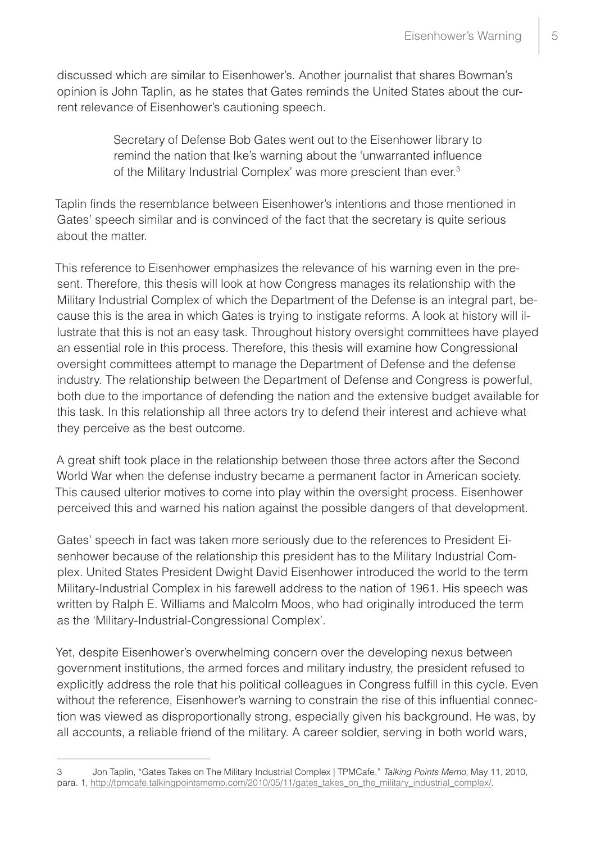discussed which are similar to Eisenhower's. Another journalist that shares Bowman's opinion is John Taplin, as he states that Gates reminds the United States about the current relevance of Eisenhower's cautioning speech.

> Secretary of Defense Bob Gates went out to the Eisenhower library to remind the nation that Ike's warning about the 'unwarranted influence of the Military Industrial Complex' was more prescient than ever.3

Taplin finds the resemblance between Eisenhower's intentions and those mentioned in Gates' speech similar and is convinced of the fact that the secretary is quite serious about the matter.

This reference to Eisenhower emphasizes the relevance of his warning even in the present. Therefore, this thesis will look at how Congress manages its relationship with the Military Industrial Complex of which the Department of the Defense is an integral part, because this is the area in which Gates is trying to instigate reforms. A look at history will illustrate that this is not an easy task. Throughout history oversight committees have played an essential role in this process. Therefore, this thesis will examine how Congressional oversight committees attempt to manage the Department of Defense and the defense industry. The relationship between the Department of Defense and Congress is powerful, both due to the importance of defending the nation and the extensive budget available for this task. In this relationship all three actors try to defend their interest and achieve what they perceive as the best outcome.

A great shift took place in the relationship between those three actors after the Second World War when the defense industry became a permanent factor in American society. This caused ulterior motives to come into play within the oversight process. Eisenhower perceived this and warned his nation against the possible dangers of that development.

Gates' speech in fact was taken more seriously due to the references to President Eisenhower because of the relationship this president has to the Military Industrial Complex. United States President Dwight David Eisenhower introduced the world to the term Military-Industrial Complex in his farewell address to the nation of 1961. His speech was written by Ralph E. Williams and Malcolm Moos, who had originally introduced the term as the 'Military-Industrial-Congressional Complex'.

Yet, despite Eisenhower's overwhelming concern over the developing nexus between government institutions, the armed forces and military industry, the president refused to explicitly address the role that his political colleagues in Congress fulfill in this cycle. Even without the reference, Eisenhower's warning to constrain the rise of this influential connection was viewed as disproportionally strong, especially given his background. He was, by all accounts, a reliable friend of the military. A career soldier, serving in both world wars,

<sup>3</sup> Jon Taplin, "Gates Takes on The Military Industrial Complex | TPMCafe," *Talking Points Memo*, May 11, 2010, para. 1, http://tpmcafe.talkingpointsmemo.com/2010/05/11/gates\_takes\_on\_the\_military\_industrial\_complex/.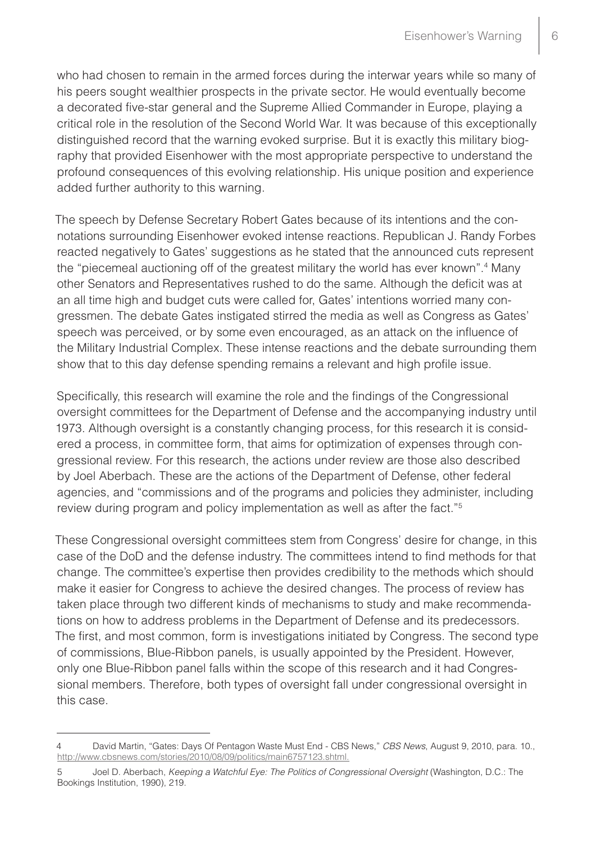who had chosen to remain in the armed forces during the interwar years while so many of his peers sought wealthier prospects in the private sector. He would eventually become a decorated five-star general and the Supreme Allied Commander in Europe, playing a critical role in the resolution of the Second World War. It was because of this exceptionally distinguished record that the warning evoked surprise. But it is exactly this military biography that provided Eisenhower with the most appropriate perspective to understand the profound consequences of this evolving relationship. His unique position and experience added further authority to this warning.

The speech by Defense Secretary Robert Gates because of its intentions and the connotations surrounding Eisenhower evoked intense reactions. Republican J. Randy Forbes reacted negatively to Gates' suggestions as he stated that the announced cuts represent the "piecemeal auctioning off of the greatest military the world has ever known".<sup>4</sup> Many other Senators and Representatives rushed to do the same. Although the deficit was at an all time high and budget cuts were called for, Gates' intentions worried many congressmen. The debate Gates instigated stirred the media as well as Congress as Gates' speech was perceived, or by some even encouraged, as an attack on the influence of the Military Industrial Complex. These intense reactions and the debate surrounding them show that to this day defense spending remains a relevant and high profile issue.

Specifically, this research will examine the role and the findings of the Congressional oversight committees for the Department of Defense and the accompanying industry until 1973. Although oversight is a constantly changing process, for this research it is considered a process, in committee form, that aims for optimization of expenses through congressional review. For this research, the actions under review are those also described by Joel Aberbach. These are the actions of the Department of Defense, other federal agencies, and "commissions and of the programs and policies they administer, including review during program and policy implementation as well as after the fact."5

These Congressional oversight committees stem from Congress' desire for change, in this case of the DoD and the defense industry. The committees intend to find methods for that change. The committee's expertise then provides credibility to the methods which should make it easier for Congress to achieve the desired changes. The process of review has taken place through two different kinds of mechanisms to study and make recommendations on how to address problems in the Department of Defense and its predecessors. The first, and most common, form is investigations initiated by Congress. The second type of commissions, Blue-Ribbon panels, is usually appointed by the President. However, only one Blue-Ribbon panel falls within the scope of this research and it had Congressional members. Therefore, both types of oversight fall under congressional oversight in this case.

<sup>4</sup> David Martin, "Gates: Days Of Pentagon Waste Must End - CBS News," *CBS News*, August 9, 2010, para. 10., http://www.cbsnews.com/stories/2010/08/09/politics/main6757123.shtml.

<sup>5</sup> Joel D. Aberbach, *Keeping a Watchful Eye: The Politics of Congressional Oversight* (Washington, D.C.: The Bookings Institution, 1990), 219.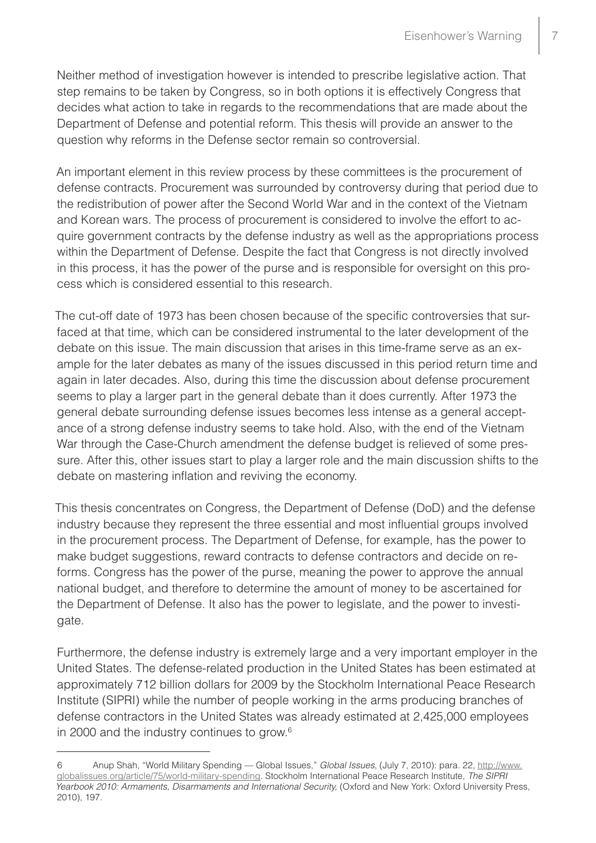Neither method of investigation however is intended to prescribe legislative action. That step remains to be taken by Congress, so in both options it is effectively Congress that decides what action to take in regards to the recommendations that are made about the Department of Defense and potential reform. This thesis will provide an answer to the question why reforms in the Defense sector remain so controversial.

An important element in this review process by these committees is the procurement of defense contracts. Procurement was surrounded by controversy during that period due to the redistribution of power after the Second World War and in the context of the Vietnam and Korean wars. The process of procurement is considered to involve the effort to acquire government contracts by the defense industry as well as the appropriations process within the Department of Defense. Despite the fact that Congress is not directly involved in this process, it has the power of the purse and is responsible for oversight on this process which is considered essential to this research.

The cut-off date of 1973 has been chosen because of the specific controversies that surfaced at that time, which can be considered instrumental to the later development of the debate on this issue. The main discussion that arises in this time-frame serve as an example for the later debates as many of the issues discussed in this period return time and again in later decades. Also, during this time the discussion about defense procurement seems to play a larger part in the general debate than it does currently. After 1973 the general debate surrounding defense issues becomes less intense as a general acceptance of a strong defense industry seems to take hold. Also, with the end of the Vietnam War through the Case-Church amendment the defense budget is relieved of some pressure. After this, other issues start to play a larger role and the main discussion shifts to the debate on mastering inflation and reviving the economy.

This thesis concentrates on Congress, the Department of Defense (DoD) and the defense industry because they represent the three essential and most influential groups involved in the procurement process. The Department of Defense, for example, has the power to make budget suggestions, reward contracts to defense contractors and decide on reforms. Congress has the power of the purse, meaning the power to approve the annual national budget, and therefore to determine the amount of money to be ascertained for the Department of Defense. It also has the power to legislate, and the power to investigate.

Furthermore, the defense industry is extremely large and a very important employer in the United States. The defense-related production in the United States has been estimated at approximately 712 billion dollars for 2009 by the Stockholm International Peace Research Institute (SIPRI) while the number of people working in the arms producing branches of defense contractors in the United States was already estimated at 2,425,000 employees in 2000 and the industry continues to grow.6

<sup>6</sup> Anup Shah, "World Military Spending — Global Issues," *Global Issues*, (July 7, 2010): para. 22, [http://www.](http://www.globalissues.org/article/75/world-military-spending) [globalissues.org/article/75/world-military-spending](http://www.globalissues.org/article/75/world-military-spending). Stockholm International Peace Research Institute, *The SIPRI Yearbook 2010: Armaments, Disarmaments and International Security,* (Oxford and New York: Oxford University Press, 2010), 197.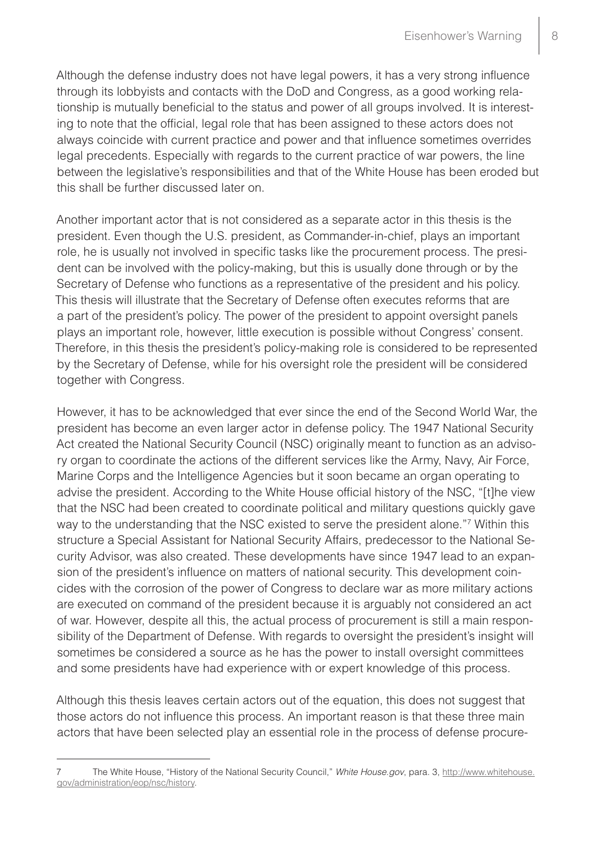Although the defense industry does not have legal powers, it has a very strong influence through its lobbyists and contacts with the DoD and Congress, as a good working relationship is mutually beneficial to the status and power of all groups involved. It is interesting to note that the official, legal role that has been assigned to these actors does not always coincide with current practice and power and that influence sometimes overrides legal precedents. Especially with regards to the current practice of war powers, the line between the legislative's responsibilities and that of the White House has been eroded but this shall be further discussed later on.

Another important actor that is not considered as a separate actor in this thesis is the president. Even though the U.S. president, as Commander-in-chief, plays an important role, he is usually not involved in specific tasks like the procurement process. The president can be involved with the policy-making, but this is usually done through or by the Secretary of Defense who functions as a representative of the president and his policy. This thesis will illustrate that the Secretary of Defense often executes reforms that are a part of the president's policy. The power of the president to appoint oversight panels plays an important role, however, little execution is possible without Congress' consent. Therefore, in this thesis the president's policy-making role is considered to be represented by the Secretary of Defense, while for his oversight role the president will be considered together with Congress.

However, it has to be acknowledged that ever since the end of the Second World War, the president has become an even larger actor in defense policy. The 1947 National Security Act created the National Security Council (NSC) originally meant to function as an advisory organ to coordinate the actions of the different services like the Army, Navy, Air Force, Marine Corps and the Intelligence Agencies but it soon became an organ operating to advise the president. According to the White House official history of the NSC, "[t]he view that the NSC had been created to coordinate political and military questions quickly gave way to the understanding that the NSC existed to serve the president alone."7 Within this structure a Special Assistant for National Security Affairs, predecessor to the National Security Advisor, was also created. These developments have since 1947 lead to an expansion of the president's influence on matters of national security. This development coincides with the corrosion of the power of Congress to declare war as more military actions are executed on command of the president because it is arguably not considered an act of war. However, despite all this, the actual process of procurement is still a main responsibility of the Department of Defense. With regards to oversight the president's insight will sometimes be considered a source as he has the power to install oversight committees and some presidents have had experience with or expert knowledge of this process.

Although this thesis leaves certain actors out of the equation, this does not suggest that those actors do not influence this process. An important reason is that these three main actors that have been selected play an essential role in the process of defense procure-

<sup>7</sup> The White House, "History of the National Security Council," *White House.gov*, para. 3, http://www.whitehouse. gov/administration/eop/nsc/history.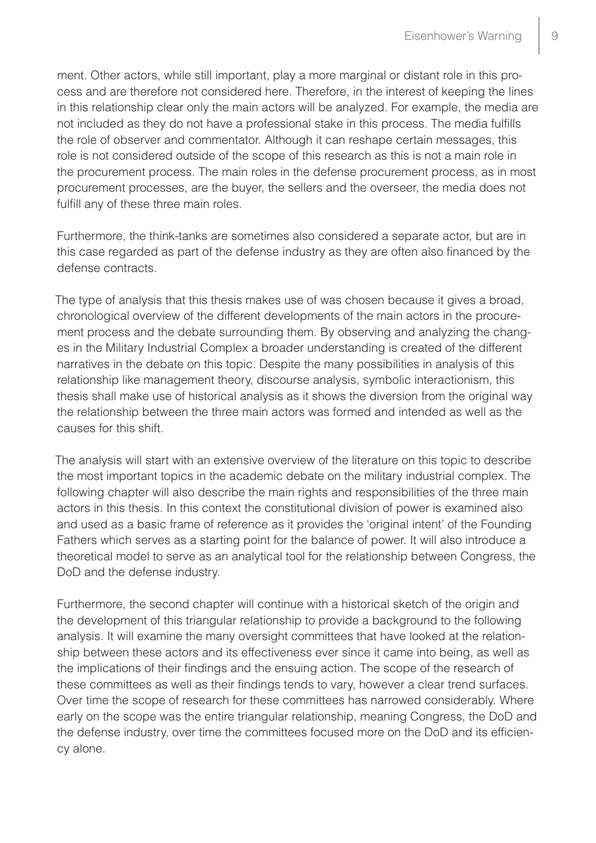ment. Other actors, while still important, play a more marginal or distant role in this process and are therefore not considered here. Therefore, in the interest of keeping the lines in this relationship clear only the main actors will be analyzed. For example, the media are not included as they do not have a professional stake in this process. The media fulfills the role of observer and commentator. Although it can reshape certain messages, this role is not considered outside of the scope of this research as this is not a main role in the procurement process. The main roles in the defense procurement process, as in most procurement processes, are the buyer, the sellers and the overseer, the media does not fulfill any of these three main roles.

Furthermore, the think-tanks are sometimes also considered a separate actor, but are in this case regarded as part of the defense industry as they are often also financed by the defense contracts.

The type of analysis that this thesis makes use of was chosen because it gives a broad, chronological overview of the different developments of the main actors in the procurement process and the debate surrounding them. By observing and analyzing the changes in the Military Industrial Complex a broader understanding is created of the different narratives in the debate on this topic. Despite the many possibilities in analysis of this relationship like management theory, discourse analysis, symbolic interactionism, this thesis shall make use of historical analysis as it shows the diversion from the original way the relationship between the three main actors was formed and intended as well as the causes for this shift.

The analysis will start with an extensive overview of the literature on this topic to describe the most important topics in the academic debate on the military industrial complex. The following chapter will also describe the main rights and responsibilities of the three main actors in this thesis. In this context the constitutional division of power is examined also and used as a basic frame of reference as it provides the 'original intent' of the Founding Fathers which serves as a starting point for the balance of power. It will also introduce a theoretical model to serve as an analytical tool for the relationship between Congress, the DoD and the defense industry.

Furthermore, the second chapter will continue with a historical sketch of the origin and the development of this triangular relationship to provide a background to the following analysis. It will examine the many oversight committees that have looked at the relationship between these actors and its effectiveness ever since it came into being, as well as the implications of their findings and the ensuing action. The scope of the research of these committees as well as their findings tends to vary, however a clear trend surfaces. Over time the scope of research for these committees has narrowed considerably. Where early on the scope was the entire triangular relationship, meaning Congress, the DoD and the defense industry, over time the committees focused more on the DoD and its efficiency alone.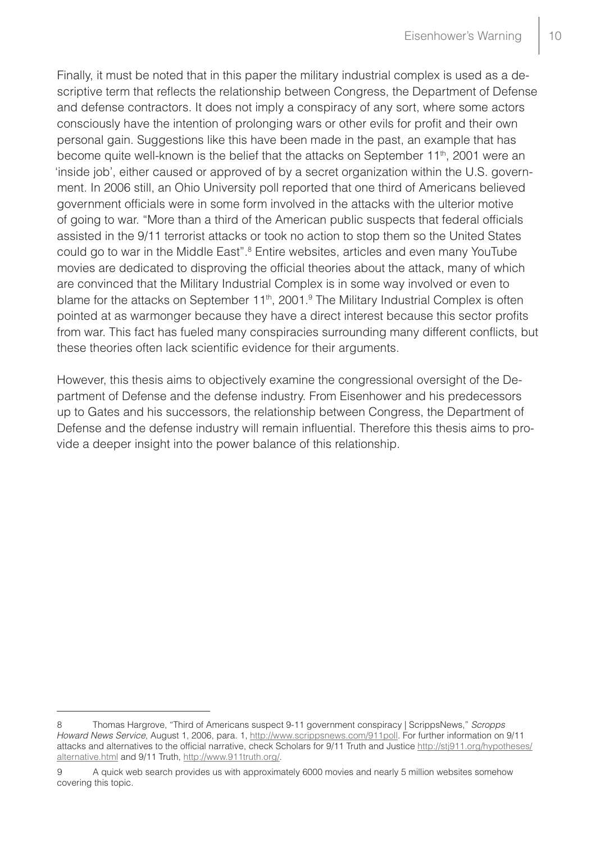Finally, it must be noted that in this paper the military industrial complex is used as a descriptive term that reflects the relationship between Congress, the Department of Defense and defense contractors. It does not imply a conspiracy of any sort, where some actors consciously have the intention of prolonging wars or other evils for profit and their own personal gain. Suggestions like this have been made in the past, an example that has become quite well-known is the belief that the attacks on September 11<sup>th</sup>, 2001 were an 'inside job', either caused or approved of by a secret organization within the U.S. government. In 2006 still, an Ohio University poll reported that one third of Americans believed government officials were in some form involved in the attacks with the ulterior motive of going to war. "More than a third of the American public suspects that federal officials assisted in the 9/11 terrorist attacks or took no action to stop them so the United States could go to war in the Middle East".<sup>8</sup> Entire websites, articles and even many YouTube movies are dedicated to disproving the official theories about the attack, many of which are convinced that the Military Industrial Complex is in some way involved or even to blame for the attacks on September 11<sup>th</sup>, 2001.<sup>9</sup> The Military Industrial Complex is often pointed at as warmonger because they have a direct interest because this sector profits from war. This fact has fueled many conspiracies surrounding many different conflicts, but these theories often lack scientific evidence for their arguments.

However, this thesis aims to objectively examine the congressional oversight of the Department of Defense and the defense industry. From Eisenhower and his predecessors up to Gates and his successors, the relationship between Congress, the Department of Defense and the defense industry will remain influential. Therefore this thesis aims to provide a deeper insight into the power balance of this relationship.

<sup>8</sup> Thomas Hargrove, "Third of Americans suspect 9-11 government conspiracy | ScrippsNews," *Scropps Howard News Service*, August 1, 2006, para. 1, <http://www.scrippsnews.com/911poll>. For further information on 9/11 attacks and alternatives to the official narrative, check Scholars for 9/11 Truth and Justice http://stj911.org/hypotheses/ alternative.html and 9/11 Truth, http://www.911truth.org/.

<sup>9</sup> A quick web search provides us with approximately 6000 movies and nearly 5 million websites somehow covering this topic.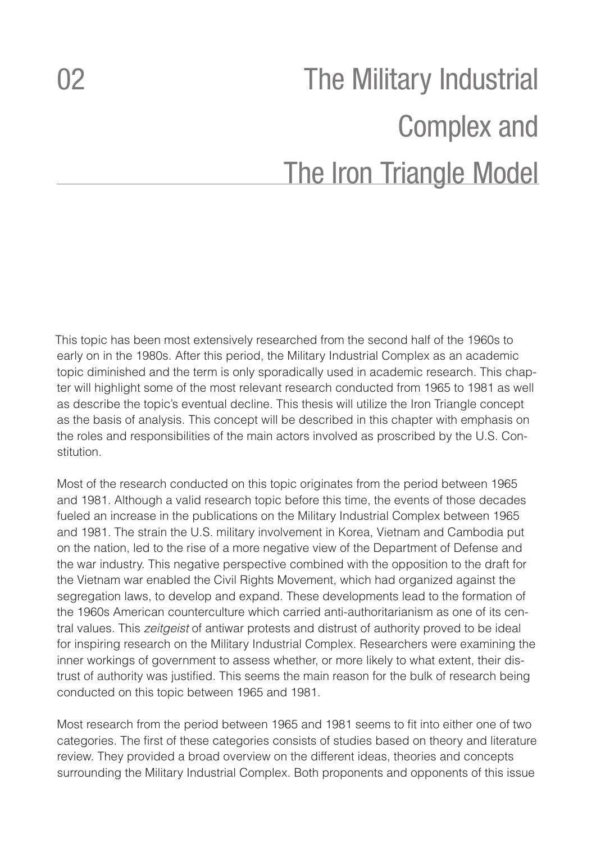# <span id="page-11-0"></span>02 The Military Industrial Complex and The Iron Triangle Model

This topic has been most extensively researched from the second half of the 1960s to early on in the 1980s. After this period, the Military Industrial Complex as an academic topic diminished and the term is only sporadically used in academic research. This chapter will highlight some of the most relevant research conducted from 1965 to 1981 as well as describe the topic's eventual decline. This thesis will utilize the Iron Triangle concept as the basis of analysis. This concept will be described in this chapter with emphasis on the roles and responsibilities of the main actors involved as proscribed by the U.S. Constitution.

Most of the research conducted on this topic originates from the period between 1965 and 1981. Although a valid research topic before this time, the events of those decades fueled an increase in the publications on the Military Industrial Complex between 1965 and 1981. The strain the U.S. military involvement in Korea, Vietnam and Cambodia put on the nation, led to the rise of a more negative view of the Department of Defense and the war industry. This negative perspective combined with the opposition to the draft for the Vietnam war enabled the Civil Rights Movement, which had organized against the segregation laws, to develop and expand. These developments lead to the formation of the 1960s American counterculture which carried anti-authoritarianism as one of its central values. This *zeitgeist* of antiwar protests and distrust of authority proved to be ideal for inspiring research on the Military Industrial Complex. Researchers were examining the inner workings of government to assess whether, or more likely to what extent, their distrust of authority was justified. This seems the main reason for the bulk of research being conducted on this topic between 1965 and 1981.

Most research from the period between 1965 and 1981 seems to fit into either one of two categories. The first of these categories consists of studies based on theory and literature review. They provided a broad overview on the different ideas, theories and concepts surrounding the Military Industrial Complex. Both proponents and opponents of this issue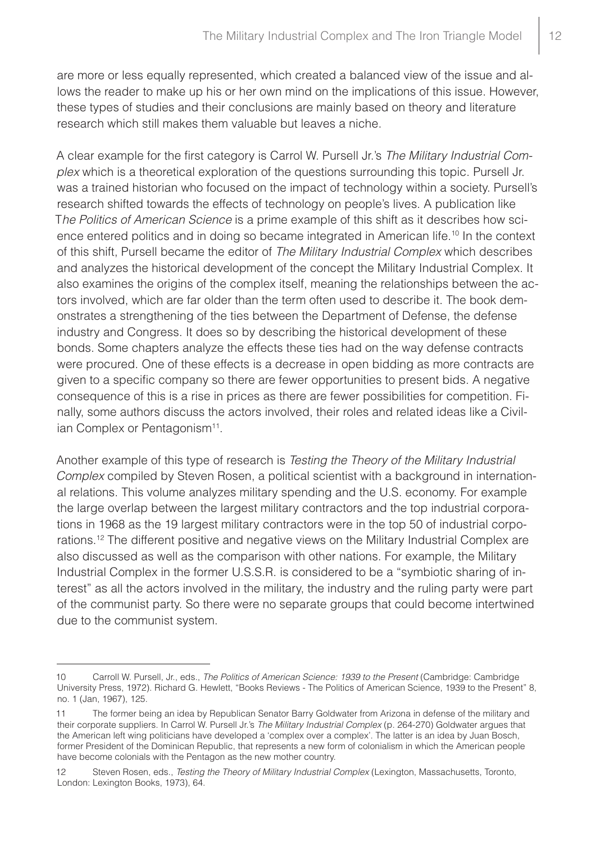are more or less equally represented, which created a balanced view of the issue and allows the reader to make up his or her own mind on the implications of this issue. However, these types of studies and their conclusions are mainly based on theory and literature research which still makes them valuable but leaves a niche.

A clear example for the first category is Carrol W. Pursell Jr.'s *The Military Industrial Complex* which is a theoretical exploration of the questions surrounding this topic. Pursell Jr. was a trained historian who focused on the impact of technology within a society. Pursell's research shifted towards the effects of technology on people's lives. A publication like T*he Politics of American Science* is a prime example of this shift as it describes how science entered politics and in doing so became integrated in American life.<sup>10</sup> In the context of this shift, Pursell became the editor of *The Military Industrial Complex* which describes and analyzes the historical development of the concept the Military Industrial Complex. It also examines the origins of the complex itself, meaning the relationships between the actors involved, which are far older than the term often used to describe it. The book demonstrates a strengthening of the ties between the Department of Defense, the defense industry and Congress. It does so by describing the historical development of these bonds. Some chapters analyze the effects these ties had on the way defense contracts were procured. One of these effects is a decrease in open bidding as more contracts are given to a specific company so there are fewer opportunities to present bids. A negative consequence of this is a rise in prices as there are fewer possibilities for competition. Finally, some authors discuss the actors involved, their roles and related ideas like a Civilian Complex or Pentagonism<sup>11</sup>.

Another example of this type of research is *Testing the Theory of the Military Industrial Complex* compiled by Steven Rosen, a political scientist with a background in international relations. This volume analyzes military spending and the U.S. economy. For example the large overlap between the largest military contractors and the top industrial corporations in 1968 as the 19 largest military contractors were in the top 50 of industrial corporations.12 The different positive and negative views on the Military Industrial Complex are also discussed as well as the comparison with other nations. For example, the Military Industrial Complex in the former U.S.S.R. is considered to be a "symbiotic sharing of interest" as all the actors involved in the military, the industry and the ruling party were part of the communist party. So there were no separate groups that could become intertwined due to the communist system.

<sup>10</sup> Carroll W. Pursell, Jr., eds., *The Politics of American Science: 1939 to the Present* (Cambridge: Cambridge University Press, 1972). Richard G. Hewlett, "Books Reviews - The Politics of American Science, 1939 to the Present" 8, no. 1 (Jan, 1967), 125.

<sup>11</sup> The former being an idea by Republican Senator Barry Goldwater from Arizona in defense of the military and their corporate suppliers. In Carrol W. Pursell Jr.'s *The Military Industrial Complex* (p. 264-270) Goldwater argues that the American left wing politicians have developed a 'complex over a complex'. The latter is an idea by Juan Bosch, former President of the Dominican Republic, that represents a new form of colonialism in which the American people have become colonials with the Pentagon as the new mother country.

<sup>12</sup> Steven Rosen, eds., *Testing the Theory of Military Industrial Complex* (Lexington, Massachusetts, Toronto, London: Lexington Books, 1973), 64.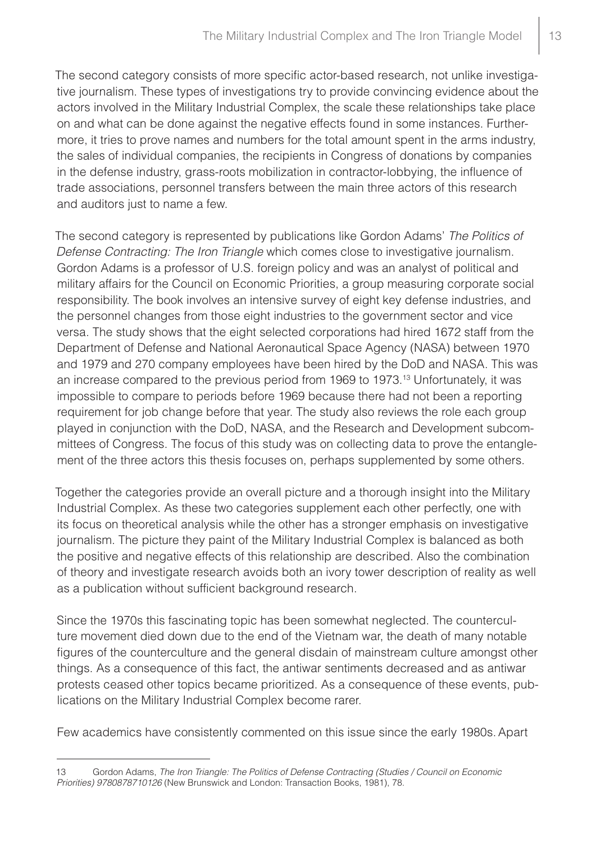The second category consists of more specific actor-based research, not unlike investigative journalism. These types of investigations try to provide convincing evidence about the actors involved in the Military Industrial Complex, the scale these relationships take place on and what can be done against the negative effects found in some instances. Furthermore, it tries to prove names and numbers for the total amount spent in the arms industry, the sales of individual companies, the recipients in Congress of donations by companies in the defense industry, grass-roots mobilization in contractor-lobbying, the influence of trade associations, personnel transfers between the main three actors of this research and auditors just to name a few.

The second category is represented by publications like Gordon Adams' *The Politics of Defense Contracting: The Iron Triangle* which comes close to investigative journalism. Gordon Adams is a professor of U.S. foreign policy and was an analyst of political and military affairs for the Council on Economic Priorities, a group measuring corporate social responsibility. The book involves an intensive survey of eight key defense industries, and the personnel changes from those eight industries to the government sector and vice versa. The study shows that the eight selected corporations had hired 1672 staff from the Department of Defense and National Aeronautical Space Agency (NASA) between 1970 and 1979 and 270 company employees have been hired by the DoD and NASA. This was an increase compared to the previous period from 1969 to 1973.13 Unfortunately, it was impossible to compare to periods before 1969 because there had not been a reporting requirement for job change before that year. The study also reviews the role each group played in conjunction with the DoD, NASA, and the Research and Development subcommittees of Congress. The focus of this study was on collecting data to prove the entanglement of the three actors this thesis focuses on, perhaps supplemented by some others.

Together the categories provide an overall picture and a thorough insight into the Military Industrial Complex. As these two categories supplement each other perfectly, one with its focus on theoretical analysis while the other has a stronger emphasis on investigative journalism. The picture they paint of the Military Industrial Complex is balanced as both the positive and negative effects of this relationship are described. Also the combination of theory and investigate research avoids both an ivory tower description of reality as well as a publication without sufficient background research.

Since the 1970s this fascinating topic has been somewhat neglected. The counterculture movement died down due to the end of the Vietnam war, the death of many notable figures of the counterculture and the general disdain of mainstream culture amongst other things. As a consequence of this fact, the antiwar sentiments decreased and as antiwar protests ceased other topics became prioritized. As a consequence of these events, publications on the Military Industrial Complex become rarer.

Few academics have consistently commented on this issue since the early 1980s.Apart

<sup>13</sup> Gordon Adams, *The Iron Triangle: The Politics of Defense Contracting (Studies / Council on Economic Priorities) 9780878710126* (New Brunswick and London: Transaction Books, 1981), 78.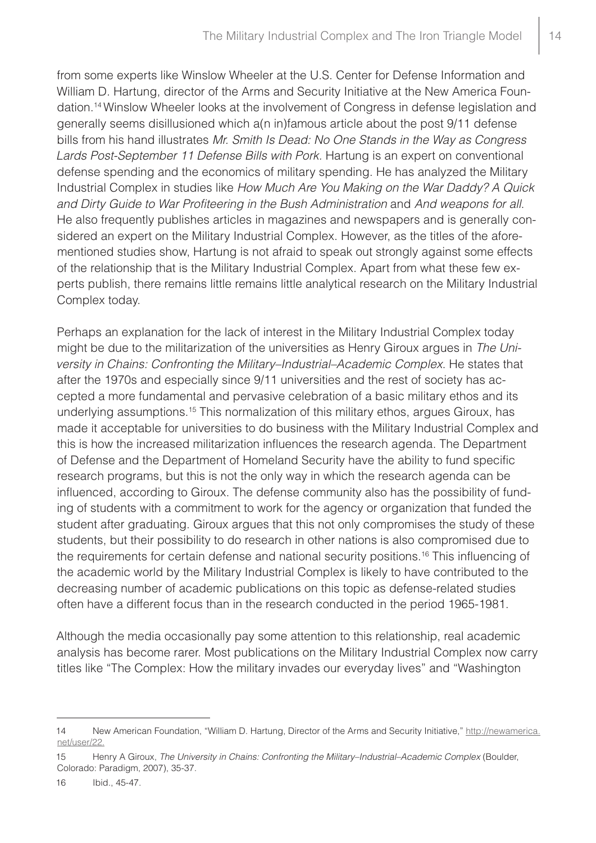from some experts like Winslow Wheeler at the U.S. Center for Defense Information and William D. Hartung, director of the Arms and Security Initiative at the New America Foundation.14 Winslow Wheeler looks at the involvement of Congress in defense legislation and generally seems disillusioned which a(n in)famous article about the post 9/11 defense bills from his hand illustrates *Mr. Smith Is Dead: No One Stands in the Way as Congress Lards Post-September 11 Defense Bills with Pork.* Hartung is an expert on conventional defense spending and the economics of military spending. He has analyzed the Military Industrial Complex in studies like *How Much Are You Making on the War Daddy? A Quick and Dirty Guide to War Profiteering in the Bush Administration* and *And weapons for all*. He also frequently publishes articles in magazines and newspapers and is generally considered an expert on the Military Industrial Complex. However, as the titles of the aforementioned studies show, Hartung is not afraid to speak out strongly against some effects of the relationship that is the Military Industrial Complex. Apart from what these few experts publish, there remains little remains little analytical research on the Military Industrial Complex today.

Perhaps an explanation for the lack of interest in the Military Industrial Complex today might be due to the militarization of the universities as Henry Giroux argues in *The University in Chains: Confronting the Military–Industrial–Academic Complex*. He states that after the 1970s and especially since 9/11 universities and the rest of society has accepted a more fundamental and pervasive celebration of a basic military ethos and its underlying assumptions.<sup>15</sup> This normalization of this military ethos, argues Giroux, has made it acceptable for universities to do business with the Military Industrial Complex and this is how the increased militarization influences the research agenda. The Department of Defense and the Department of Homeland Security have the ability to fund specific research programs, but this is not the only way in which the research agenda can be influenced, according to Giroux. The defense community also has the possibility of funding of students with a commitment to work for the agency or organization that funded the student after graduating. Giroux argues that this not only compromises the study of these students, but their possibility to do research in other nations is also compromised due to the requirements for certain defense and national security positions.<sup>16</sup> This influencing of the academic world by the Military Industrial Complex is likely to have contributed to the decreasing number of academic publications on this topic as defense-related studies often have a different focus than in the research conducted in the period 1965-1981.

Although the media occasionally pay some attention to this relationship, real academic analysis has become rarer. Most publications on the Military Industrial Complex now carry titles like "The Complex: How the military invades our everyday lives" and "Washington

<sup>14</sup> New American Foundation, "William D. Hartung, Director of the Arms and Security Initiative," http://newamerica. net/user/22.

<sup>15</sup> Henry A Giroux, *The University in Chains: Confronting the Military–Industrial–Academic Complex* (Boulder, Colorado: Paradigm, 2007), 35-37.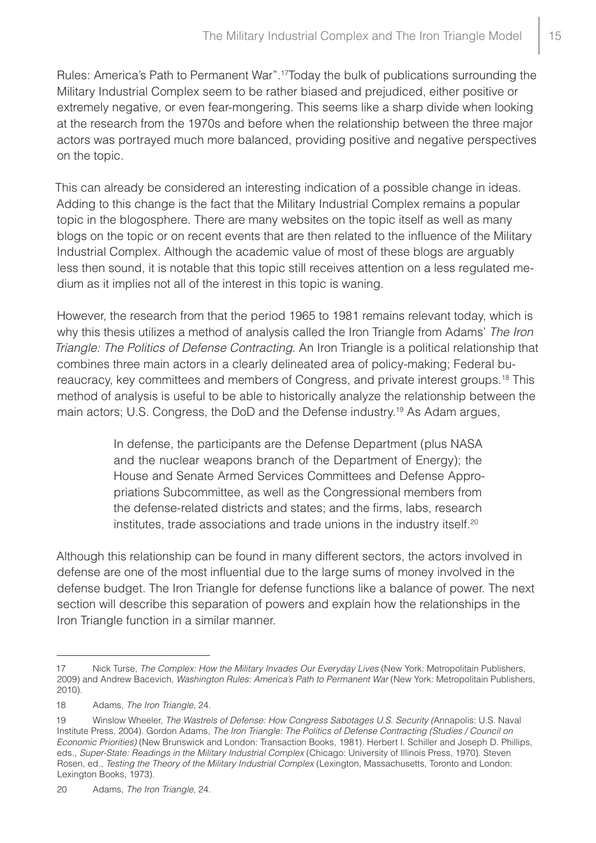Rules: America's Path to Permanent War".17Today the bulk of publications surrounding the Military Industrial Complex seem to be rather biased and prejudiced, either positive or extremely negative, or even fear-mongering. This seems like a sharp divide when looking at the research from the 1970s and before when the relationship between the three major actors was portrayed much more balanced, providing positive and negative perspectives on the topic.

This can already be considered an interesting indication of a possible change in ideas. Adding to this change is the fact that the Military Industrial Complex remains a popular topic in the blogosphere. There are many websites on the topic itself as well as many blogs on the topic or on recent events that are then related to the influence of the Military Industrial Complex. Although the academic value of most of these blogs are arguably less then sound, it is notable that this topic still receives attention on a less regulated medium as it implies not all of the interest in this topic is waning.

However, the research from that the period 1965 to 1981 remains relevant today, which is why this thesis utilizes a method of analysis called the Iron Triangle from Adams' *The Iron Triangle: The Politics of Defense Contracting*. An Iron Triangle is a political relationship that combines three main actors in a clearly delineated area of policy-making; Federal bureaucracy, key committees and members of Congress, and private interest groups.18 This method of analysis is useful to be able to historically analyze the relationship between the main actors; U.S. Congress, the DoD and the Defense industry.<sup>19</sup> As Adam argues,

> In defense, the participants are the Defense Department (plus NASA and the nuclear weapons branch of the Department of Energy); the House and Senate Armed Services Committees and Defense Appropriations Subcommittee, as well as the Congressional members from the defense-related districts and states; and the firms, labs, research institutes, trade associations and trade unions in the industry itself.<sup>20</sup>

Although this relationship can be found in many different sectors, the actors involved in defense are one of the most influential due to the large sums of money involved in the defense budget. The Iron Triangle for defense functions like a balance of power. The next section will describe this separation of powers and explain how the relationships in the Iron Triangle function in a similar manner.

<sup>17</sup> Nick Turse, *The Complex: How the Military Invades Our Everyday Lives* (New York: Metropolitain Publishers, 2009) and Andrew Bacevich, *Washington Rules: America's Path to Permanent War* (New York: Metropolitain Publishers, 2010).

<sup>18</sup> Adams, *The Iron Triangle,* 24.

<sup>19</sup> Winslow Wheeler, *The Wastrels of Defense: How Congress Sabotages U.S. Security (*Annapolis: U.S. Naval Institute Press, 2004). Gordon Adams, *The Iron Triangle: The Politics of Defense Contracting (Studies / Council on Economic Priorities)* (New Brunswick and London: Transaction Books, 1981). Herbert I. Schiller and Joseph D. Phillips, eds., *Super-State: Readings in the Military Industrial Complex* (Chicago: University of Illinois Press, 1970). Steven Rosen, ed., *Testing the Theory of the Military Industrial Complex* (Lexington, Massachusetts, Toronto and London: Lexington Books, 1973).

<sup>20</sup> Adams, *The Iron Triangle,* 24.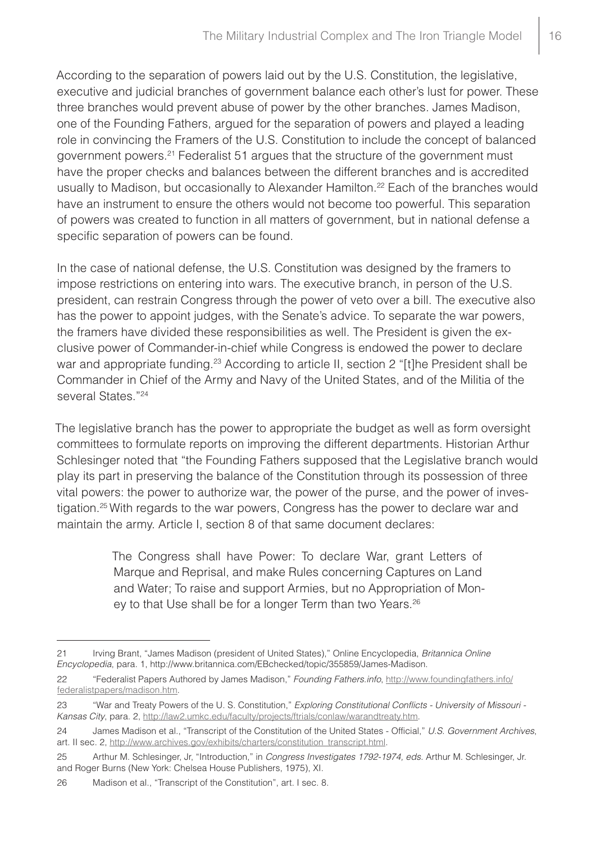According to the separation of powers laid out by the U.S. Constitution, the legislative, executive and judicial branches of government balance each other's lust for power. These three branches would prevent abuse of power by the other branches*.* James Madison, one of the Founding Fathers, argued for the separation of powers and played a leading role in convincing the Framers of the U.S. Constitution to include the concept of balanced government powers.21 Federalist 51 argues that the structure of the government must have the proper checks and balances between the different branches and is accredited usually to Madison, but occasionally to Alexander Hamilton.<sup>22</sup> Each of the branches would have an instrument to ensure the others would not become too powerful. This separation of powers was created to function in all matters of government, but in national defense a specific separation of powers can be found.

In the case of national defense, the U.S. Constitution was designed by the framers to impose restrictions on entering into wars. The executive branch, in person of the U.S. president, can restrain Congress through the power of veto over a bill. The executive also has the power to appoint judges, with the Senate's advice. To separate the war powers, the framers have divided these responsibilities as well. The President is given the exclusive power of Commander-in-chief while Congress is endowed the power to declare war and appropriate funding.<sup>23</sup> According to article II, section 2 "[t]he President shall be Commander in Chief of the Army and Navy of the United States, and of the Militia of the several States."<sup>24</sup>

The legislative branch has the power to appropriate the budget as well as form oversight committees to formulate reports on improving the different departments. Historian Arthur Schlesinger noted that "the Founding Fathers supposed that the Legislative branch would play its part in preserving the balance of the Constitution through its possession of three vital powers: the power to authorize war, the power of the purse, and the power of investigation.25 With regards to the war powers, Congress has the power to declare war and maintain the army. Article I, section 8 of that same document declares:

> The Congress shall have Power: To declare War, grant Letters of Marque and Reprisal, and make Rules concerning Captures on Land and Water; To raise and support Armies, but no Appropriation of Money to that Use shall be for a longer Term than two Years.<sup>26</sup>

<sup>21</sup> Irving Brant, "James Madison (president of United States)," Online Encyclopedia, *Britannica Online Encyclopedia*, para. 1, http://www.britannica.com/EBchecked/topic/355859/James-Madison.

<sup>22</sup> "Federalist Papers Authored by James Madison," *Founding Fathers.info*, http://www.foundingfathers.info/ federalistpapers/madison.htm.

<sup>23</sup> "War and Treaty Powers of the U. S. Constitution," *Exploring Constitutional Conflicts - University of Missouri - Kansas City*, para. 2, http://law2.umkc.edu/faculty/projects/ftrials/conlaw/warandtreaty.htm.

<sup>24</sup> James Madison et al., "Transcript of the Constitution of the United States - Official," *U.S. Government Archives*, art. II sec. 2, http://www.archives.gov/exhibits/charters/constitution\_transcript.html.

<sup>25</sup> Arthur M. Schlesinger, Jr, "Introduction," in *Congress Investigates 1792-1974, eds.* Arthur M. Schlesinger, Jr. and Roger Burns (New York: Chelsea House Publishers, 1975), XI.

<sup>26</sup> Madison et al., "Transcript of the Constitution", art. I sec. 8.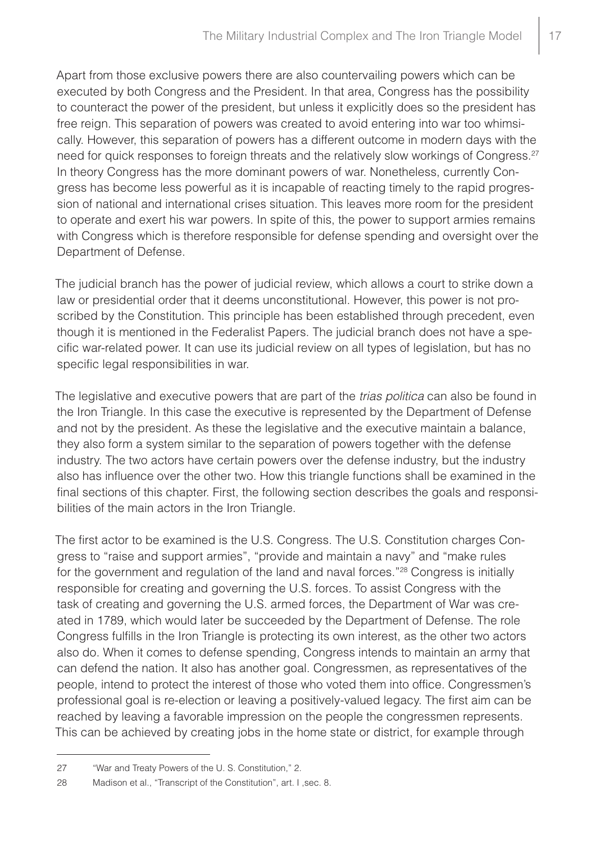Apart from those exclusive powers there are also countervailing powers which can be executed by both Congress and the President. In that area, Congress has the possibility to counteract the power of the president, but unless it explicitly does so the president has free reign. This separation of powers was created to avoid entering into war too whimsically. However, this separation of powers has a different outcome in modern days with the need for quick responses to foreign threats and the relatively slow workings of Congress.<sup>27</sup> In theory Congress has the more dominant powers of war. Nonetheless, currently Congress has become less powerful as it is incapable of reacting timely to the rapid progression of national and international crises situation. This leaves more room for the president to operate and exert his war powers. In spite of this, the power to support armies remains with Congress which is therefore responsible for defense spending and oversight over the Department of Defense.

The judicial branch has the power of judicial review, which allows a court to strike down a law or presidential order that it deems unconstitutional. However, this power is not proscribed by the Constitution. This principle has been established through precedent, even though it is mentioned in the Federalist Papers. The judicial branch does not have a specific war-related power. It can use its judicial review on all types of legislation, but has no specific legal responsibilities in war.

The legislative and executive powers that are part of the *trias politica* can also be found in the Iron Triangle. In this case the executive is represented by the Department of Defense and not by the president. As these the legislative and the executive maintain a balance, they also form a system similar to the separation of powers together with the defense industry. The two actors have certain powers over the defense industry, but the industry also has influence over the other two. How this triangle functions shall be examined in the final sections of this chapter. First, the following section describes the goals and responsibilities of the main actors in the Iron Triangle.

The first actor to be examined is the U.S. Congress. The U.S. Constitution charges Congress to "raise and support armies", "provide and maintain a navy" and "make rules for the government and regulation of the land and naval forces."<sup>28</sup> Congress is initially responsible for creating and governing the U.S. forces. To assist Congress with the task of creating and governing the U.S. armed forces, the Department of War was created in 1789, which would later be succeeded by the Department of Defense. The role Congress fulfills in the Iron Triangle is protecting its own interest, as the other two actors also do. When it comes to defense spending, Congress intends to maintain an army that can defend the nation. It also has another goal. Congressmen, as representatives of the people, intend to protect the interest of those who voted them into office. Congressmen's professional goal is re-election or leaving a positively-valued legacy. The first aim can be reached by leaving a favorable impression on the people the congressmen represents. This can be achieved by creating jobs in the home state or district, for example through

<sup>27</sup> "War and Treaty Powers of the U. S. Constitution," 2.

<sup>28</sup> Madison et al., "Transcript of the Constitution", art. I ,sec. 8.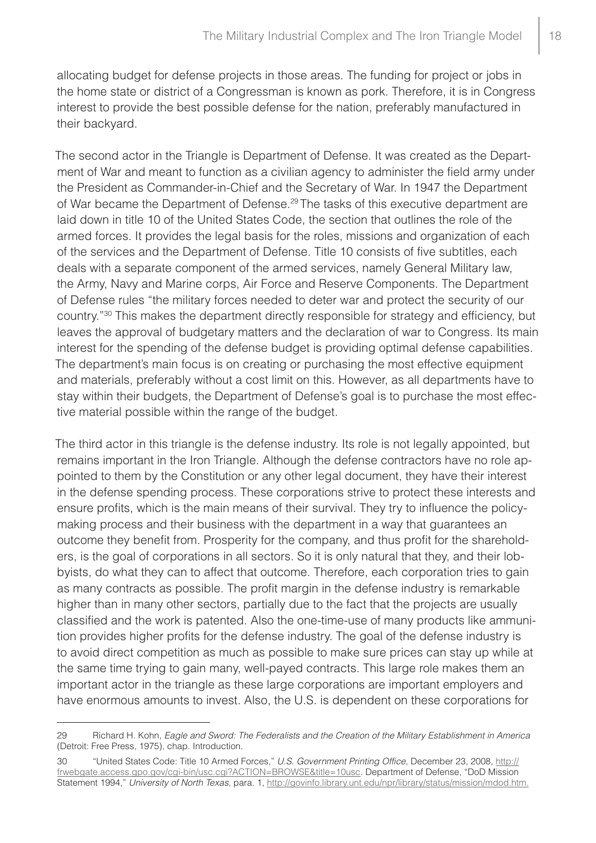allocating budget for defense projects in those areas. The funding for project or jobs in the home state or district of a Congressman is known as pork. Therefore, it is in Congress interest to provide the best possible defense for the nation, preferably manufactured in their backyard.

The second actor in the Triangle is Department of Defense. It was created as the Department of War and meant to function as a civilian agency to administer the field army under the President as Commander-in-Chief and the Secretary of War. In 1947 the Department of War became the Department of Defense.29 The tasks of this executive department are laid down in title 10 of the United States Code, the section that outlines the role of the armed forces. It provides the legal basis for the roles, missions and organization of each of the services and the Department of Defense. Title 10 consists of five subtitles, each deals with a separate component of the armed services, namely General Military law, the Army, Navy and Marine corps, Air Force and Reserve Components. The Department of Defense rules "the military forces needed to deter war and protect the security of our country."30 This makes the department directly responsible for strategy and efficiency, but leaves the approval of budgetary matters and the declaration of war to Congress. Its main interest for the spending of the defense budget is providing optimal defense capabilities. The department's main focus is on creating or purchasing the most effective equipment and materials, preferably without a cost limit on this. However, as all departments have to stay within their budgets, the Department of Defense's goal is to purchase the most effective material possible within the range of the budget.

The third actor in this triangle is the defense industry. Its role is not legally appointed, but remains important in the Iron Triangle. Although the defense contractors have no role appointed to them by the Constitution or any other legal document, they have their interest in the defense spending process. These corporations strive to protect these interests and ensure profits, which is the main means of their survival. They try to influence the policymaking process and their business with the department in a way that guarantees an outcome they benefit from. Prosperity for the company, and thus profit for the shareholders, is the goal of corporations in all sectors. So it is only natural that they, and their lobbyists, do what they can to affect that outcome. Therefore, each corporation tries to gain as many contracts as possible. The profit margin in the defense industry is remarkable higher than in many other sectors, partially due to the fact that the projects are usually classified and the work is patented. Also the one-time-use of many products like ammunition provides higher profits for the defense industry. The goal of the defense industry is to avoid direct competition as much as possible to make sure prices can stay up while at the same time trying to gain many, well-payed contracts. This large role makes them an important actor in the triangle as these large corporations are important employers and have enormous amounts to invest. Also, the U.S. is dependent on these corporations for

<sup>29</sup> Richard H. Kohn, *Eagle and Sword: The Federalists and the Creation of the Military Establishment in America* (Detroit: Free Press, 1975), chap. Introduction.

<sup>30</sup> "United States Code: Title 10 Armed Forces," *U.S. Government Printing Office*, December 23, 2008, [http://](http://frwebgate.access.gpo.gov/cgi-bin/usc.cgi?ACTION=BROWSE&title=10usc) [frwebgate.access.gpo.gov/cgi-bin/usc.cgi?ACTION=BROWSE&title=10usc](http://frwebgate.access.gpo.gov/cgi-bin/usc.cgi?ACTION=BROWSE&title=10usc). Department of Defense, "DoD Mission Statement 1994," *University of North Texas*, para. 1, http://govinfo.library.unt.edu/npr/library/status/mission/mdod.htm.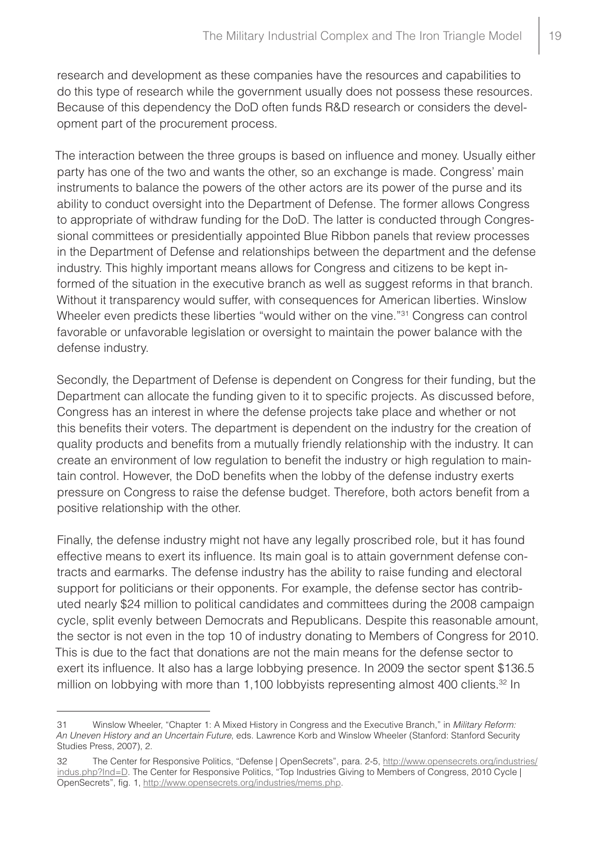research and development as these companies have the resources and capabilities to do this type of research while the government usually does not possess these resources. Because of this dependency the DoD often funds R&D research or considers the development part of the procurement process.

The interaction between the three groups is based on influence and money. Usually either party has one of the two and wants the other, so an exchange is made. Congress' main instruments to balance the powers of the other actors are its power of the purse and its ability to conduct oversight into the Department of Defense. The former allows Congress to appropriate of withdraw funding for the DoD. The latter is conducted through Congressional committees or presidentially appointed Blue Ribbon panels that review processes in the Department of Defense and relationships between the department and the defense industry. This highly important means allows for Congress and citizens to be kept informed of the situation in the executive branch as well as suggest reforms in that branch. Without it transparency would suffer, with consequences for American liberties. Winslow Wheeler even predicts these liberties "would wither on the vine."31 Congress can control favorable or unfavorable legislation or oversight to maintain the power balance with the defense industry.

Secondly, the Department of Defense is dependent on Congress for their funding, but the Department can allocate the funding given to it to specific projects. As discussed before, Congress has an interest in where the defense projects take place and whether or not this benefits their voters. The department is dependent on the industry for the creation of quality products and benefits from a mutually friendly relationship with the industry. It can create an environment of low regulation to benefit the industry or high regulation to maintain control. However, the DoD benefits when the lobby of the defense industry exerts pressure on Congress to raise the defense budget. Therefore, both actors benefit from a positive relationship with the other.

Finally, the defense industry might not have any legally proscribed role, but it has found effective means to exert its influence. Its main goal is to attain government defense contracts and earmarks. The defense industry has the ability to raise funding and electoral support for politicians or their opponents. For example, the defense sector has contributed nearly \$24 million to political candidates and committees during the 2008 campaign cycle, split evenly between Democrats and Republicans. Despite this reasonable amount, the sector is not even in the top 10 of industry donating to Members of Congress for 2010. This is due to the fact that donations are not the main means for the defense sector to exert its influence. It also has a large lobbying presence. In 2009 the sector spent \$136.5 million on lobbying with more than 1,100 lobbyists representing almost 400 clients.<sup>32</sup> In

<sup>31</sup> Winslow Wheeler, "Chapter 1: A Mixed History in Congress and the Executive Branch," in *Military Reform: An Uneven History and an Uncertain Future*, eds. Lawrence Korb and Winslow Wheeler (Stanford: Stanford Security Studies Press, 2007), 2.

<sup>32</sup> The Center for Responsive Politics, "Defense | OpenSecrets", para. 2-5, [http://www.opensecrets.org/industries/](http://www.opensecrets.org/industries/indus.php?Ind=D) [indus.php?Ind=D.](http://www.opensecrets.org/industries/indus.php?Ind=D) The Center for Responsive Politics, "Top Industries Giving to Members of Congress, 2010 Cycle | OpenSecrets", fig. 1, http://www.opensecrets.org/industries/mems.php.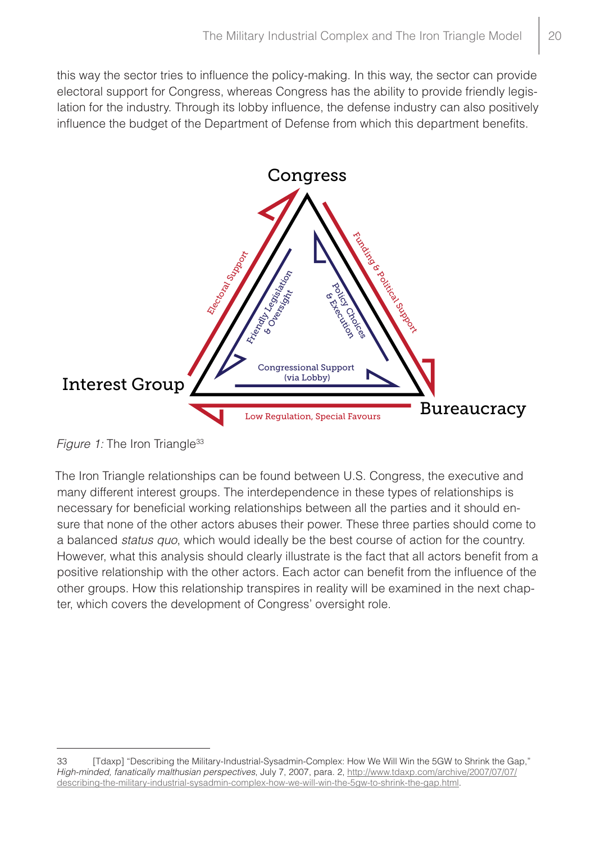this way the sector tries to influence the policy-making. In this way, the sector can provide electoral support for Congress, whereas Congress has the ability to provide friendly legislation for the industry. Through its lobby influence, the defense industry can also positively influence the budget of the Department of Defense from which this department benefits.



*Figure 1:* The Iron Triangle<sup>33</sup>

The Iron Triangle relationships can be found between U.S. Congress, the executive and many different interest groups. The interdependence in these types of relationships is necessary for beneficial working relationships between all the parties and it should ensure that none of the other actors abuses their power. These three parties should come to a balanced *status quo*, which would ideally be the best course of action for the country. However, what this analysis should clearly illustrate is the fact that all actors benefit from a positive relationship with the other actors. Each actor can benefit from the influence of the other groups. How this relationship transpires in reality will be examined in the next chapter, which covers the development of Congress' oversight role.

<sup>33</sup> [Tdaxp] "Describing the Military-Industrial-Sysadmin-Complex: How We Will Win the 5GW to Shrink the Gap," *High-minded, fanatically malthusian perspectives*, July 7, 2007, para. 2, http://www.tdaxp.com/archive/2007/07/07/ describing-the-military-industrial-sysadmin-complex-how-we-will-win-the-5gw-to-shrink-the-gap.html.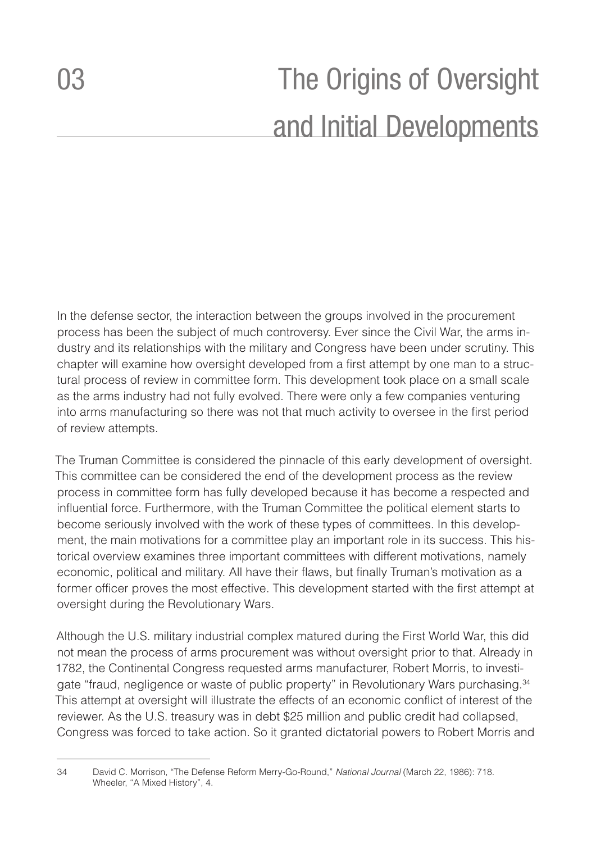<span id="page-21-0"></span>In the defense sector, the interaction between the groups involved in the procurement process has been the subject of much controversy. Ever since the Civil War, the arms industry and its relationships with the military and Congress have been under scrutiny. This chapter will examine how oversight developed from a first attempt by one man to a structural process of review in committee form. This development took place on a small scale as the arms industry had not fully evolved. There were only a few companies venturing into arms manufacturing so there was not that much activity to oversee in the first period of review attempts.

The Truman Committee is considered the pinnacle of this early development of oversight. This committee can be considered the end of the development process as the review process in committee form has fully developed because it has become a respected and influential force. Furthermore, with the Truman Committee the political element starts to become seriously involved with the work of these types of committees. In this development, the main motivations for a committee play an important role in its success. This historical overview examines three important committees with different motivations, namely economic, political and military. All have their flaws, but finally Truman's motivation as a former officer proves the most effective. This development started with the first attempt at oversight during the Revolutionary Wars.

Although the U.S. military industrial complex matured during the First World War, this did not mean the process of arms procurement was without oversight prior to that. Already in 1782, the Continental Congress requested arms manufacturer, Robert Morris, to investigate "fraud, negligence or waste of public property" in Revolutionary Wars purchasing.<sup>34</sup> This attempt at oversight will illustrate the effects of an economic conflict of interest of the reviewer. As the U.S. treasury was in debt \$25 million and public credit had collapsed, Congress was forced to take action. So it granted dictatorial powers to Robert Morris and

<sup>34</sup> David C. Morrison, "The Defense Reform Merry-Go-Round," *National Journal* (March 22, 1986): 718. Wheeler, "A Mixed History", 4.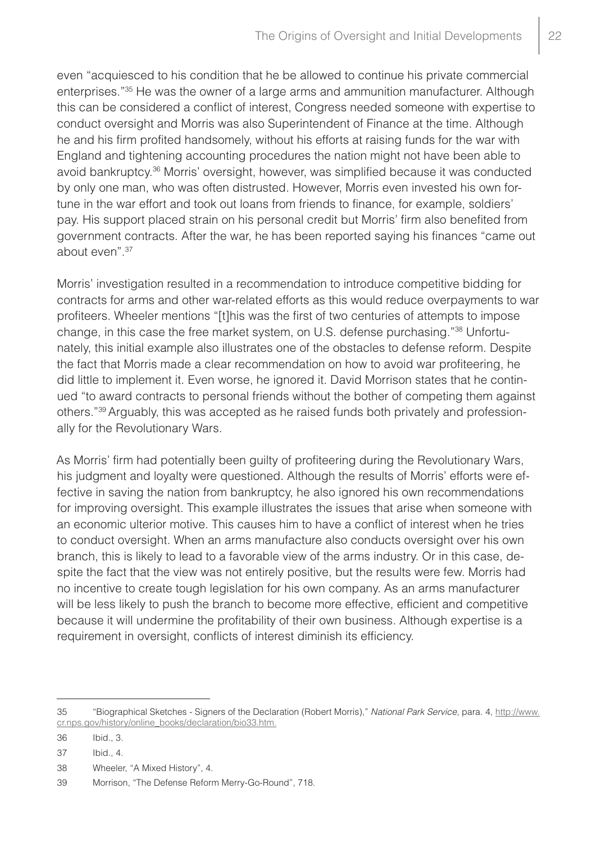even "acquiesced to his condition that he be allowed to continue his private commercial enterprises."35 He was the owner of a large arms and ammunition manufacturer. Although this can be considered a conflict of interest, Congress needed someone with expertise to conduct oversight and Morris was also Superintendent of Finance at the time. Although he and his firm profited handsomely, without his efforts at raising funds for the war with England and tightening accounting procedures the nation might not have been able to avoid bankruptcy.36 Morris' oversight, however, was simplified because it was conducted by only one man, who was often distrusted. However, Morris even invested his own fortune in the war effort and took out loans from friends to finance, for example, soldiers' pay. His support placed strain on his personal credit but Morris' firm also benefited from government contracts. After the war, he has been reported saying his finances "came out about even".37

Morris' investigation resulted in a recommendation to introduce competitive bidding for contracts for arms and other war-related efforts as this would reduce overpayments to war profiteers. Wheeler mentions "[t]his was the first of two centuries of attempts to impose change, in this case the free market system, on U.S. defense purchasing."38 Unfortunately, this initial example also illustrates one of the obstacles to defense reform. Despite the fact that Morris made a clear recommendation on how to avoid war profiteering, he did little to implement it. Even worse, he ignored it. David Morrison states that he continued "to award contracts to personal friends without the bother of competing them against others."39 Arguably, this was accepted as he raised funds both privately and professionally for the Revolutionary Wars.

As Morris' firm had potentially been guilty of profiteering during the Revolutionary Wars, his judgment and loyalty were questioned. Although the results of Morris' efforts were effective in saving the nation from bankruptcy, he also ignored his own recommendations for improving oversight. This example illustrates the issues that arise when someone with an economic ulterior motive. This causes him to have a conflict of interest when he tries to conduct oversight. When an arms manufacture also conducts oversight over his own branch, this is likely to lead to a favorable view of the arms industry. Or in this case, despite the fact that the view was not entirely positive, but the results were few. Morris had no incentive to create tough legislation for his own company. As an arms manufacturer will be less likely to push the branch to become more effective, efficient and competitive because it will undermine the profitability of their own business. Although expertise is a requirement in oversight, conflicts of interest diminish its efficiency.

<sup>35</sup> "Biographical Sketches - Signers of the Declaration (Robert Morris)," *National Park Service*, para. 4, http://www. cr.nps.gov/history/online\_books/declaration/bio33.htm.

<sup>36</sup> Ibid., 3.

<sup>37</sup> Ibid., 4.

<sup>38</sup> Wheeler, "A Mixed History", 4.

<sup>39</sup> Morrison, "The Defense Reform Merry-Go-Round", 718.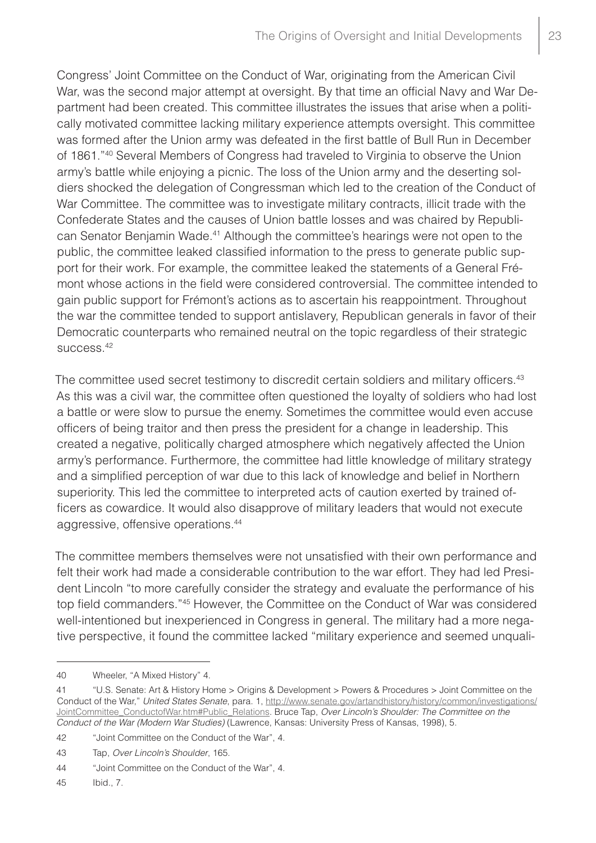Congress' Joint Committee on the Conduct of War, originating from the American Civil War, was the second major attempt at oversight. By that time an official Navy and War Department had been created. This committee illustrates the issues that arise when a politically motivated committee lacking military experience attempts oversight. This committee was formed after the Union army was defeated in the first battle of Bull Run in December of 1861."40 Several Members of Congress had traveled to Virginia to observe the Union army's battle while enjoying a picnic. The loss of the Union army and the deserting soldiers shocked the delegation of Congressman which led to the creation of the Conduct of War Committee. The committee was to investigate military contracts, illicit trade with the Confederate States and the causes of Union battle losses and was chaired by Republican Senator Benjamin Wade.41 Although the committee's hearings were not open to the public, the committee leaked classified information to the press to generate public support for their work. For example, the committee leaked the statements of a General Frémont whose actions in the field were considered controversial. The committee intended to gain public support for Frémont's actions as to ascertain his reappointment. Throughout the war the committee tended to support antislavery, Republican generals in favor of their Democratic counterparts who remained neutral on the topic regardless of their strategic success.42

The committee used secret testimony to discredit certain soldiers and military officers.<sup>43</sup> As this was a civil war, the committee often questioned the loyalty of soldiers who had lost a battle or were slow to pursue the enemy. Sometimes the committee would even accuse officers of being traitor and then press the president for a change in leadership. This created a negative, politically charged atmosphere which negatively affected the Union army's performance. Furthermore, the committee had little knowledge of military strategy and a simplified perception of war due to this lack of knowledge and belief in Northern superiority. This led the committee to interpreted acts of caution exerted by trained officers as cowardice. It would also disapprove of military leaders that would not execute aggressive, offensive operations.44

The committee members themselves were not unsatisfied with their own performance and felt their work had made a considerable contribution to the war effort. They had led President Lincoln "to more carefully consider the strategy and evaluate the performance of his top field commanders."45 However, the Committee on the Conduct of War was considered well-intentioned but inexperienced in Congress in general. The military had a more negative perspective, it found the committee lacked "military experience and seemed unquali-

<sup>40</sup> Wheeler, "A Mixed History" 4.

<sup>41</sup> "U.S. Senate: Art & History Home > Origins & Development > Powers & Procedures > Joint Committee on the Conduct of the War," *United States Senate*, para. 1, [http://www.senate.gov/artandhistory/history/common/investigations/](http://www.senate.gov/artandhistory/history/common/investigations/JointCommittee_ConductofWar.htm#Public_Relations) [JointCommittee\\_ConductofWar.htm#Public\\_Relations](http://www.senate.gov/artandhistory/history/common/investigations/JointCommittee_ConductofWar.htm#Public_Relations). Bruce Tap, *Over Lincoln's Shoulder: The Committee on the Conduct of the War (Modern War Studies)* (Lawrence, Kansas: University Press of Kansas, 1998), 5.

<sup>42</sup> "Joint Committee on the Conduct of the War", 4.

<sup>43</sup> Tap, *Over Lincoln's Shoulder*, 165.

<sup>44</sup> "Joint Committee on the Conduct of the War", 4.

<sup>45</sup> Ibid., 7.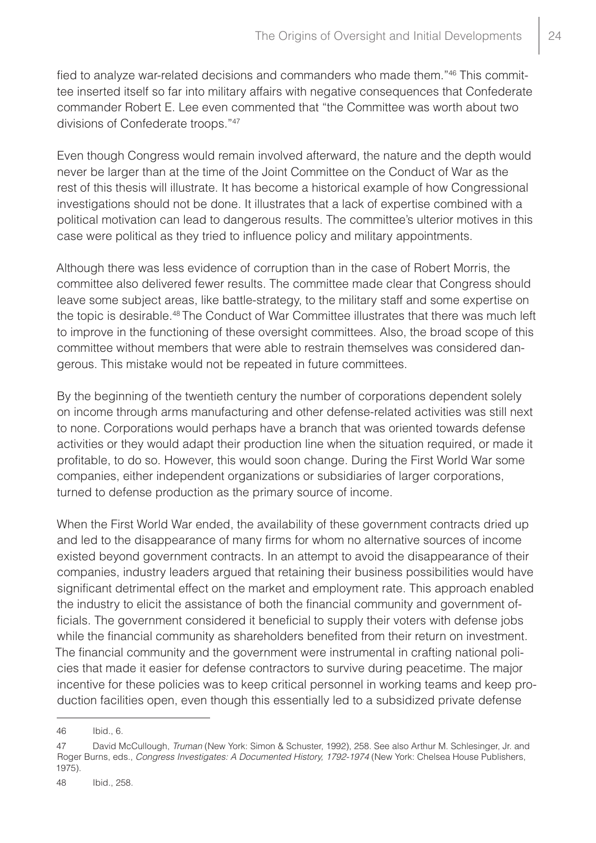fied to analyze war-related decisions and commanders who made them."46 This committee inserted itself so far into military affairs with negative consequences that Confederate commander Robert E. Lee even commented that "the Committee was worth about two divisions of Confederate troops."47

Even though Congress would remain involved afterward, the nature and the depth would never be larger than at the time of the Joint Committee on the Conduct of War as the rest of this thesis will illustrate. It has become a historical example of how Congressional investigations should not be done. It illustrates that a lack of expertise combined with a political motivation can lead to dangerous results. The committee's ulterior motives in this case were political as they tried to influence policy and military appointments.

Although there was less evidence of corruption than in the case of Robert Morris, the committee also delivered fewer results. The committee made clear that Congress should leave some subject areas, like battle-strategy, to the military staff and some expertise on the topic is desirable.48 The Conduct of War Committee illustrates that there was much left to improve in the functioning of these oversight committees. Also, the broad scope of this committee without members that were able to restrain themselves was considered dangerous. This mistake would not be repeated in future committees.

By the beginning of the twentieth century the number of corporations dependent solely on income through arms manufacturing and other defense-related activities was still next to none. Corporations would perhaps have a branch that was oriented towards defense activities or they would adapt their production line when the situation required, or made it profitable, to do so. However, this would soon change. During the First World War some companies, either independent organizations or subsidiaries of larger corporations, turned to defense production as the primary source of income.

When the First World War ended, the availability of these government contracts dried up and led to the disappearance of many firms for whom no alternative sources of income existed beyond government contracts. In an attempt to avoid the disappearance of their companies, industry leaders argued that retaining their business possibilities would have significant detrimental effect on the market and employment rate. This approach enabled the industry to elicit the assistance of both the financial community and government officials. The government considered it beneficial to supply their voters with defense jobs while the financial community as shareholders benefited from their return on investment. The financial community and the government were instrumental in crafting national policies that made it easier for defense contractors to survive during peacetime. The major incentive for these policies was to keep critical personnel in working teams and keep production facilities open, even though this essentially led to a subsidized private defense

<sup>46</sup> Ibid., 6.

<sup>47</sup> David McCullough, *Truman* (New York: Simon & Schuster, 1992), 258. See also Arthur M. Schlesinger, Jr. and Roger Burns, eds., *Congress Investigates: A Documented History, 1792-1974* (New York: Chelsea House Publishers, 1975).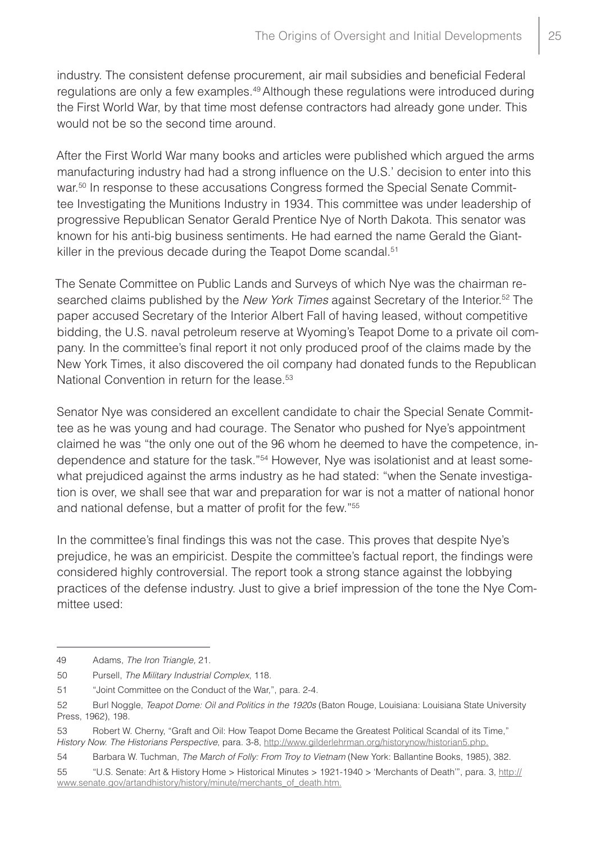industry. The consistent defense procurement, air mail subsidies and beneficial Federal regulations are only a few examples.<sup>49</sup> Although these regulations were introduced during the First World War, by that time most defense contractors had already gone under. This would not be so the second time around.

After the First World War many books and articles were published which argued the arms manufacturing industry had had a strong influence on the U.S.' decision to enter into this war.<sup>50</sup> In response to these accusations Congress formed the Special Senate Committee Investigating the Munitions Industry in 1934. This committee was under leadership of progressive Republican Senator Gerald Prentice Nye of North Dakota. This senator was known for his anti-big business sentiments. He had earned the name Gerald the Giantkiller in the previous decade during the Teapot Dome scandal.<sup>51</sup>

The Senate Committee on Public Lands and Surveys of which Nye was the chairman researched claims published by the *New York Times* against Secretary of the Interior.52 The paper accused Secretary of the Interior Albert Fall of having leased, without competitive bidding, the U.S. naval petroleum reserve at Wyoming's Teapot Dome to a private oil company. In the committee's final report it not only produced proof of the claims made by the New York Times, it also discovered the oil company had donated funds to the Republican National Convention in return for the lease.<sup>53</sup>

Senator Nye was considered an excellent candidate to chair the Special Senate Committee as he was young and had courage. The Senator who pushed for Nye's appointment claimed he was "the only one out of the 96 whom he deemed to have the competence, independence and stature for the task."54 However, Nye was isolationist and at least somewhat prejudiced against the arms industry as he had stated: "when the Senate investigation is over, we shall see that war and preparation for war is not a matter of national honor and national defense, but a matter of profit for the few."55

In the committee's final findings this was not the case. This proves that despite Nye's prejudice, he was an empiricist. Despite the committee's factual report, the findings were considered highly controversial. The report took a strong stance against the lobbying practices of the defense industry. Just to give a brief impression of the tone the Nye Committee used:

<sup>49</sup> Adams, *The Iron Triangle,* 21.

<sup>50</sup> Pursell, *The Military Industrial Complex*, 118.

<sup>51</sup> "Joint Committee on the Conduct of the War,", para. 2-4.

<sup>52</sup> Burl Noggle, *Teapot Dome: Oil and Politics in the 1920s* (Baton Rouge, Louisiana: Louisiana State University Press, 1962), 198.

<sup>53</sup> Robert W. Cherny, "Graft and Oil: How Teapot Dome Became the Greatest Political Scandal of its Time," *History Now. The Historians Perspective*, para. 3-8, http://www.gilderlehrman.org/historynow/historian5.php.

<sup>54</sup> Barbara W. Tuchman, *The March of Folly: From Troy to Vietnam* (New York: Ballantine Books, 1985), 382.

<sup>55</sup> "U.S. Senate: Art & History Home > Historical Minutes > 1921-1940 > 'Merchants of Death'", para. 3, http:// www.senate.gov/artandhistory/history/minute/merchants\_of\_death.htm.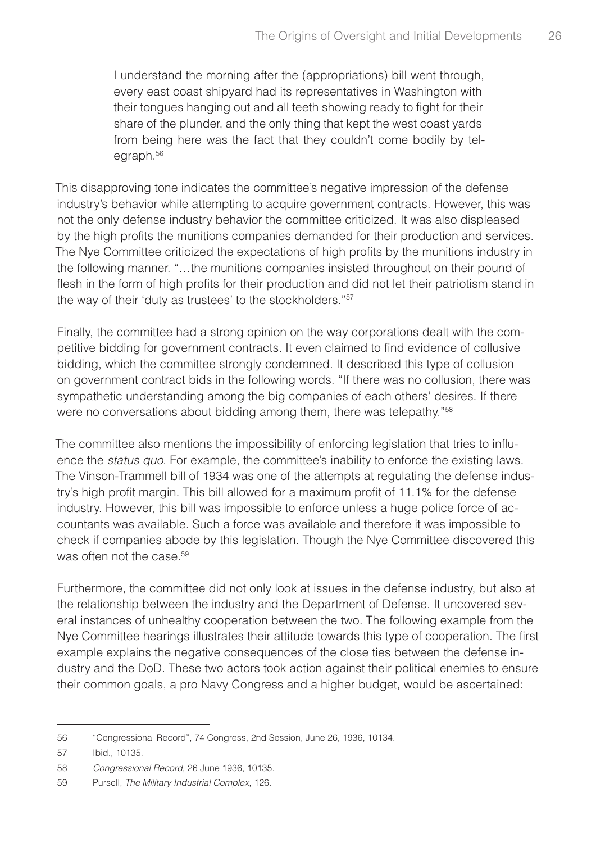I understand the morning after the (appropriations) bill went through, every east coast shipyard had its representatives in Washington with their tongues hanging out and all teeth showing ready to fight for their share of the plunder, and the only thing that kept the west coast yards from being here was the fact that they couldn't come bodily by telegraph.56

This disapproving tone indicates the committee's negative impression of the defense industry's behavior while attempting to acquire government contracts. However, this was not the only defense industry behavior the committee criticized. It was also displeased by the high profits the munitions companies demanded for their production and services. The Nye Committee criticized the expectations of high profits by the munitions industry in the following manner. "…the munitions companies insisted throughout on their pound of flesh in the form of high profits for their production and did not let their patriotism stand in the way of their 'duty as trustees' to the stockholders."57

Finally, the committee had a strong opinion on the way corporations dealt with the competitive bidding for government contracts. It even claimed to find evidence of collusive bidding, which the committee strongly condemned. It described this type of collusion on government contract bids in the following words. "If there was no collusion, there was sympathetic understanding among the big companies of each others' desires. If there were no conversations about bidding among them, there was telepathy."<sup>58</sup>

The committee also mentions the impossibility of enforcing legislation that tries to influence the *status quo*. For example, the committee's inability to enforce the existing laws. The Vinson-Trammell bill of 1934 was one of the attempts at regulating the defense industry's high profit margin. This bill allowed for a maximum profit of 11.1% for the defense industry. However, this bill was impossible to enforce unless a huge police force of accountants was available. Such a force was available and therefore it was impossible to check if companies abode by this legislation. Though the Nye Committee discovered this was often not the case.<sup>59</sup>

Furthermore, the committee did not only look at issues in the defense industry, but also at the relationship between the industry and the Department of Defense. It uncovered several instances of unhealthy cooperation between the two. The following example from the Nye Committee hearings illustrates their attitude towards this type of cooperation. The first example explains the negative consequences of the close ties between the defense industry and the DoD. These two actors took action against their political enemies to ensure their common goals, a pro Navy Congress and a higher budget, would be ascertained:

<sup>56</sup> "Congressional Record", 74 Congress, 2nd Session, June 26, 1936, 10134.

<sup>57</sup> Ibid., 10135.

<sup>58</sup> *Congressional Record*, 26 June 1936, 10135.

<sup>59</sup> Pursell, *The Military Industrial Complex*, 126.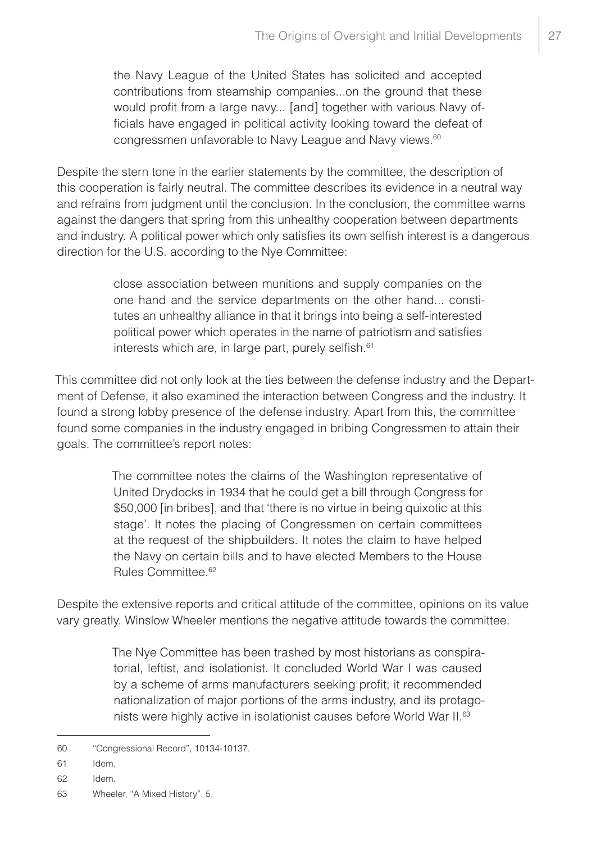the Navy League of the United States has solicited and accepted contributions from steamship companies...on the ground that these would profit from a large navy... [and] together with various Navy officials have engaged in political activity looking toward the defeat of congressmen unfavorable to Navy League and Navy views.<sup>60</sup>

Despite the stern tone in the earlier statements by the committee, the description of this cooperation is fairly neutral. The committee describes its evidence in a neutral way and refrains from judgment until the conclusion. In the conclusion, the committee warns against the dangers that spring from this unhealthy cooperation between departments and industry. A political power which only satisfies its own selfish interest is a dangerous direction for the U.S. according to the Nye Committee:

> close association between munitions and supply companies on the one hand and the service departments on the other hand... constitutes an unhealthy alliance in that it brings into being a self-interested political power which operates in the name of patriotism and satisfies interests which are, in large part, purely selfish.<sup>61</sup>

This committee did not only look at the ties between the defense industry and the Department of Defense, it also examined the interaction between Congress and the industry. It found a strong lobby presence of the defense industry. Apart from this, the committee found some companies in the industry engaged in bribing Congressmen to attain their goals. The committee's report notes:

> The committee notes the claims of the Washington representative of United Drydocks in 1934 that he could get a bill through Congress for \$50,000 [in bribes], and that 'there is no virtue in being quixotic at this stage'. It notes the placing of Congressmen on certain committees at the request of the shipbuilders. It notes the claim to have helped the Navy on certain bills and to have elected Members to the House Rules Committee.62

Despite the extensive reports and critical attitude of the committee, opinions on its value vary greatly. Winslow Wheeler mentions the negative attitude towards the committee.

> The Nye Committee has been trashed by most historians as conspiratorial, leftist, and isolationist. It concluded World War I was caused by a scheme of arms manufacturers seeking profit; it recommended nationalization of major portions of the arms industry, and its protagonists were highly active in isolationist causes before World War II.63

<sup>60</sup> "Congressional Record", 10134-10137.

<sup>61</sup> Idem.

<sup>62</sup> Idem.

<sup>63</sup> Wheeler, "A Mixed History", 5.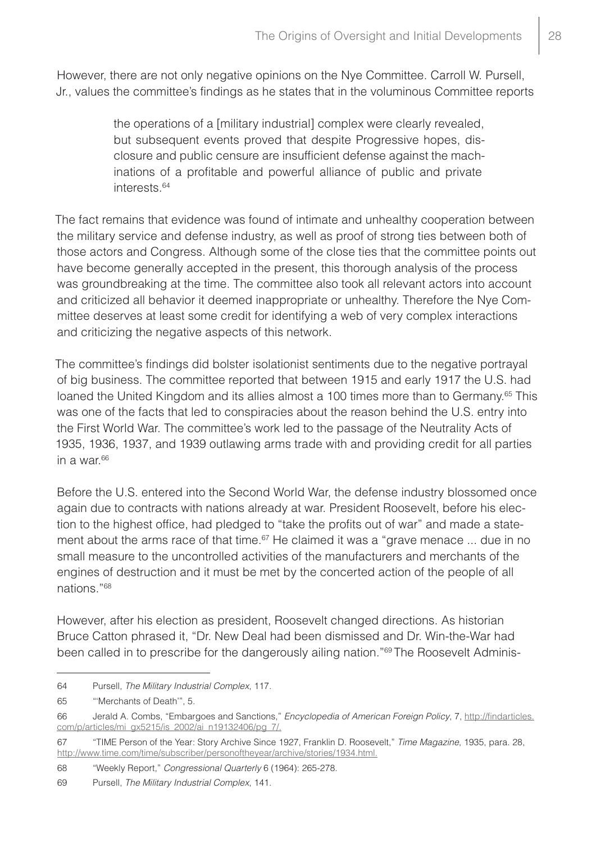However, there are not only negative opinions on the Nye Committee. Carroll W. Pursell, Jr., values the committee's findings as he states that in the voluminous Committee reports

> the operations of a [military industrial] complex were clearly revealed, but subsequent events proved that despite Progressive hopes, disclosure and public censure are insufficient defense against the machinations of a profitable and powerful alliance of public and private interests.64

The fact remains that evidence was found of intimate and unhealthy cooperation between the military service and defense industry, as well as proof of strong ties between both of those actors and Congress. Although some of the close ties that the committee points out have become generally accepted in the present, this thorough analysis of the process was groundbreaking at the time. The committee also took all relevant actors into account and criticized all behavior it deemed inappropriate or unhealthy. Therefore the Nye Committee deserves at least some credit for identifying a web of very complex interactions and criticizing the negative aspects of this network.

The committee's findings did bolster isolationist sentiments due to the negative portrayal of big business. The committee reported that between 1915 and early 1917 the U.S. had loaned the United Kingdom and its allies almost a 100 times more than to Germany.<sup>65</sup> This was one of the facts that led to conspiracies about the reason behind the U.S. entry into the First World War. The committee's work led to the passage of the Neutrality Acts of 1935, 1936, 1937, and 1939 outlawing arms trade with and providing credit for all parties in a war. $66$ 

Before the U.S. entered into the Second World War, the defense industry blossomed once again due to contracts with nations already at war. President Roosevelt, before his election to the highest office, had pledged to "take the profits out of war" and made a statement about the arms race of that time.<sup>67</sup> He claimed it was a "grave menace ... due in no small measure to the uncontrolled activities of the manufacturers and merchants of the engines of destruction and it must be met by the concerted action of the people of all nations."68

However, after his election as president, Roosevelt changed directions. As historian Bruce Catton phrased it, "Dr. New Deal had been dismissed and Dr. Win-the-War had been called in to prescribe for the dangerously ailing nation."<sup>69</sup> The Roosevelt Adminis-

68 "Weekly Report," *Congressional Quarterly* 6 (1964): 265-278.

<sup>64</sup> Pursell, *The Military Industrial Complex*, 117.

<sup>65</sup> "'Merchants of Death'", 5.

<sup>66</sup> Jerald A. Combs, "Embargoes and Sanctions," *Encyclopedia of American Foreign Policy*, 7, http://findarticles. com/p/articles/mi\_gx5215/is\_2002/ai\_n19132406/pg\_7/.

<sup>67</sup> "TIME Person of the Year: Story Archive Since 1927, Franklin D. Roosevelt," *Time Magazine*, 1935, para. 28, http://www.time.com/time/subscriber/personoftheyear/archive/stories/1934.html.

<sup>69</sup> Pursell, *The Military Industrial Complex*, 141.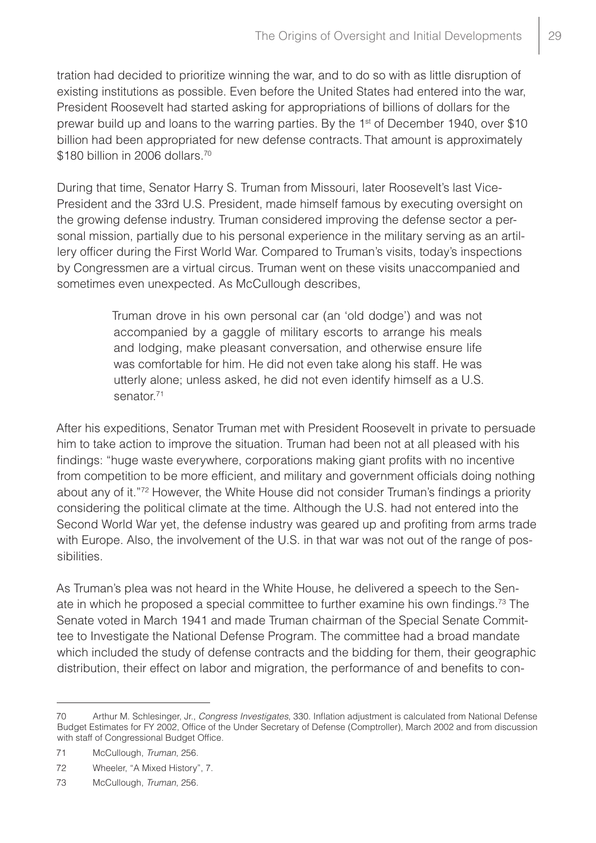tration had decided to prioritize winning the war, and to do so with as little disruption of existing institutions as possible. Even before the United States had entered into the war, President Roosevelt had started asking for appropriations of billions of dollars for the prewar build up and loans to the warring parties. By the 1<sup>st</sup> of December 1940, over \$10 billion had been appropriated for new defense contracts. That amount is approximately \$180 billion in 2006 dollars.<sup>70</sup>

During that time, Senator Harry S. Truman from Missouri, later Roosevelt's last Vice-President and the 33rd U.S. President, made himself famous by executing oversight on the growing defense industry. Truman considered improving the defense sector a personal mission, partially due to his personal experience in the military serving as an artillery officer during the First World War. Compared to Truman's visits, today's inspections by Congressmen are a virtual circus. Truman went on these visits unaccompanied and sometimes even unexpected. As McCullough describes,

> Truman drove in his own personal car (an 'old dodge') and was not accompanied by a gaggle of military escorts to arrange his meals and lodging, make pleasant conversation, and otherwise ensure life was comfortable for him. He did not even take along his staff. He was utterly alone; unless asked, he did not even identify himself as a U.S. senator.<sup>71</sup>

After his expeditions, Senator Truman met with President Roosevelt in private to persuade him to take action to improve the situation. Truman had been not at all pleased with his findings: "huge waste everywhere, corporations making giant profits with no incentive from competition to be more efficient, and military and government officials doing nothing about any of it."72 However, the White House did not consider Truman's findings a priority considering the political climate at the time. Although the U.S. had not entered into the Second World War yet, the defense industry was geared up and profiting from arms trade with Europe. Also, the involvement of the U.S. in that war was not out of the range of possibilities.

As Truman's plea was not heard in the White House, he delivered a speech to the Senate in which he proposed a special committee to further examine his own findings.<sup>73</sup> The Senate voted in March 1941 and made Truman chairman of the Special Senate Committee to Investigate the National Defense Program. The committee had a broad mandate which included the study of defense contracts and the bidding for them, their geographic distribution, their effect on labor and migration, the performance of and benefits to con-

<sup>70</sup> Arthur M. Schlesinger, Jr., *Congress Investigates*, 330. Inflation adjustment is calculated from National Defense Budget Estimates for FY 2002, Office of the Under Secretary of Defense (Comptroller), March 2002 and from discussion with staff of Congressional Budget Office.

<sup>71</sup> McCullough, *Truman*, 256.

<sup>72</sup> Wheeler, "A Mixed History", 7.

<sup>73</sup> McCullough, *Truman*, 256.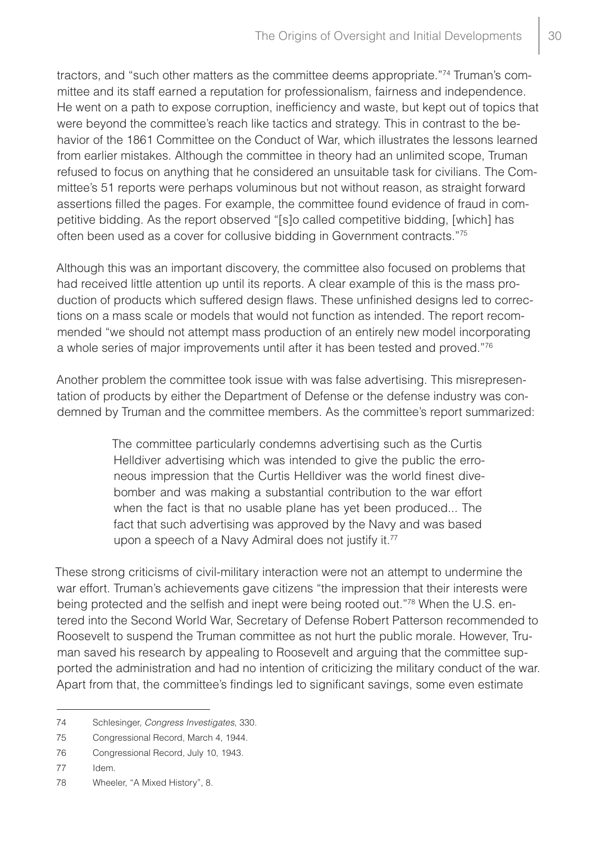tractors, and "such other matters as the committee deems appropriate."74 Truman's committee and its staff earned a reputation for professionalism, fairness and independence. He went on a path to expose corruption, inefficiency and waste, but kept out of topics that were beyond the committee's reach like tactics and strategy. This in contrast to the behavior of the 1861 Committee on the Conduct of War, which illustrates the lessons learned from earlier mistakes. Although the committee in theory had an unlimited scope, Truman refused to focus on anything that he considered an unsuitable task for civilians. The Committee's 51 reports were perhaps voluminous but not without reason, as straight forward assertions filled the pages. For example, the committee found evidence of fraud in competitive bidding. As the report observed "[s]o called competitive bidding, [which] has often been used as a cover for collusive bidding in Government contracts."75

Although this was an important discovery, the committee also focused on problems that had received little attention up until its reports. A clear example of this is the mass production of products which suffered design flaws. These unfinished designs led to corrections on a mass scale or models that would not function as intended. The report recommended "we should not attempt mass production of an entirely new model incorporating a whole series of major improvements until after it has been tested and proved."76

Another problem the committee took issue with was false advertising. This misrepresentation of products by either the Department of Defense or the defense industry was condemned by Truman and the committee members. As the committee's report summarized:

> The committee particularly condemns advertising such as the Curtis Helldiver advertising which was intended to give the public the erroneous impression that the Curtis Helldiver was the world finest divebomber and was making a substantial contribution to the war effort when the fact is that no usable plane has yet been produced... The fact that such advertising was approved by the Navy and was based upon a speech of a Navy Admiral does not justify it.<sup>77</sup>

These strong criticisms of civil-military interaction were not an attempt to undermine the war effort. Truman's achievements gave citizens "the impression that their interests were being protected and the selfish and inept were being rooted out."78 When the U.S. entered into the Second World War, Secretary of Defense Robert Patterson recommended to Roosevelt to suspend the Truman committee as not hurt the public morale. However, Truman saved his research by appealing to Roosevelt and arguing that the committee supported the administration and had no intention of criticizing the military conduct of the war. Apart from that, the committee's findings led to significant savings, some even estimate

<sup>74</sup> Schlesinger, *Congress Investigates*, 330.

<sup>75</sup> Congressional Record, March 4, 1944.

<sup>76</sup> Congressional Record, July 10, 1943.

<sup>77</sup> Idem.

<sup>78</sup> Wheeler, "A Mixed History", 8.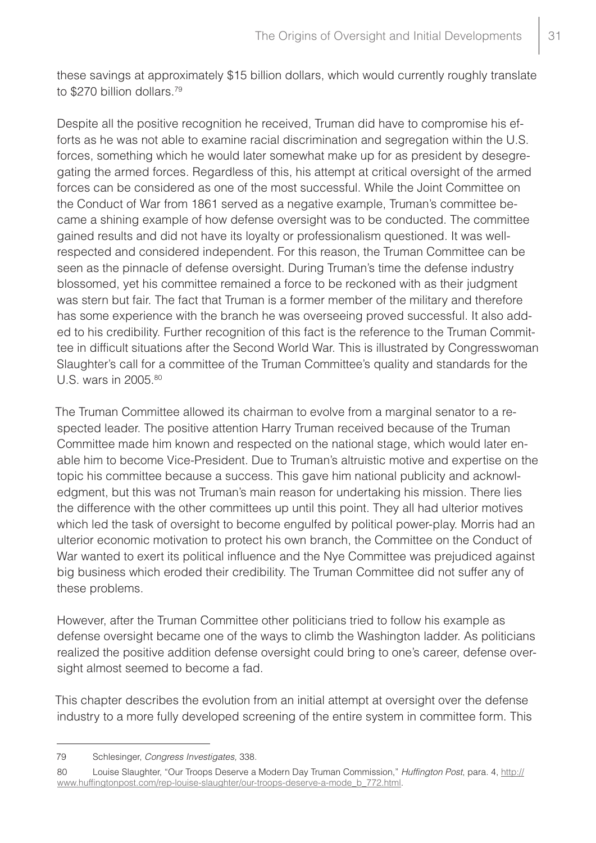these savings at approximately \$15 billion dollars, which would currently roughly translate to \$270 billion dollars.79

Despite all the positive recognition he received, Truman did have to compromise his efforts as he was not able to examine racial discrimination and segregation within the U.S. forces, something which he would later somewhat make up for as president by desegregating the armed forces. Regardless of this, his attempt at critical oversight of the armed forces can be considered as one of the most successful. While the Joint Committee on the Conduct of War from 1861 served as a negative example, Truman's committee became a shining example of how defense oversight was to be conducted. The committee gained results and did not have its loyalty or professionalism questioned. It was wellrespected and considered independent. For this reason, the Truman Committee can be seen as the pinnacle of defense oversight. During Truman's time the defense industry blossomed, yet his committee remained a force to be reckoned with as their judgment was stern but fair. The fact that Truman is a former member of the military and therefore has some experience with the branch he was overseeing proved successful. It also added to his credibility. Further recognition of this fact is the reference to the Truman Committee in difficult situations after the Second World War. This is illustrated by Congresswoman Slaughter's call for a committee of the Truman Committee's quality and standards for the U.S. wars in 2005.80

The Truman Committee allowed its chairman to evolve from a marginal senator to a respected leader. The positive attention Harry Truman received because of the Truman Committee made him known and respected on the national stage, which would later enable him to become Vice-President. Due to Truman's altruistic motive and expertise on the topic his committee because a success. This gave him national publicity and acknowledgment, but this was not Truman's main reason for undertaking his mission. There lies the difference with the other committees up until this point. They all had ulterior motives which led the task of oversight to become engulfed by political power-play. Morris had an ulterior economic motivation to protect his own branch, the Committee on the Conduct of War wanted to exert its political influence and the Nye Committee was prejudiced against big business which eroded their credibility. The Truman Committee did not suffer any of these problems.

However, after the Truman Committee other politicians tried to follow his example as defense oversight became one of the ways to climb the Washington ladder. As politicians realized the positive addition defense oversight could bring to one's career, defense oversight almost seemed to become a fad.

This chapter describes the evolution from an initial attempt at oversight over the defense industry to a more fully developed screening of the entire system in committee form. This

<sup>79</sup> Schlesinger, *Congress Investigates,* 338.

<sup>80</sup> Louise Slaughter, "Our Troops Deserve a Modern Day Truman Commission," *Huffington Post*, para. 4, http:// www.huffingtonpost.com/rep-louise-slaughter/our-troops-deserve-a-mode\_b\_772.html.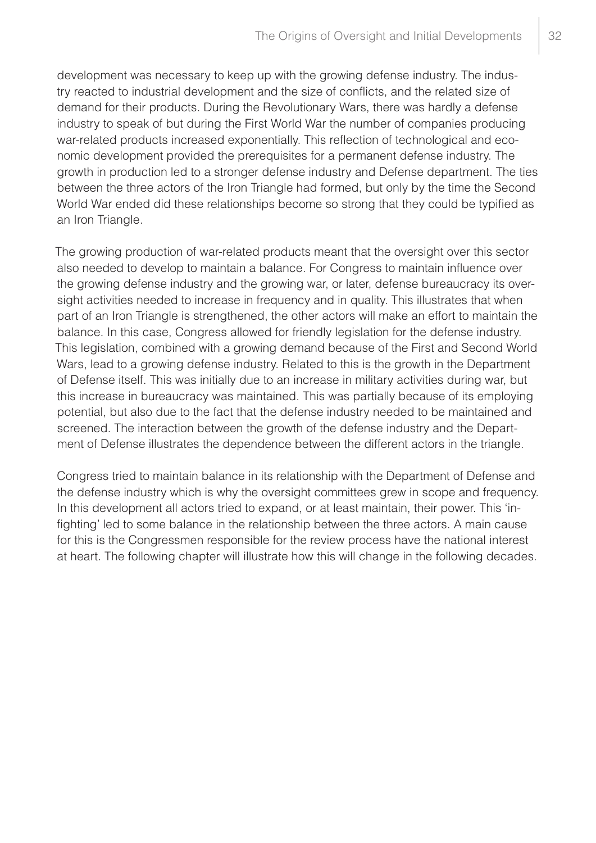development was necessary to keep up with the growing defense industry. The industry reacted to industrial development and the size of conflicts, and the related size of demand for their products. During the Revolutionary Wars, there was hardly a defense industry to speak of but during the First World War the number of companies producing war-related products increased exponentially. This reflection of technological and economic development provided the prerequisites for a permanent defense industry. The growth in production led to a stronger defense industry and Defense department. The ties between the three actors of the Iron Triangle had formed, but only by the time the Second World War ended did these relationships become so strong that they could be typified as an Iron Triangle.

The growing production of war-related products meant that the oversight over this sector also needed to develop to maintain a balance. For Congress to maintain influence over the growing defense industry and the growing war, or later, defense bureaucracy its oversight activities needed to increase in frequency and in quality. This illustrates that when part of an Iron Triangle is strengthened, the other actors will make an effort to maintain the balance. In this case, Congress allowed for friendly legislation for the defense industry. This legislation, combined with a growing demand because of the First and Second World Wars, lead to a growing defense industry. Related to this is the growth in the Department of Defense itself. This was initially due to an increase in military activities during war, but this increase in bureaucracy was maintained. This was partially because of its employing potential, but also due to the fact that the defense industry needed to be maintained and screened. The interaction between the growth of the defense industry and the Department of Defense illustrates the dependence between the different actors in the triangle.

Congress tried to maintain balance in its relationship with the Department of Defense and the defense industry which is why the oversight committees grew in scope and frequency. In this development all actors tried to expand, or at least maintain, their power. This 'infighting' led to some balance in the relationship between the three actors. A main cause for this is the Congressmen responsible for the review process have the national interest at heart. The following chapter will illustrate how this will change in the following decades.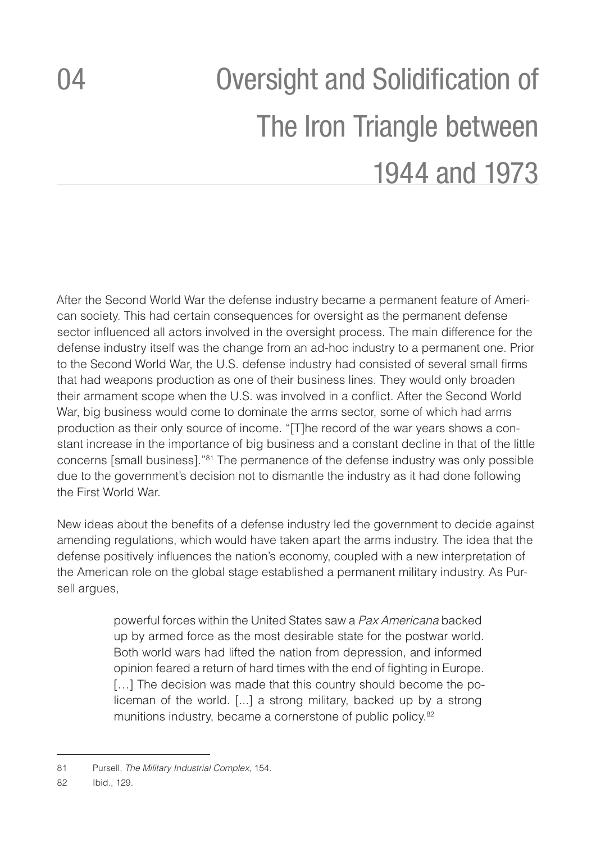# <span id="page-33-0"></span>04 Oversight and Solidification of The Iron Triangle between 1944 and 1973

After the Second World War the defense industry became a permanent feature of American society. This had certain consequences for oversight as the permanent defense sector influenced all actors involved in the oversight process. The main difference for the defense industry itself was the change from an ad-hoc industry to a permanent one. Prior to the Second World War, the U.S. defense industry had consisted of several small firms that had weapons production as one of their business lines. They would only broaden their armament scope when the U.S. was involved in a conflict. After the Second World War, big business would come to dominate the arms sector, some of which had arms production as their only source of income. "[T]he record of the war years shows a constant increase in the importance of big business and a constant decline in that of the little concerns [small business]."81 The permanence of the defense industry was only possible due to the government's decision not to dismantle the industry as it had done following the First World War.

New ideas about the benefits of a defense industry led the government to decide against amending regulations, which would have taken apart the arms industry. The idea that the defense positively influences the nation's economy, coupled with a new interpretation of the American role on the global stage established a permanent military industry. As Pursell argues,

> powerful forces within the United States saw a *Pax Americana* backed up by armed force as the most desirable state for the postwar world. Both world wars had lifted the nation from depression, and informed opinion feared a return of hard times with the end of fighting in Europe. [...] The decision was made that this country should become the policeman of the world. [...] a strong military, backed up by a strong munitions industry, became a cornerstone of public policy.82

<sup>81</sup> Pursell, *The Military Industrial Complex*, 154.

<sup>82</sup> Ibid., 129.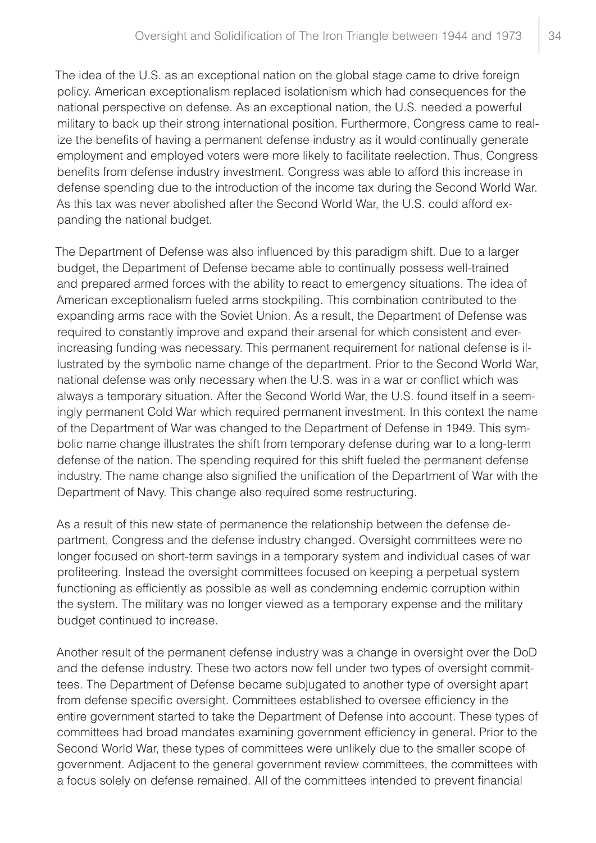The idea of the U.S. as an exceptional nation on the global stage came to drive foreign policy. American exceptionalism replaced isolationism which had consequences for the national perspective on defense. As an exceptional nation, the U.S. needed a powerful military to back up their strong international position. Furthermore, Congress came to realize the benefits of having a permanent defense industry as it would continually generate employment and employed voters were more likely to facilitate reelection. Thus, Congress benefits from defense industry investment. Congress was able to afford this increase in defense spending due to the introduction of the income tax during the Second World War. As this tax was never abolished after the Second World War, the U.S. could afford expanding the national budget.

The Department of Defense was also influenced by this paradigm shift. Due to a larger budget, the Department of Defense became able to continually possess well-trained and prepared armed forces with the ability to react to emergency situations. The idea of American exceptionalism fueled arms stockpiling. This combination contributed to the expanding arms race with the Soviet Union. As a result, the Department of Defense was required to constantly improve and expand their arsenal for which consistent and everincreasing funding was necessary. This permanent requirement for national defense is illustrated by the symbolic name change of the department. Prior to the Second World War, national defense was only necessary when the U.S. was in a war or conflict which was always a temporary situation. After the Second World War, the U.S. found itself in a seemingly permanent Cold War which required permanent investment. In this context the name of the Department of War was changed to the Department of Defense in 1949. This symbolic name change illustrates the shift from temporary defense during war to a long-term defense of the nation. The spending required for this shift fueled the permanent defense industry. The name change also signified the unification of the Department of War with the Department of Navy. This change also required some restructuring.

As a result of this new state of permanence the relationship between the defense department, Congress and the defense industry changed. Oversight committees were no longer focused on short-term savings in a temporary system and individual cases of war profiteering. Instead the oversight committees focused on keeping a perpetual system functioning as efficiently as possible as well as condemning endemic corruption within the system. The military was no longer viewed as a temporary expense and the military budget continued to increase.

Another result of the permanent defense industry was a change in oversight over the DoD and the defense industry. These two actors now fell under two types of oversight committees. The Department of Defense became subjugated to another type of oversight apart from defense specific oversight. Committees established to oversee efficiency in the entire government started to take the Department of Defense into account. These types of committees had broad mandates examining government efficiency in general. Prior to the Second World War, these types of committees were unlikely due to the smaller scope of government. Adjacent to the general government review committees, the committees with a focus solely on defense remained. All of the committees intended to prevent financial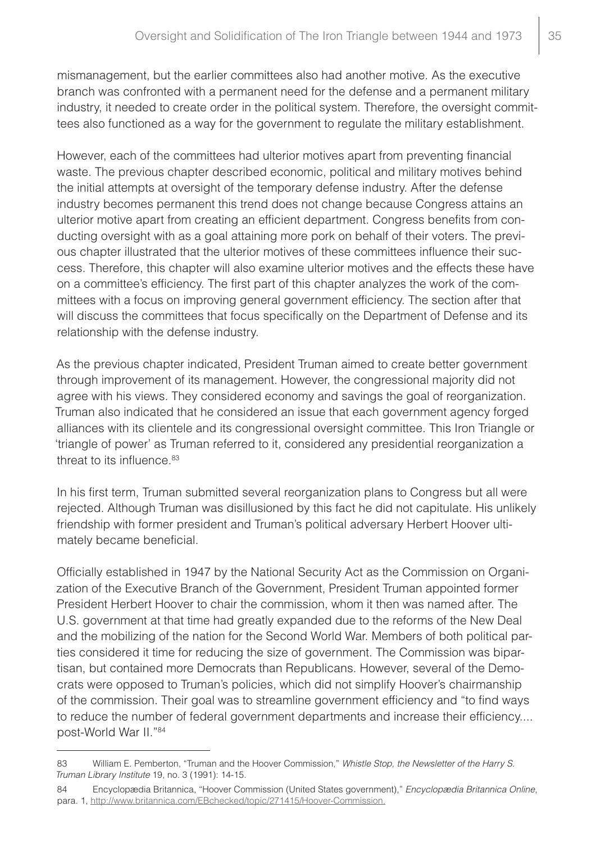mismanagement, but the earlier committees also had another motive. As the executive branch was confronted with a permanent need for the defense and a permanent military industry, it needed to create order in the political system. Therefore, the oversight committees also functioned as a way for the government to regulate the military establishment.

However, each of the committees had ulterior motives apart from preventing financial waste. The previous chapter described economic, political and military motives behind the initial attempts at oversight of the temporary defense industry. After the defense industry becomes permanent this trend does not change because Congress attains an ulterior motive apart from creating an efficient department. Congress benefits from conducting oversight with as a goal attaining more pork on behalf of their voters. The previous chapter illustrated that the ulterior motives of these committees influence their success. Therefore, this chapter will also examine ulterior motives and the effects these have on a committee's efficiency. The first part of this chapter analyzes the work of the committees with a focus on improving general government efficiency. The section after that will discuss the committees that focus specifically on the Department of Defense and its relationship with the defense industry.

As the previous chapter indicated, President Truman aimed to create better government through improvement of its management. However, the congressional majority did not agree with his views. They considered economy and savings the goal of reorganization. Truman also indicated that he considered an issue that each government agency forged alliances with its clientele and its congressional oversight committee. This Iron Triangle or 'triangle of power' as Truman referred to it, considered any presidential reorganization a threat to its influence.<sup>83</sup>

In his first term, Truman submitted several reorganization plans to Congress but all were rejected. Although Truman was disillusioned by this fact he did not capitulate. His unlikely friendship with former president and Truman's political adversary Herbert Hoover ultimately became beneficial.

Officially established in 1947 by the National Security Act as the Commission on Organization of the Executive Branch of the Government, President Truman appointed former President Herbert Hoover to chair the commission, whom it then was named after. The U.S. government at that time had greatly expanded due to the reforms of the New Deal and the mobilizing of the nation for the Second World War. Members of both political parties considered it time for reducing the size of government. The Commission was bipartisan, but contained more Democrats than Republicans. However, several of the Democrats were opposed to Truman's policies, which did not simplify Hoover's chairmanship of the commission. Their goal was to streamline government efficiency and "to find ways to reduce the number of federal government departments and increase their efficiency.... post-World War II."84

<sup>83</sup> William E. Pemberton, "Truman and the Hoover Commission," *Whistle Stop, the Newsletter of the Harry S. Truman Library Institute* 19, no. 3 (1991): 14-15.

<sup>84</sup> Encyclopædia Britannica, "Hoover Commission (United States government)," *Encyclopædia Britannica Online*, para. 1, http://www.britannica.com/EBchecked/topic/271415/Hoover-Commission.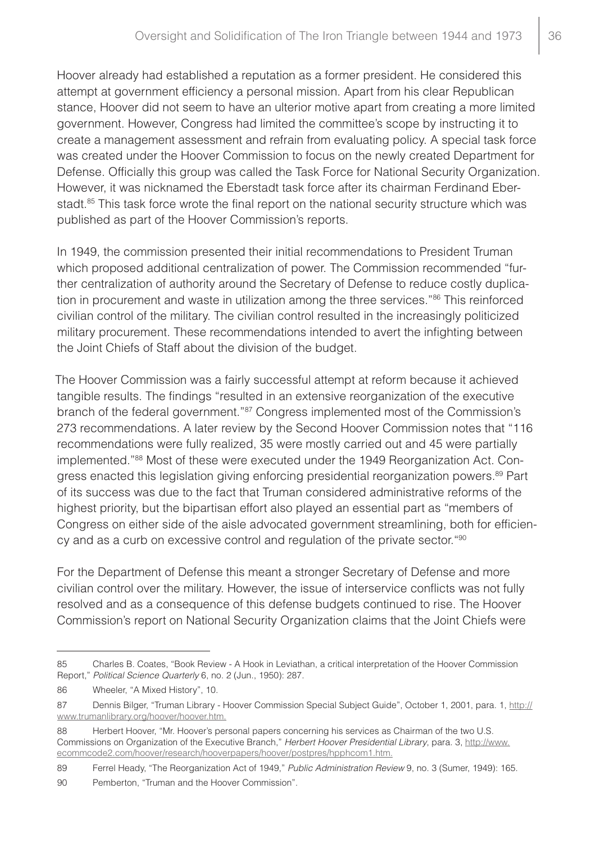Hoover already had established a reputation as a former president. He considered this attempt at government efficiency a personal mission. Apart from his clear Republican stance, Hoover did not seem to have an ulterior motive apart from creating a more limited government. However, Congress had limited the committee's scope by instructing it to create a management assessment and refrain from evaluating policy. A special task force was created under the Hoover Commission to focus on the newly created Department for Defense. Officially this group was called the Task Force for National Security Organization. However, it was nicknamed the Eberstadt task force after its chairman Ferdinand Eberstadt.<sup>85</sup> This task force wrote the final report on the national security structure which was published as part of the Hoover Commission's reports.

In 1949, the commission presented their initial recommendations to President Truman which proposed additional centralization of power. The Commission recommended "further centralization of authority around the Secretary of Defense to reduce costly duplication in procurement and waste in utilization among the three services."<sup>86</sup> This reinforced civilian control of the military. The civilian control resulted in the increasingly politicized military procurement. These recommendations intended to avert the infighting between the Joint Chiefs of Staff about the division of the budget.

The Hoover Commission was a fairly successful attempt at reform because it achieved tangible results. The findings "resulted in an extensive reorganization of the executive branch of the federal government."<sup>87</sup> Congress implemented most of the Commission's 273 recommendations. A later review by the Second Hoover Commission notes that "116 recommendations were fully realized, 35 were mostly carried out and 45 were partially implemented."88 Most of these were executed under the 1949 Reorganization Act. Congress enacted this legislation giving enforcing presidential reorganization powers.89 Part of its success was due to the fact that Truman considered administrative reforms of the highest priority, but the bipartisan effort also played an essential part as "members of Congress on either side of the aisle advocated government streamlining, both for efficiency and as a curb on excessive control and regulation of the private sector."90

For the Department of Defense this meant a stronger Secretary of Defense and more civilian control over the military. However, the issue of interservice conflicts was not fully resolved and as a consequence of this defense budgets continued to rise. The Hoover Commission's report on National Security Organization claims that the Joint Chiefs were

<sup>85</sup> Charles B. Coates, "Book Review - A Hook in Leviathan, a critical interpretation of the Hoover Commission Report," *Political Science Quarterly* 6, no. 2 (Jun., 1950): 287.

<sup>86</sup> Wheeler, "A Mixed History", 10.

<sup>87</sup> Dennis Bilger, "Truman Library - Hoover Commission Special Subject Guide", October 1, 2001, para. 1, http:// www.trumanlibrary.org/hoover/hoover.htm.

<sup>88</sup> Herbert Hoover, "Mr. Hoover's personal papers concerning his services as Chairman of the two U.S. Commissions on Organization of the Executive Branch," *Herbert Hoover Presidential Library*, para. 3, http://www. ecommcode2.com/hoover/research/hooverpapers/hoover/postpres/hpphcom1.htm.

<sup>89</sup> Ferrel Heady, "The Reorganization Act of 1949," *Public Administration Review* 9, no. 3 (Sumer, 1949): 165.

<sup>90</sup> Pemberton, "Truman and the Hoover Commission".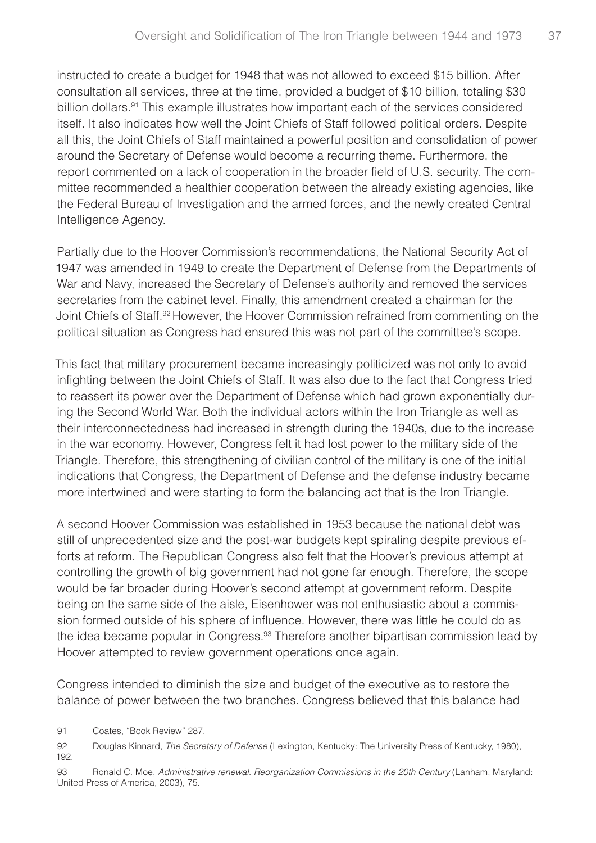instructed to create a budget for 1948 that was not allowed to exceed \$15 billion. After consultation all services, three at the time, provided a budget of \$10 billion, totaling \$30 billion dollars.<sup>91</sup> This example illustrates how important each of the services considered itself. It also indicates how well the Joint Chiefs of Staff followed political orders. Despite all this, the Joint Chiefs of Staff maintained a powerful position and consolidation of power around the Secretary of Defense would become a recurring theme. Furthermore, the report commented on a lack of cooperation in the broader field of U.S. security. The committee recommended a healthier cooperation between the already existing agencies, like the Federal Bureau of Investigation and the armed forces, and the newly created Central Intelligence Agency.

Partially due to the Hoover Commission's recommendations, the National Security Act of 1947 was amended in 1949 to create the Department of Defense from the Departments of War and Navy, increased the Secretary of Defense's authority and removed the services secretaries from the cabinet level. Finally, this amendment created a chairman for the Joint Chiefs of Staff.92 However, the Hoover Commission refrained from commenting on the political situation as Congress had ensured this was not part of the committee's scope.

This fact that military procurement became increasingly politicized was not only to avoid infighting between the Joint Chiefs of Staff. It was also due to the fact that Congress tried to reassert its power over the Department of Defense which had grown exponentially during the Second World War. Both the individual actors within the Iron Triangle as well as their interconnectedness had increased in strength during the 1940s, due to the increase in the war economy. However, Congress felt it had lost power to the military side of the Triangle. Therefore, this strengthening of civilian control of the military is one of the initial indications that Congress, the Department of Defense and the defense industry became more intertwined and were starting to form the balancing act that is the Iron Triangle.

A second Hoover Commission was established in 1953 because the national debt was still of unprecedented size and the post-war budgets kept spiraling despite previous efforts at reform. The Republican Congress also felt that the Hoover's previous attempt at controlling the growth of big government had not gone far enough. Therefore, the scope would be far broader during Hoover's second attempt at government reform. Despite being on the same side of the aisle, Eisenhower was not enthusiastic about a commission formed outside of his sphere of influence. However, there was little he could do as the idea became popular in Congress.<sup>93</sup> Therefore another bipartisan commission lead by Hoover attempted to review government operations once again.

Congress intended to diminish the size and budget of the executive as to restore the balance of power between the two branches. Congress believed that this balance had

<sup>91</sup> Coates, "Book Review" 287.

<sup>92</sup> Douglas Kinnard, *The Secretary of Defense* (Lexington, Kentucky: The University Press of Kentucky, 1980), 192.

<sup>93</sup> Ronald C. Moe, *Administrative renewal. Reorganization Commissions in the 20th Century* (Lanham, Maryland: United Press of America, 2003), 75.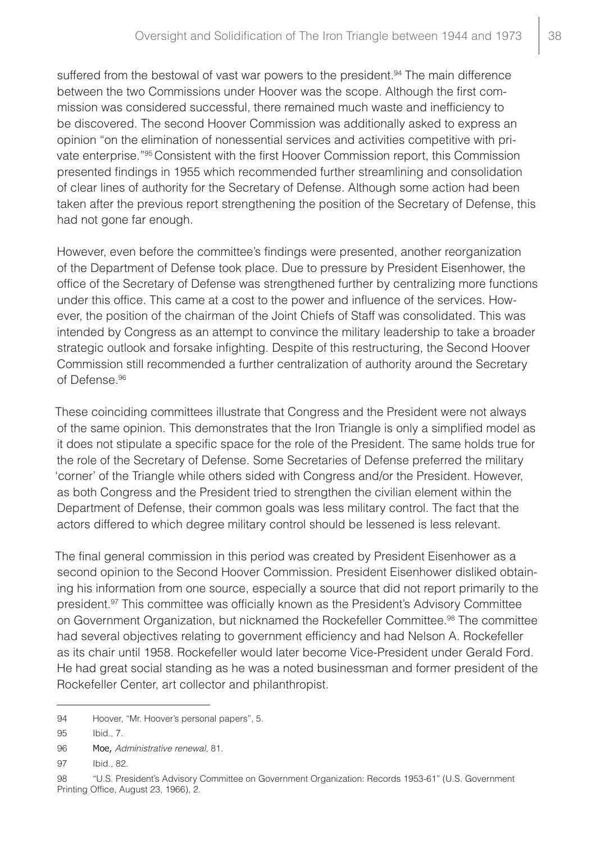suffered from the bestowal of vast war powers to the president.<sup>94</sup> The main difference between the two Commissions under Hoover was the scope. Although the first commission was considered successful, there remained much waste and inefficiency to be discovered. The second Hoover Commission was additionally asked to express an opinion "on the elimination of nonessential services and activities competitive with private enterprise."95 Consistent with the first Hoover Commission report, this Commission presented findings in 1955 which recommended further streamlining and consolidation of clear lines of authority for the Secretary of Defense. Although some action had been taken after the previous report strengthening the position of the Secretary of Defense, this had not gone far enough.

However, even before the committee's findings were presented, another reorganization of the Department of Defense took place. Due to pressure by President Eisenhower, the office of the Secretary of Defense was strengthened further by centralizing more functions under this office. This came at a cost to the power and influence of the services. However, the position of the chairman of the Joint Chiefs of Staff was consolidated. This was intended by Congress as an attempt to convince the military leadership to take a broader strategic outlook and forsake infighting. Despite of this restructuring, the Second Hoover Commission still recommended a further centralization of authority around the Secretary of Defense.96

These coinciding committees illustrate that Congress and the President were not always of the same opinion. This demonstrates that the Iron Triangle is only a simplified model as it does not stipulate a specific space for the role of the President. The same holds true for the role of the Secretary of Defense. Some Secretaries of Defense preferred the military 'corner' of the Triangle while others sided with Congress and/or the President. However, as both Congress and the President tried to strengthen the civilian element within the Department of Defense, their common goals was less military control. The fact that the actors differed to which degree military control should be lessened is less relevant.

The final general commission in this period was created by President Eisenhower as a second opinion to the Second Hoover Commission. President Eisenhower disliked obtaining his information from one source, especially a source that did not report primarily to the president.<sup>97</sup> This committee was officially known as the President's Advisory Committee on Government Organization, but nicknamed the Rockefeller Committee.<sup>98</sup> The committee had several objectives relating to government efficiency and had Nelson A. Rockefeller as its chair until 1958. Rockefeller would later become Vice-President under Gerald Ford. He had great social standing as he was a noted businessman and former president of the Rockefeller Center, art collector and philanthropist.

<sup>94</sup> Hoover, "Mr. Hoover's personal papers", 5.

<sup>95</sup> Ibid., 7.

<sup>96</sup> Moe, *Administrative renewal,* 81.

<sup>97</sup> Ibid., 82.

<sup>98</sup> "U.S. President's Advisory Committee on Government Organization: Records 1953-61" (U.S. Government Printing Office, August 23, 1966), 2.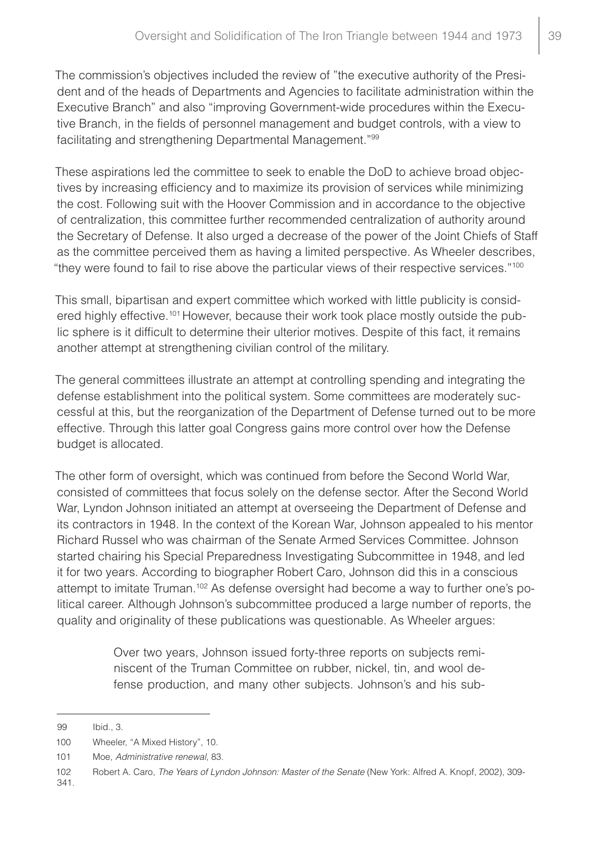The commission's objectives included the review of "the executive authority of the President and of the heads of Departments and Agencies to facilitate administration within the Executive Branch" and also "improving Government-wide procedures within the Executive Branch, in the fields of personnel management and budget controls, with a view to facilitating and strengthening Departmental Management."99

These aspirations led the committee to seek to enable the DoD to achieve broad objectives by increasing efficiency and to maximize its provision of services while minimizing the cost. Following suit with the Hoover Commission and in accordance to the objective of centralization, this committee further recommended centralization of authority around the Secretary of Defense. It also urged a decrease of the power of the Joint Chiefs of Staff as the committee perceived them as having a limited perspective. As Wheeler describes, "they were found to fail to rise above the particular views of their respective services."100

This small, bipartisan and expert committee which worked with little publicity is considered highly effective.<sup>101</sup> However, because their work took place mostly outside the public sphere is it difficult to determine their ulterior motives. Despite of this fact, it remains another attempt at strengthening civilian control of the military.

The general committees illustrate an attempt at controlling spending and integrating the defense establishment into the political system. Some committees are moderately successful at this, but the reorganization of the Department of Defense turned out to be more effective. Through this latter goal Congress gains more control over how the Defense budget is allocated.

The other form of oversight, which was continued from before the Second World War, consisted of committees that focus solely on the defense sector. After the Second World War, Lyndon Johnson initiated an attempt at overseeing the Department of Defense and its contractors in 1948. In the context of the Korean War, Johnson appealed to his mentor Richard Russel who was chairman of the Senate Armed Services Committee. Johnson started chairing his Special Preparedness Investigating Subcommittee in 1948, and led it for two years. According to biographer Robert Caro, Johnson did this in a conscious attempt to imitate Truman.<sup>102</sup> As defense oversight had become a way to further one's political career. Although Johnson's subcommittee produced a large number of reports, the quality and originality of these publications was questionable. As Wheeler argues:

> Over two years, Johnson issued forty-three reports on subjects reminiscent of the Truman Committee on rubber, nickel, tin, and wool defense production, and many other subjects. Johnson's and his sub-

341.

<sup>99</sup> Ibid., 3.

<sup>100</sup> Wheeler, "A Mixed History", 10.

<sup>101</sup> Moe, *Administrative renewal*, 83.

<sup>102</sup> Robert A. Caro, *The Years of Lyndon Johnson: Master of the Senate* (New York: Alfred A. Knopf, 2002), 309-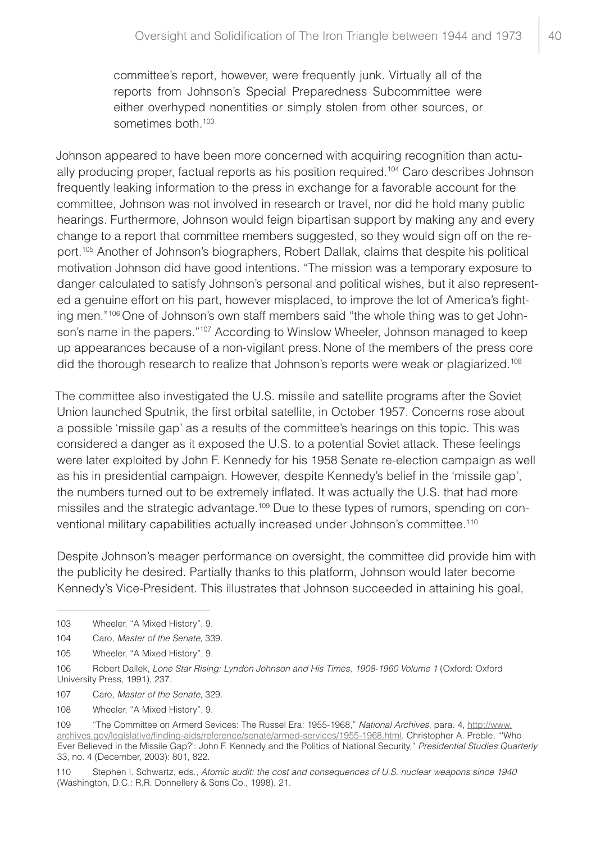committee's report, however, were frequently junk. Virtually all of the reports from Johnson's Special Preparedness Subcommittee were either overhyped nonentities or simply stolen from other sources, or sometimes both.<sup>103</sup>

Johnson appeared to have been more concerned with acquiring recognition than actually producing proper, factual reports as his position required.104 Caro describes Johnson frequently leaking information to the press in exchange for a favorable account for the committee, Johnson was not involved in research or travel, nor did he hold many public hearings. Furthermore, Johnson would feign bipartisan support by making any and every change to a report that committee members suggested, so they would sign off on the report.105 Another of Johnson's biographers, Robert Dallak, claims that despite his political motivation Johnson did have good intentions. "The mission was a temporary exposure to danger calculated to satisfy Johnson's personal and political wishes, but it also represented a genuine effort on his part, however misplaced, to improve the lot of America's fighting men."106 One of Johnson's own staff members said "the whole thing was to get Johnson's name in the papers."<sup>107</sup> According to Winslow Wheeler, Johnson managed to keep up appearances because of a non-vigilant press. None of the members of the press core did the thorough research to realize that Johnson's reports were weak or plagiarized.<sup>108</sup>

The committee also investigated the U.S. missile and satellite programs after the Soviet Union launched Sputnik, the first orbital satellite, in October 1957. Concerns rose about a possible 'missile gap' as a results of the committee's hearings on this topic. This was considered a danger as it exposed the U.S. to a potential Soviet attack. These feelings were later exploited by John F. Kennedy for his 1958 Senate re-election campaign as well as his in presidential campaign. However, despite Kennedy's belief in the 'missile gap', the numbers turned out to be extremely inflated. It was actually the U.S. that had more missiles and the strategic advantage.<sup>109</sup> Due to these types of rumors, spending on conventional military capabilities actually increased under Johnson's committee.<sup>110</sup>

Despite Johnson's meager performance on oversight, the committee did provide him with the publicity he desired. Partially thanks to this platform, Johnson would later become Kennedy's Vice-President. This illustrates that Johnson succeeded in attaining his goal,

107 Caro, *Master of the Senate*, 329.

<sup>103</sup> Wheeler, "A Mixed History", 9.

<sup>104</sup> Caro, *Master of the Senate*, 339.

<sup>105</sup> Wheeler, "A Mixed History", 9.

<sup>106</sup> Robert Dallek, *Lone Star Rising: Lyndon Johnson and His Times, 1908-1960 Volume 1* (Oxford: Oxford University Press, 1991), 237.

<sup>108</sup> Wheeler, "A Mixed History", 9.

<sup>109</sup> "The Committee on Armerd Sevices: The Russel Era: 1955-1968," *National Archives*, para. 4, [http://www.](http://www.archives.gov/legislative/finding-aids/reference/senate/armed-services/1955-1968.html) [archives.gov/legislative/finding-aids/reference/senate/armed-services/1955-1968.html](http://www.archives.gov/legislative/finding-aids/reference/senate/armed-services/1955-1968.html). Christopher A. Preble, "'Who Ever Believed in the Missile Gap?': John F. Kennedy and the Politics of National Security," *Presidential Studies Quarterly* 33, no. 4 (December, 2003): 801, 822.

<sup>110</sup> Stephen I. Schwartz, eds., *Atomic audit: the cost and consequences of U.S. nuclear weapons since 1940* (Washington, D.C.: R.R. Donnellery & Sons Co., 1998), 21.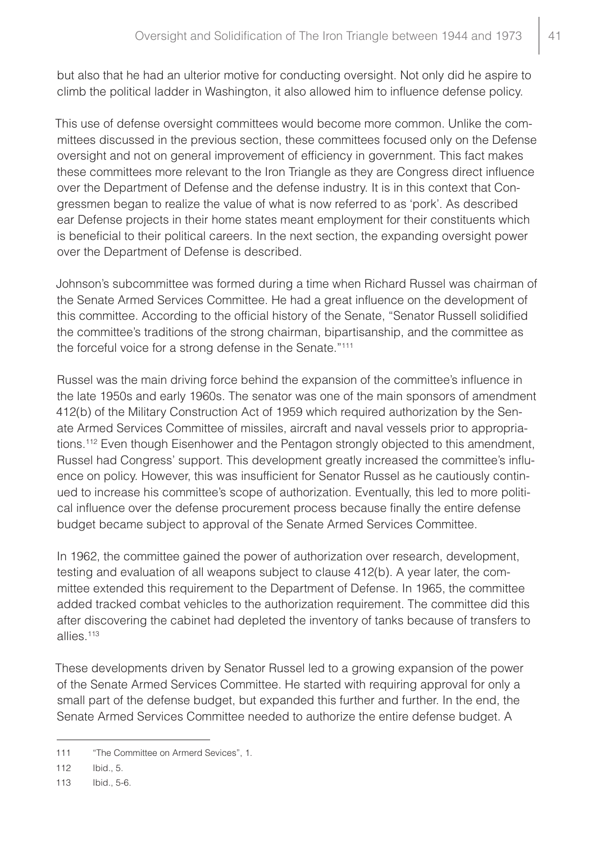but also that he had an ulterior motive for conducting oversight. Not only did he aspire to climb the political ladder in Washington, it also allowed him to influence defense policy.

This use of defense oversight committees would become more common. Unlike the committees discussed in the previous section, these committees focused only on the Defense oversight and not on general improvement of efficiency in government. This fact makes these committees more relevant to the Iron Triangle as they are Congress direct influence over the Department of Defense and the defense industry. It is in this context that Congressmen began to realize the value of what is now referred to as 'pork'. As described ear Defense projects in their home states meant employment for their constituents which is beneficial to their political careers. In the next section, the expanding oversight power over the Department of Defense is described.

Johnson's subcommittee was formed during a time when Richard Russel was chairman of the Senate Armed Services Committee. He had a great influence on the development of this committee. According to the official history of the Senate, "Senator Russell solidified the committee's traditions of the strong chairman, bipartisanship, and the committee as the forceful voice for a strong defense in the Senate."111

Russel was the main driving force behind the expansion of the committee's influence in the late 1950s and early 1960s. The senator was one of the main sponsors of amendment 412(b) of the Military Construction Act of 1959 which required authorization by the Senate Armed Services Committee of missiles, aircraft and naval vessels prior to appropriations.<sup>112</sup> Even though Eisenhower and the Pentagon strongly objected to this amendment, Russel had Congress' support. This development greatly increased the committee's influence on policy. However, this was insufficient for Senator Russel as he cautiously continued to increase his committee's scope of authorization. Eventually, this led to more political influence over the defense procurement process because finally the entire defense budget became subject to approval of the Senate Armed Services Committee.

In 1962, the committee gained the power of authorization over research, development, testing and evaluation of all weapons subject to clause 412(b). A year later, the committee extended this requirement to the Department of Defense. In 1965, the committee added tracked combat vehicles to the authorization requirement. The committee did this after discovering the cabinet had depleted the inventory of tanks because of transfers to allies.113

These developments driven by Senator Russel led to a growing expansion of the power of the Senate Armed Services Committee. He started with requiring approval for only a small part of the defense budget, but expanded this further and further. In the end, the Senate Armed Services Committee needed to authorize the entire defense budget. A

<sup>111</sup> "The Committee on Armerd Sevices", 1.

<sup>112</sup> Ibid., 5.

<sup>113</sup> Ibid., 5-6.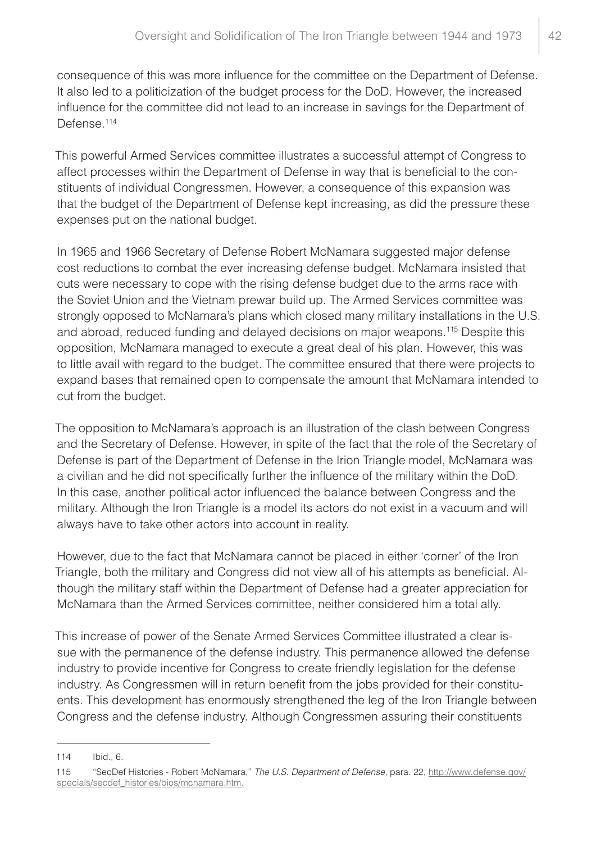consequence of this was more influence for the committee on the Department of Defense. It also led to a politicization of the budget process for the DoD. However, the increased influence for the committee did not lead to an increase in savings for the Department of Defense.<sup>114</sup>

This powerful Armed Services committee illustrates a successful attempt of Congress to affect processes within the Department of Defense in way that is beneficial to the constituents of individual Congressmen. However, a consequence of this expansion was that the budget of the Department of Defense kept increasing, as did the pressure these expenses put on the national budget.

In 1965 and 1966 Secretary of Defense Robert McNamara suggested major defense cost reductions to combat the ever increasing defense budget. McNamara insisted that cuts were necessary to cope with the rising defense budget due to the arms race with the Soviet Union and the Vietnam prewar build up. The Armed Services committee was strongly opposed to McNamara's plans which closed many military installations in the U.S. and abroad, reduced funding and delayed decisions on major weapons.<sup>115</sup> Despite this opposition, McNamara managed to execute a great deal of his plan. However, this was to little avail with regard to the budget. The committee ensured that there were projects to expand bases that remained open to compensate the amount that McNamara intended to cut from the budget.

The opposition to McNamara's approach is an illustration of the clash between Congress and the Secretary of Defense. However, in spite of the fact that the role of the Secretary of Defense is part of the Department of Defense in the Irion Triangle model, McNamara was a civilian and he did not specifically further the influence of the military within the DoD. In this case, another political actor influenced the balance between Congress and the military. Although the Iron Triangle is a model its actors do not exist in a vacuum and will always have to take other actors into account in reality.

However, due to the fact that McNamara cannot be placed in either 'corner' of the Iron Triangle, both the military and Congress did not view all of his attempts as beneficial. Although the military staff within the Department of Defense had a greater appreciation for McNamara than the Armed Services committee, neither considered him a total ally.

This increase of power of the Senate Armed Services Committee illustrated a clear issue with the permanence of the defense industry. This permanence allowed the defense industry to provide incentive for Congress to create friendly legislation for the defense industry. As Congressmen will in return benefit from the jobs provided for their constituents. This development has enormously strengthened the leg of the Iron Triangle between Congress and the defense industry. Although Congressmen assuring their constituents

<sup>114</sup> Ibid., 6.

<sup>115</sup> "SecDef Histories - Robert McNamara," *The U.S. Department of Defense*, para. 22, http://www.defense.gov/ specials/secdef\_histories/bios/mcnamara.htm.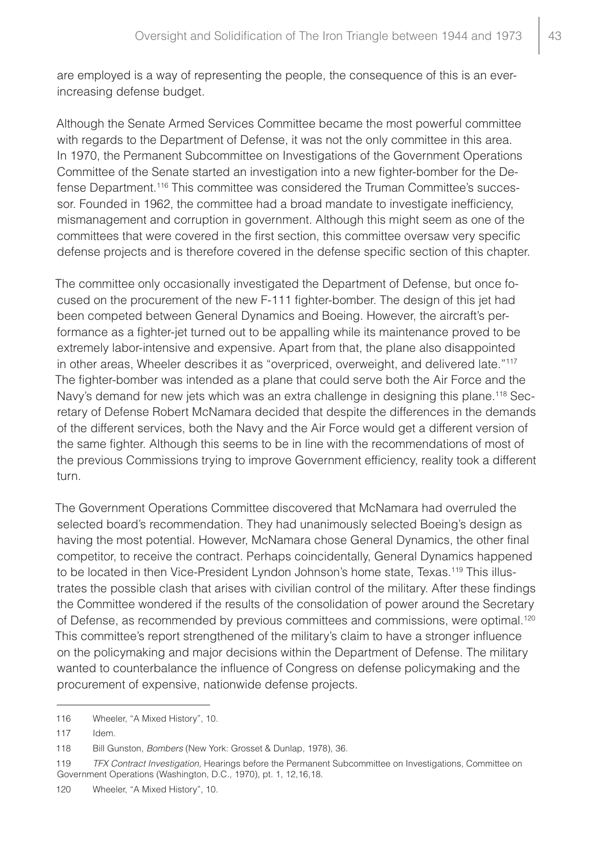are employed is a way of representing the people, the consequence of this is an everincreasing defense budget.

Although the Senate Armed Services Committee became the most powerful committee with regards to the Department of Defense, it was not the only committee in this area. In 1970, the Permanent Subcommittee on Investigations of the Government Operations Committee of the Senate started an investigation into a new fighter-bomber for the Defense Department.116 This committee was considered the Truman Committee's successor. Founded in 1962, the committee had a broad mandate to investigate inefficiency, mismanagement and corruption in government. Although this might seem as one of the committees that were covered in the first section, this committee oversaw very specific defense projects and is therefore covered in the defense specific section of this chapter.

The committee only occasionally investigated the Department of Defense, but once focused on the procurement of the new F-111 fighter-bomber. The design of this jet had been competed between General Dynamics and Boeing. However, the aircraft's performance as a fighter-jet turned out to be appalling while its maintenance proved to be extremely labor-intensive and expensive. Apart from that, the plane also disappointed in other areas, Wheeler describes it as "overpriced, overweight, and delivered late."117 The fighter-bomber was intended as a plane that could serve both the Air Force and the Navy's demand for new jets which was an extra challenge in designing this plane.<sup>118</sup> Secretary of Defense Robert McNamara decided that despite the differences in the demands of the different services, both the Navy and the Air Force would get a different version of the same fighter. Although this seems to be in line with the recommendations of most of the previous Commissions trying to improve Government efficiency, reality took a different turn.

The Government Operations Committee discovered that McNamara had overruled the selected board's recommendation. They had unanimously selected Boeing's design as having the most potential. However, McNamara chose General Dynamics, the other final competitor, to receive the contract. Perhaps coincidentally, General Dynamics happened to be located in then Vice-President Lyndon Johnson's home state, Texas.<sup>119</sup> This illustrates the possible clash that arises with civilian control of the military. After these findings the Committee wondered if the results of the consolidation of power around the Secretary of Defense, as recommended by previous committees and commissions, were optimal.120 This committee's report strengthened of the military's claim to have a stronger influence on the policymaking and major decisions within the Department of Defense. The military wanted to counterbalance the influence of Congress on defense policymaking and the procurement of expensive, nationwide defense projects.

<sup>116</sup> Wheeler, "A Mixed History", 10.

<sup>117</sup> Idem.

<sup>118</sup> Bill Gunston, *Bombers* (New York: Grosset & Dunlap, 1978), 36.

<sup>119</sup> *TFX Contract Investigation,* Hearings before the Permanent Subcommittee on Investigations, Committee on Government Operations (Washington, D.C., 1970), pt. 1, 12,16,18.

<sup>120</sup> Wheeler, "A Mixed History", 10.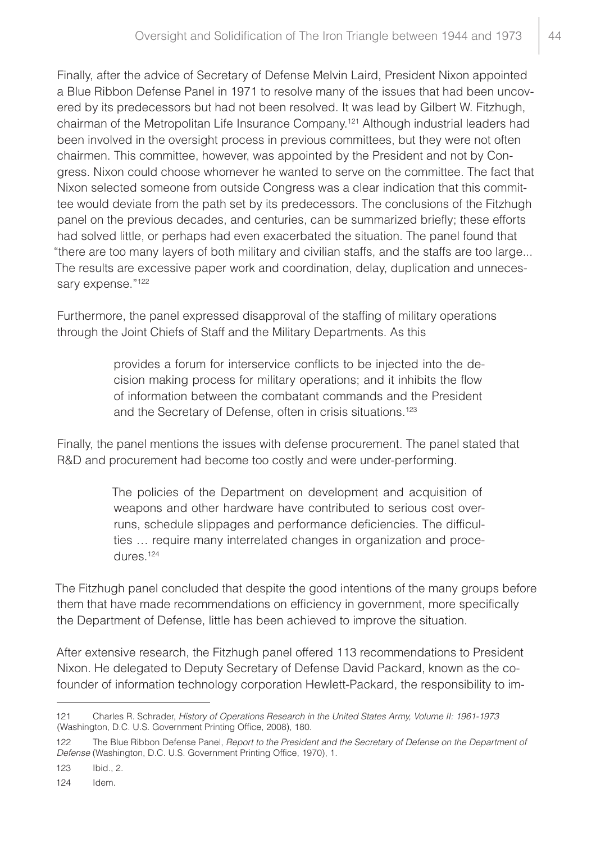Finally, after the advice of Secretary of Defense Melvin Laird, President Nixon appointed a Blue Ribbon Defense Panel in 1971 to resolve many of the issues that had been uncovered by its predecessors but had not been resolved. It was lead by Gilbert W. Fitzhugh, chairman of the Metropolitan Life Insurance Company.121 Although industrial leaders had been involved in the oversight process in previous committees, but they were not often chairmen. This committee, however, was appointed by the President and not by Congress. Nixon could choose whomever he wanted to serve on the committee. The fact that Nixon selected someone from outside Congress was a clear indication that this committee would deviate from the path set by its predecessors. The conclusions of the Fitzhugh panel on the previous decades, and centuries, can be summarized briefly; these efforts had solved little, or perhaps had even exacerbated the situation. The panel found that "there are too many layers of both military and civilian staffs, and the staffs are too large... The results are excessive paper work and coordination, delay, duplication and unnecessary expense."<sup>122</sup>

Furthermore, the panel expressed disapproval of the staffing of military operations through the Joint Chiefs of Staff and the Military Departments. As this

> provides a forum for interservice conflicts to be injected into the decision making process for military operations; and it inhibits the flow of information between the combatant commands and the President and the Secretary of Defense, often in crisis situations.<sup>123</sup>

Finally, the panel mentions the issues with defense procurement. The panel stated that R&D and procurement had become too costly and were under-performing.

> The policies of the Department on development and acquisition of weapons and other hardware have contributed to serious cost overruns, schedule slippages and performance deficiencies. The difficulties … require many interrelated changes in organization and procedures.124

The Fitzhugh panel concluded that despite the good intentions of the many groups before them that have made recommendations on efficiency in government, more specifically the Department of Defense, little has been achieved to improve the situation.

After extensive research, the Fitzhugh panel offered 113 recommendations to President Nixon. He delegated to Deputy Secretary of Defense David Packard, known as the cofounder of information technology corporation Hewlett-Packard, the responsibility to im-

123 Ibid., 2.

<sup>121</sup> Charles R. Schrader, *History of Operations Research in the United States Army, Volume II: 1961-1973* (Washington, D.C. U.S. Government Printing Office, 2008), 180.

<sup>122</sup> The Blue Ribbon Defense Panel, *Report to the President and the Secretary of Defense on the Department of Defense* (Washington, D.C. U.S. Government Printing Office, 1970), 1.

<sup>124</sup> Idem.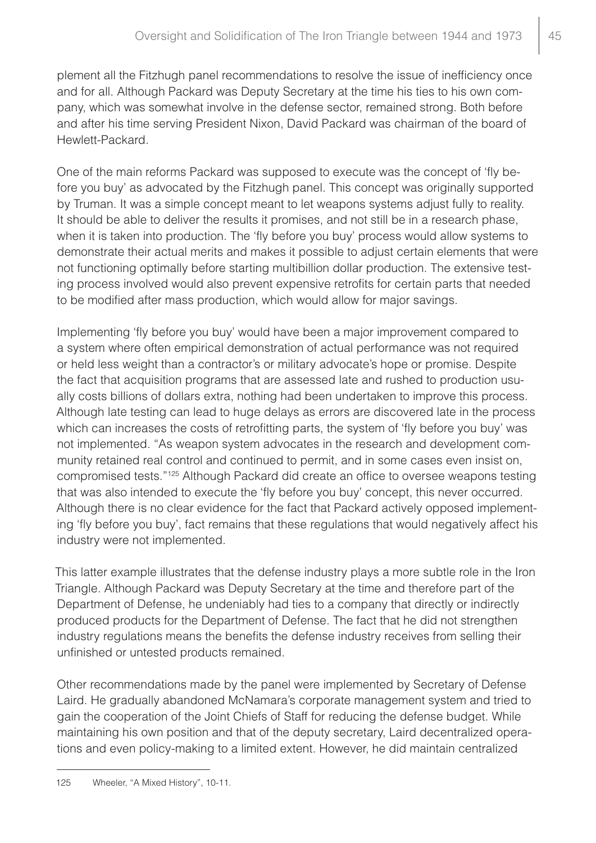plement all the Fitzhugh panel recommendations to resolve the issue of inefficiency once and for all. Although Packard was Deputy Secretary at the time his ties to his own company, which was somewhat involve in the defense sector, remained strong. Both before and after his time serving President Nixon, David Packard was chairman of the board of Hewlett-Packard.

One of the main reforms Packard was supposed to execute was the concept of 'fly before you buy' as advocated by the Fitzhugh panel. This concept was originally supported by Truman. It was a simple concept meant to let weapons systems adjust fully to reality. It should be able to deliver the results it promises, and not still be in a research phase, when it is taken into production. The 'fly before you buy' process would allow systems to demonstrate their actual merits and makes it possible to adjust certain elements that were not functioning optimally before starting multibillion dollar production. The extensive testing process involved would also prevent expensive retrofits for certain parts that needed to be modified after mass production, which would allow for major savings.

Implementing 'fly before you buy' would have been a major improvement compared to a system where often empirical demonstration of actual performance was not required or held less weight than a contractor's or military advocate's hope or promise. Despite the fact that acquisition programs that are assessed late and rushed to production usually costs billions of dollars extra, nothing had been undertaken to improve this process. Although late testing can lead to huge delays as errors are discovered late in the process which can increases the costs of retrofitting parts, the system of 'fly before you buy' was not implemented. "As weapon system advocates in the research and development community retained real control and continued to permit, and in some cases even insist on, compromised tests."125 Although Packard did create an office to oversee weapons testing that was also intended to execute the 'fly before you buy' concept, this never occurred. Although there is no clear evidence for the fact that Packard actively opposed implementing 'fly before you buy', fact remains that these regulations that would negatively affect his industry were not implemented.

This latter example illustrates that the defense industry plays a more subtle role in the Iron Triangle. Although Packard was Deputy Secretary at the time and therefore part of the Department of Defense, he undeniably had ties to a company that directly or indirectly produced products for the Department of Defense. The fact that he did not strengthen industry regulations means the benefits the defense industry receives from selling their unfinished or untested products remained.

Other recommendations made by the panel were implemented by Secretary of Defense Laird. He gradually abandoned McNamara's corporate management system and tried to gain the cooperation of the Joint Chiefs of Staff for reducing the defense budget. While maintaining his own position and that of the deputy secretary, Laird decentralized operations and even policy-making to a limited extent. However, he did maintain centralized

<sup>125</sup> Wheeler, "A Mixed History", 10-11.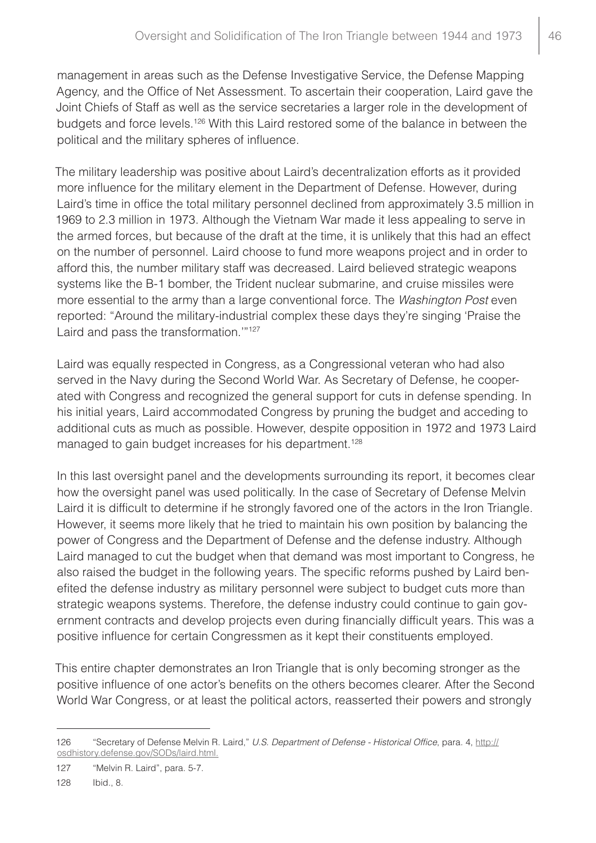management in areas such as the Defense Investigative Service, the Defense Mapping Agency, and the Office of Net Assessment. To ascertain their cooperation, Laird gave the Joint Chiefs of Staff as well as the service secretaries a larger role in the development of budgets and force levels.126 With this Laird restored some of the balance in between the political and the military spheres of influence.

The military leadership was positive about Laird's decentralization efforts as it provided more influence for the military element in the Department of Defense. However, during Laird's time in office the total military personnel declined from approximately 3.5 million in 1969 to 2.3 million in 1973. Although the Vietnam War made it less appealing to serve in the armed forces, but because of the draft at the time, it is unlikely that this had an effect on the number of personnel. Laird choose to fund more weapons project and in order to afford this, the number military staff was decreased. Laird believed strategic weapons systems like the B-1 bomber, the Trident nuclear submarine, and cruise missiles were more essential to the army than a large conventional force. The *Washington Post* even reported: "Around the military-industrial complex these days they're singing 'Praise the Laird and pass the transformation.'"127

Laird was equally respected in Congress, as a Congressional veteran who had also served in the Navy during the Second World War. As Secretary of Defense, he cooperated with Congress and recognized the general support for cuts in defense spending. In his initial years, Laird accommodated Congress by pruning the budget and acceding to additional cuts as much as possible. However, despite opposition in 1972 and 1973 Laird managed to gain budget increases for his department.<sup>128</sup>

In this last oversight panel and the developments surrounding its report, it becomes clear how the oversight panel was used politically. In the case of Secretary of Defense Melvin Laird it is difficult to determine if he strongly favored one of the actors in the Iron Triangle. However, it seems more likely that he tried to maintain his own position by balancing the power of Congress and the Department of Defense and the defense industry. Although Laird managed to cut the budget when that demand was most important to Congress, he also raised the budget in the following years. The specific reforms pushed by Laird benefited the defense industry as military personnel were subject to budget cuts more than strategic weapons systems. Therefore, the defense industry could continue to gain government contracts and develop projects even during financially difficult years. This was a positive influence for certain Congressmen as it kept their constituents employed.

This entire chapter demonstrates an Iron Triangle that is only becoming stronger as the positive influence of one actor's benefits on the others becomes clearer. After the Second World War Congress, or at least the political actors, reasserted their powers and strongly

<sup>126</sup> "Secretary of Defense Melvin R. Laird," *U.S. Department of Defense - Historical Office*, para. 4, http:// osdhistory.defense.gov/SODs/laird.html.

<sup>127</sup> "Melvin R. Laird", para. 5-7.

<sup>128</sup> Ibid., 8.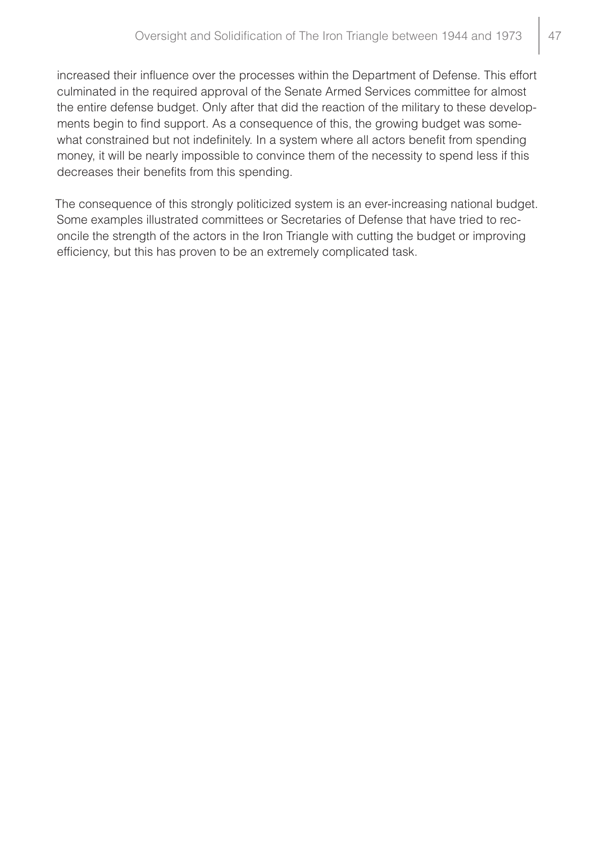increased their influence over the processes within the Department of Defense. This effort culminated in the required approval of the Senate Armed Services committee for almost the entire defense budget. Only after that did the reaction of the military to these developments begin to find support. As a consequence of this, the growing budget was somewhat constrained but not indefinitely. In a system where all actors benefit from spending money, it will be nearly impossible to convince them of the necessity to spend less if this decreases their benefits from this spending.

The consequence of this strongly politicized system is an ever-increasing national budget. Some examples illustrated committees or Secretaries of Defense that have tried to reconcile the strength of the actors in the Iron Triangle with cutting the budget or improving efficiency, but this has proven to be an extremely complicated task.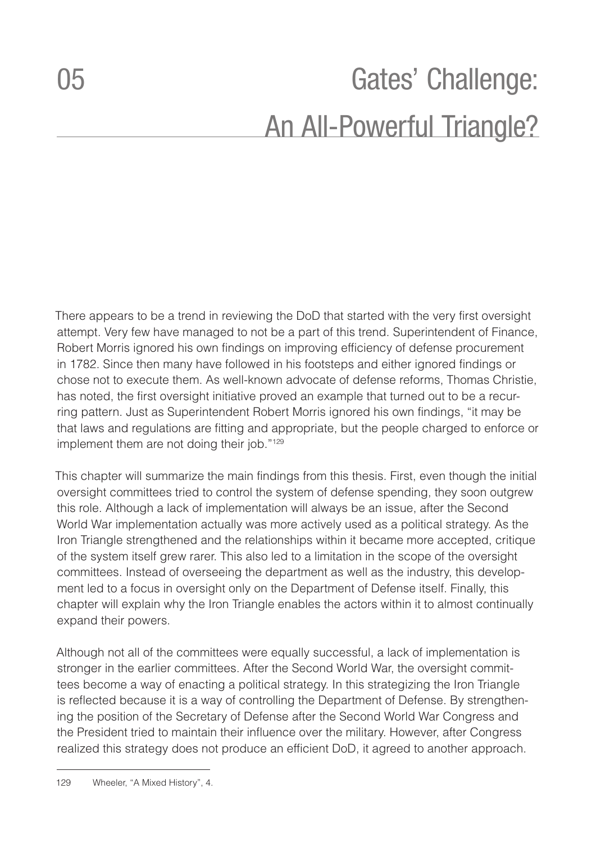## <span id="page-48-0"></span>05 **Gates' Challenge:** An All-Powerful Triangle?

There appears to be a trend in reviewing the DoD that started with the very first oversight attempt. Very few have managed to not be a part of this trend. Superintendent of Finance, Robert Morris ignored his own findings on improving efficiency of defense procurement in 1782. Since then many have followed in his footsteps and either ignored findings or chose not to execute them. As well-known advocate of defense reforms, Thomas Christie, has noted, the first oversight initiative proved an example that turned out to be a recurring pattern. Just as Superintendent Robert Morris ignored his own findings, "it may be that laws and regulations are fitting and appropriate, but the people charged to enforce or implement them are not doing their job."<sup>129</sup>

This chapter will summarize the main findings from this thesis. First, even though the initial oversight committees tried to control the system of defense spending, they soon outgrew this role. Although a lack of implementation will always be an issue, after the Second World War implementation actually was more actively used as a political strategy. As the Iron Triangle strengthened and the relationships within it became more accepted, critique of the system itself grew rarer. This also led to a limitation in the scope of the oversight committees. Instead of overseeing the department as well as the industry, this development led to a focus in oversight only on the Department of Defense itself. Finally, this chapter will explain why the Iron Triangle enables the actors within it to almost continually expand their powers.

Although not all of the committees were equally successful, a lack of implementation is stronger in the earlier committees. After the Second World War, the oversight committees become a way of enacting a political strategy. In this strategizing the Iron Triangle is reflected because it is a way of controlling the Department of Defense. By strengthening the position of the Secretary of Defense after the Second World War Congress and the President tried to maintain their influence over the military. However, after Congress realized this strategy does not produce an efficient DoD, it agreed to another approach.

<sup>129</sup> Wheeler, "A Mixed History", 4.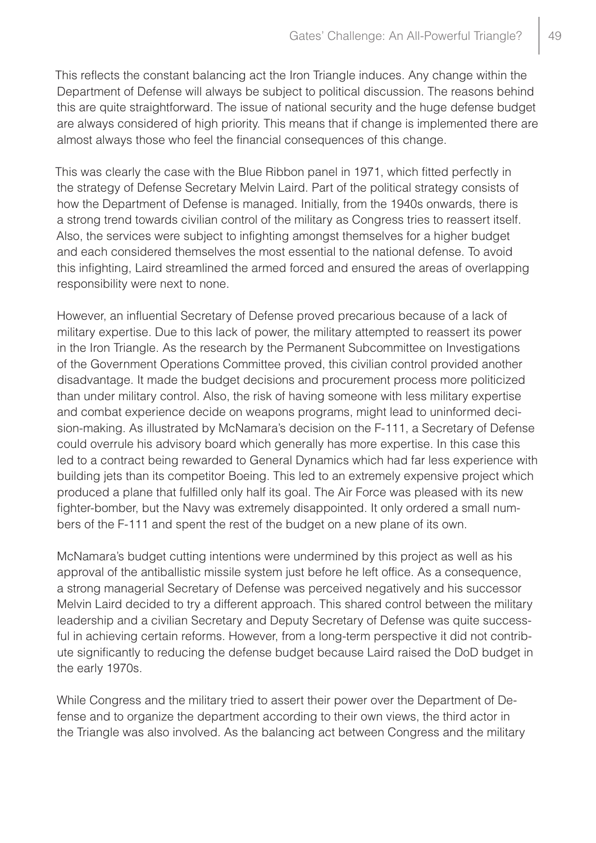This reflects the constant balancing act the Iron Triangle induces. Any change within the Department of Defense will always be subject to political discussion. The reasons behind this are quite straightforward. The issue of national security and the huge defense budget are always considered of high priority. This means that if change is implemented there are almost always those who feel the financial consequences of this change.

This was clearly the case with the Blue Ribbon panel in 1971, which fitted perfectly in the strategy of Defense Secretary Melvin Laird. Part of the political strategy consists of how the Department of Defense is managed. Initially, from the 1940s onwards, there is a strong trend towards civilian control of the military as Congress tries to reassert itself. Also, the services were subject to infighting amongst themselves for a higher budget and each considered themselves the most essential to the national defense. To avoid this infighting, Laird streamlined the armed forced and ensured the areas of overlapping responsibility were next to none.

However, an influential Secretary of Defense proved precarious because of a lack of military expertise. Due to this lack of power, the military attempted to reassert its power in the Iron Triangle. As the research by the Permanent Subcommittee on Investigations of the Government Operations Committee proved, this civilian control provided another disadvantage. It made the budget decisions and procurement process more politicized than under military control. Also, the risk of having someone with less military expertise and combat experience decide on weapons programs, might lead to uninformed decision-making. As illustrated by McNamara's decision on the F-111, a Secretary of Defense could overrule his advisory board which generally has more expertise. In this case this led to a contract being rewarded to General Dynamics which had far less experience with building jets than its competitor Boeing. This led to an extremely expensive project which produced a plane that fulfilled only half its goal. The Air Force was pleased with its new fighter-bomber, but the Navy was extremely disappointed. It only ordered a small numbers of the F-111 and spent the rest of the budget on a new plane of its own.

McNamara's budget cutting intentions were undermined by this project as well as his approval of the antiballistic missile system just before he left office. As a consequence, a strong managerial Secretary of Defense was perceived negatively and his successor Melvin Laird decided to try a different approach. This shared control between the military leadership and a civilian Secretary and Deputy Secretary of Defense was quite successful in achieving certain reforms. However, from a long-term perspective it did not contribute significantly to reducing the defense budget because Laird raised the DoD budget in the early 1970s.

While Congress and the military tried to assert their power over the Department of Defense and to organize the department according to their own views, the third actor in the Triangle was also involved. As the balancing act between Congress and the military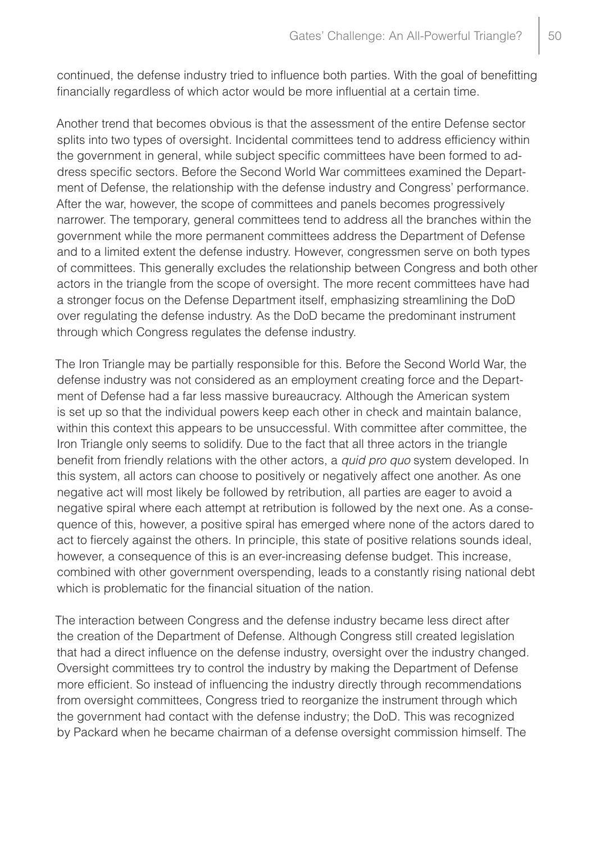continued, the defense industry tried to influence both parties. With the goal of benefitting financially regardless of which actor would be more influential at a certain time.

Another trend that becomes obvious is that the assessment of the entire Defense sector splits into two types of oversight. Incidental committees tend to address efficiency within the government in general, while subject specific committees have been formed to address specific sectors. Before the Second World War committees examined the Department of Defense, the relationship with the defense industry and Congress' performance. After the war, however, the scope of committees and panels becomes progressively narrower. The temporary, general committees tend to address all the branches within the government while the more permanent committees address the Department of Defense and to a limited extent the defense industry. However, congressmen serve on both types of committees. This generally excludes the relationship between Congress and both other actors in the triangle from the scope of oversight. The more recent committees have had a stronger focus on the Defense Department itself, emphasizing streamlining the DoD over regulating the defense industry. As the DoD became the predominant instrument through which Congress regulates the defense industry.

The Iron Triangle may be partially responsible for this. Before the Second World War, the defense industry was not considered as an employment creating force and the Department of Defense had a far less massive bureaucracy. Although the American system is set up so that the individual powers keep each other in check and maintain balance, within this context this appears to be unsuccessful. With committee after committee, the Iron Triangle only seems to solidify. Due to the fact that all three actors in the triangle benefit from friendly relations with the other actors, a *quid pro quo* system developed. In this system, all actors can choose to positively or negatively affect one another. As one negative act will most likely be followed by retribution, all parties are eager to avoid a negative spiral where each attempt at retribution is followed by the next one. As a consequence of this, however, a positive spiral has emerged where none of the actors dared to act to fiercely against the others. In principle, this state of positive relations sounds ideal, however, a consequence of this is an ever-increasing defense budget. This increase, combined with other government overspending, leads to a constantly rising national debt which is problematic for the financial situation of the nation.

The interaction between Congress and the defense industry became less direct after the creation of the Department of Defense. Although Congress still created legislation that had a direct influence on the defense industry, oversight over the industry changed. Oversight committees try to control the industry by making the Department of Defense more efficient. So instead of influencing the industry directly through recommendations from oversight committees, Congress tried to reorganize the instrument through which the government had contact with the defense industry; the DoD. This was recognized by Packard when he became chairman of a defense oversight commission himself. The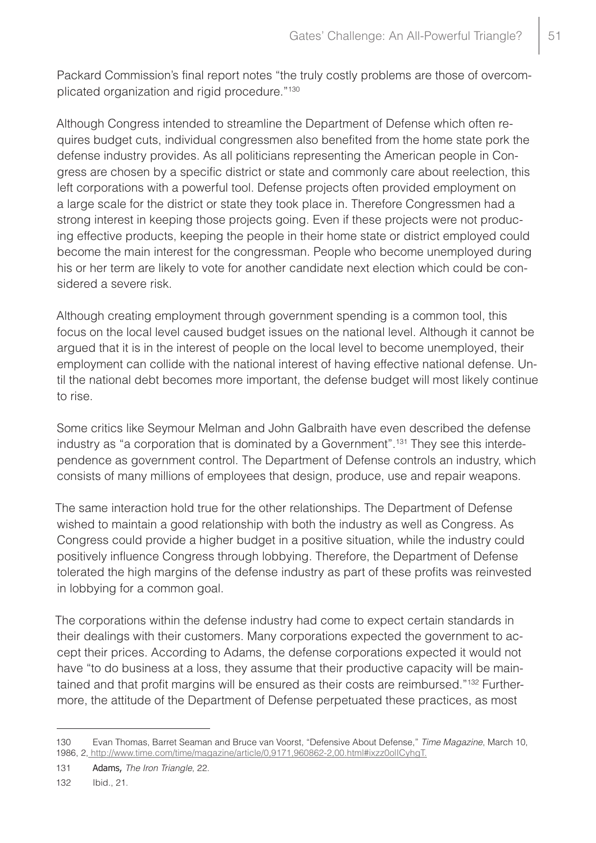Packard Commission's final report notes "the truly costly problems are those of overcomplicated organization and rigid procedure."130

Although Congress intended to streamline the Department of Defense which often requires budget cuts, individual congressmen also benefited from the home state pork the defense industry provides. As all politicians representing the American people in Congress are chosen by a specific district or state and commonly care about reelection, this left corporations with a powerful tool. Defense projects often provided employment on a large scale for the district or state they took place in. Therefore Congressmen had a strong interest in keeping those projects going. Even if these projects were not producing effective products, keeping the people in their home state or district employed could become the main interest for the congressman. People who become unemployed during his or her term are likely to vote for another candidate next election which could be considered a severe risk.

Although creating employment through government spending is a common tool, this focus on the local level caused budget issues on the national level. Although it cannot be argued that it is in the interest of people on the local level to become unemployed, their employment can collide with the national interest of having effective national defense. Until the national debt becomes more important, the defense budget will most likely continue to rise.

Some critics like Seymour Melman and John Galbraith have even described the defense industry as "a corporation that is dominated by a Government".<sup>131</sup> They see this interdependence as government control. The Department of Defense controls an industry, which consists of many millions of employees that design, produce, use and repair weapons.

The same interaction hold true for the other relationships. The Department of Defense wished to maintain a good relationship with both the industry as well as Congress. As Congress could provide a higher budget in a positive situation, while the industry could positively influence Congress through lobbying. Therefore, the Department of Defense tolerated the high margins of the defense industry as part of these profits was reinvested in lobbying for a common goal.

The corporations within the defense industry had come to expect certain standards in their dealings with their customers. Many corporations expected the government to accept their prices. According to Adams, the defense corporations expected it would not have "to do business at a loss, they assume that their productive capacity will be maintained and that profit margins will be ensured as their costs are reimbursed."<sup>132</sup> Furthermore, the attitude of the Department of Defense perpetuated these practices, as most

<sup>130</sup> Evan Thomas, Barret Seaman and Bruce van Voorst, "Defensive About Defense," *Time Magazine*, March 10, 1986, 2, http://www.time.com/time/magazine/article/0,9171,960862-2,00.html#ixzz0olICyhgT.

<sup>131</sup> Adams, *The Iron Triangle*, 22.

<sup>132</sup> Ibid., 21.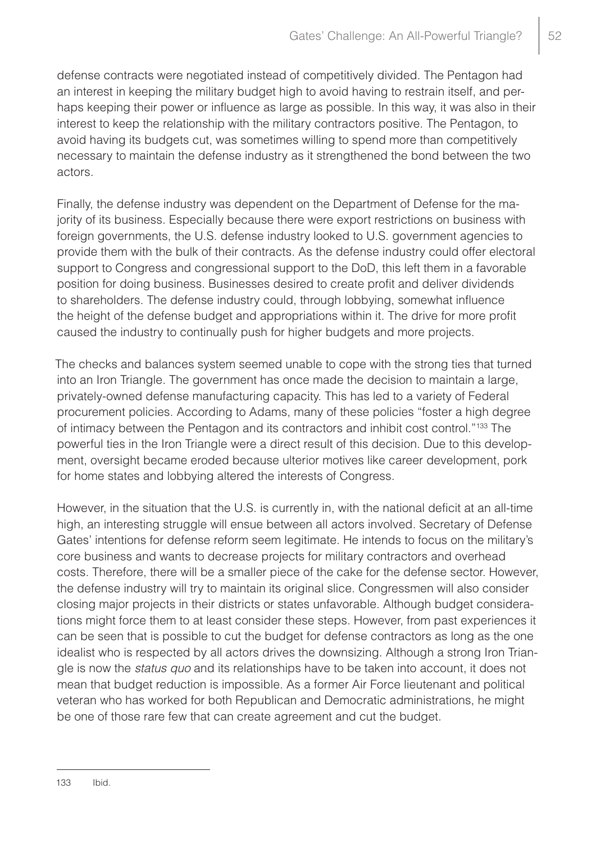defense contracts were negotiated instead of competitively divided. The Pentagon had an interest in keeping the military budget high to avoid having to restrain itself, and perhaps keeping their power or influence as large as possible. In this way, it was also in their interest to keep the relationship with the military contractors positive. The Pentagon, to avoid having its budgets cut, was sometimes willing to spend more than competitively necessary to maintain the defense industry as it strengthened the bond between the two actors.

Finally, the defense industry was dependent on the Department of Defense for the majority of its business. Especially because there were export restrictions on business with foreign governments, the U.S. defense industry looked to U.S. government agencies to provide them with the bulk of their contracts. As the defense industry could offer electoral support to Congress and congressional support to the DoD, this left them in a favorable position for doing business. Businesses desired to create profit and deliver dividends to shareholders. The defense industry could, through lobbying, somewhat influence the height of the defense budget and appropriations within it. The drive for more profit caused the industry to continually push for higher budgets and more projects.

The checks and balances system seemed unable to cope with the strong ties that turned into an Iron Triangle. The government has once made the decision to maintain a large, privately-owned defense manufacturing capacity. This has led to a variety of Federal procurement policies. According to Adams, many of these policies "foster a high degree of intimacy between the Pentagon and its contractors and inhibit cost control."<sup>133</sup> The powerful ties in the Iron Triangle were a direct result of this decision. Due to this development, oversight became eroded because ulterior motives like career development, pork for home states and lobbying altered the interests of Congress.

However, in the situation that the U.S. is currently in, with the national deficit at an all-time high, an interesting struggle will ensue between all actors involved. Secretary of Defense Gates' intentions for defense reform seem legitimate. He intends to focus on the military's core business and wants to decrease projects for military contractors and overhead costs. Therefore, there will be a smaller piece of the cake for the defense sector. However, the defense industry will try to maintain its original slice. Congressmen will also consider closing major projects in their districts or states unfavorable. Although budget considerations might force them to at least consider these steps. However, from past experiences it can be seen that is possible to cut the budget for defense contractors as long as the one idealist who is respected by all actors drives the downsizing. Although a strong Iron Triangle is now the *status quo* and its relationships have to be taken into account, it does not mean that budget reduction is impossible. As a former Air Force lieutenant and political veteran who has worked for both Republican and Democratic administrations, he might be one of those rare few that can create agreement and cut the budget.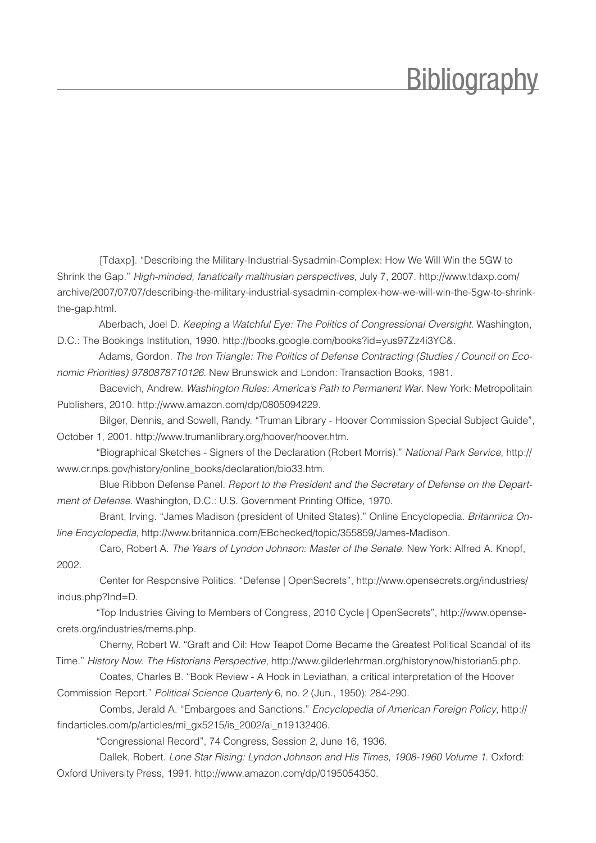#### **Bibliography**

<span id="page-53-0"></span>[Tdaxp]. "Describing the Military-Industrial-Sysadmin-Complex: How We Will Win the 5GW to Shrink the Gap." *High-minded, fanatically malthusian perspectives*, July 7, 2007. http://www.tdaxp.com/ archive/2007/07/07/describing-the-military-industrial-sysadmin-complex-how-we-will-win-the-5gw-to-shrinkthe-gap.html.

Aberbach, Joel D. *Keeping a Watchful Eye: The Politics of Congressional Oversight*. Washington, D.C.: The Bookings Institution, 1990. http://books.google.com/books?id=yus97Zz4i3YC&.

Adams, Gordon. *The Iron Triangle: The Politics of Defense Contracting (Studies / Council on Economic Priorities) 9780878710126*. New Brunswick and London: Transaction Books, 1981.

Bacevich, Andrew. *Washington Rules: America's Path to Permanent War*. New York: Metropolitain Publishers, 2010. http://www.amazon.com/dp/0805094229.

Bilger, Dennis, and Sowell, Randy. "Truman Library - Hoover Commission Special Subject Guide", October 1, 2001. http://www.trumanlibrary.org/hoover/hoover.htm.

"Biographical Sketches - Signers of the Declaration (Robert Morris)." *National Park Service*, http:// www.cr.nps.gov/history/online\_books/declaration/bio33.htm.

Blue Ribbon Defense Panel. *Report to the President and the Secretary of Defense on the Department of Defense*. Washington, D.C.: U.S. Government Printing Office, 1970.

Brant, Irving. "James Madison (president of United States)." Online Encyclopedia. *Britannica Online Encyclopedia*, http://www.britannica.com/EBchecked/topic/355859/James-Madison.

Caro, Robert A. *The Years of Lyndon Johnson: Master of the Senate*. New York: Alfred A. Knopf, 2002.

Center for Responsive Politics. "Defense | OpenSecrets", http://www.opensecrets.org/industries/ indus.php?Ind=D.

"Top Industries Giving to Members of Congress, 2010 Cycle | OpenSecrets", http://www.opensecrets.org/industries/mems.php.

Cherny, Robert W. "Graft and Oil: How Teapot Dome Became the Greatest Political Scandal of its Time." *History Now. The Historians Perspective*, http://www.gilderlehrman.org/historynow/historian5.php.

Coates, Charles B. "Book Review - A Hook in Leviathan, a critical interpretation of the Hoover Commission Report." *Political Science Quarterly* 6, no. 2 (Jun., 1950): 284-290.

Combs, Jerald A. "Embargoes and Sanctions." *Encyclopedia of American Foreign Policy*, http:// findarticles.com/p/articles/mi\_gx5215/is\_2002/ai\_n19132406.

"Congressional Record", 74 Congress, Session 2, June 16, 1936.

Dallek, Robert. *Lone Star Rising: Lyndon Johnson and His Times, 1908-1960 Volume 1*. Oxford: Oxford University Press, 1991. http://www.amazon.com/dp/0195054350.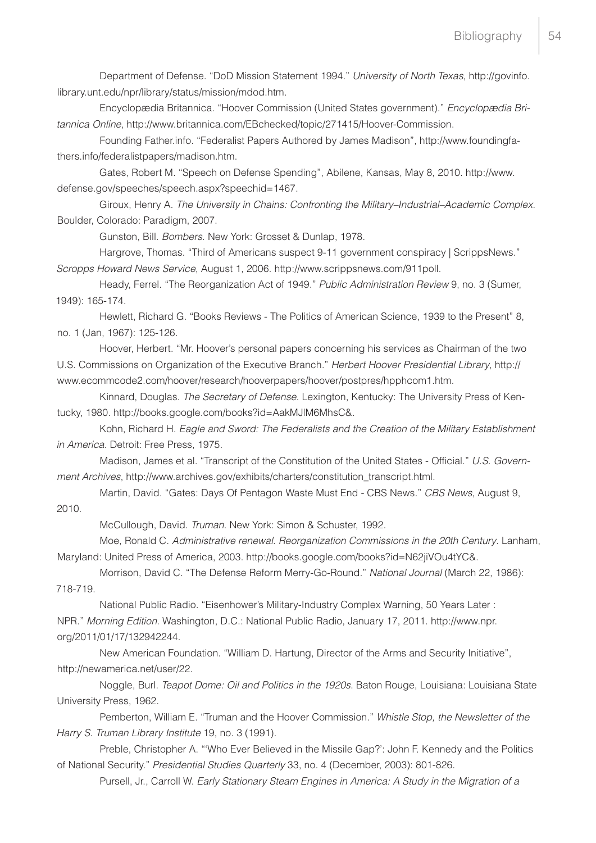Department of Defense. "DoD Mission Statement 1994." *University of North Texas*, http://govinfo. library.unt.edu/npr/library/status/mission/mdod.htm.

Encyclopædia Britannica. "Hoover Commission (United States government)." *Encyclopædia Britannica Online*, http://www.britannica.com/EBchecked/topic/271415/Hoover-Commission.

Founding Father.info. "Federalist Papers Authored by James Madison", http://www.foundingfathers.info/federalistpapers/madison.htm.

Gates, Robert M. "Speech on Defense Spending", Abilene, Kansas, May 8, 2010. http://www. defense.gov/speeches/speech.aspx?speechid=1467.

Giroux, Henry A. *The University in Chains: Confronting the Military–Industrial–Academic Complex*. Boulder, Colorado: Paradigm, 2007.

Gunston, Bill. *Bombers*. New York: Grosset & Dunlap, 1978.

Hargrove, Thomas. "Third of Americans suspect 9-11 government conspiracy | ScrippsNews." *Scropps Howard News Service*, August 1, 2006. http://www.scrippsnews.com/911poll.

Heady, Ferrel. "The Reorganization Act of 1949." *Public Administration Review* 9, no. 3 (Sumer,

1949): 165-174.

Hewlett, Richard G. "Books Reviews - The Politics of American Science, 1939 to the Present" 8, no. 1 (Jan, 1967): 125-126.

Hoover, Herbert. "Mr. Hoover's personal papers concerning his services as Chairman of the two U.S. Commissions on Organization of the Executive Branch." *Herbert Hoover Presidential Library*, http:// www.ecommcode2.com/hoover/research/hooverpapers/hoover/postpres/hpphcom1.htm.

Kinnard, Douglas. *The Secretary of Defense*. Lexington, Kentucky: The University Press of Kentucky, 1980. http://books.google.com/books?id=AakMJlM6MhsC&.

Kohn, Richard H. *Eagle and Sword: The Federalists and the Creation of the Military Establishment in America*. Detroit: Free Press, 1975.

Madison, James et al. "Transcript of the Constitution of the United States - Official." *U.S. Government Archives*, http://www.archives.gov/exhibits/charters/constitution\_transcript.html.

Martin, David. "Gates: Days Of Pentagon Waste Must End - CBS News." *CBS News*, August 9, 2010.

McCullough, David. *Truman*. New York: Simon & Schuster, 1992.

Moe, Ronald C. *Administrative renewal. Reorganization Commissions in the 20th Century*. Lanham, Maryland: United Press of America, 2003. http://books.google.com/books?id=N62jiVOu4tYC&.

Morrison, David C. "The Defense Reform Merry-Go-Round." *National Journal* (March 22, 1986):

718-719.

National Public Radio. "Eisenhower's Military-Industry Complex Warning, 50 Years Later : NPR." *Morning Edition*. Washington, D.C.: National Public Radio, January 17, 2011. http://www.npr. org/2011/01/17/132942244.

New American Foundation. "William D. Hartung, Director of the Arms and Security Initiative", http://newamerica.net/user/22.

Noggle, Burl. *Teapot Dome: Oil and Politics in the 1920s*. Baton Rouge, Louisiana: Louisiana State University Press, 1962.

Pemberton, William E. "Truman and the Hoover Commission." *Whistle Stop, the Newsletter of the Harry S. Truman Library Institute* 19, no. 3 (1991).

Preble, Christopher A. "'Who Ever Believed in the Missile Gap?': John F. Kennedy and the Politics of National Security." *Presidential Studies Quarterly* 33, no. 4 (December, 2003): 801-826.

Pursell, Jr., Carroll W. *Early Stationary Steam Engines in America: A Study in the Migration of a*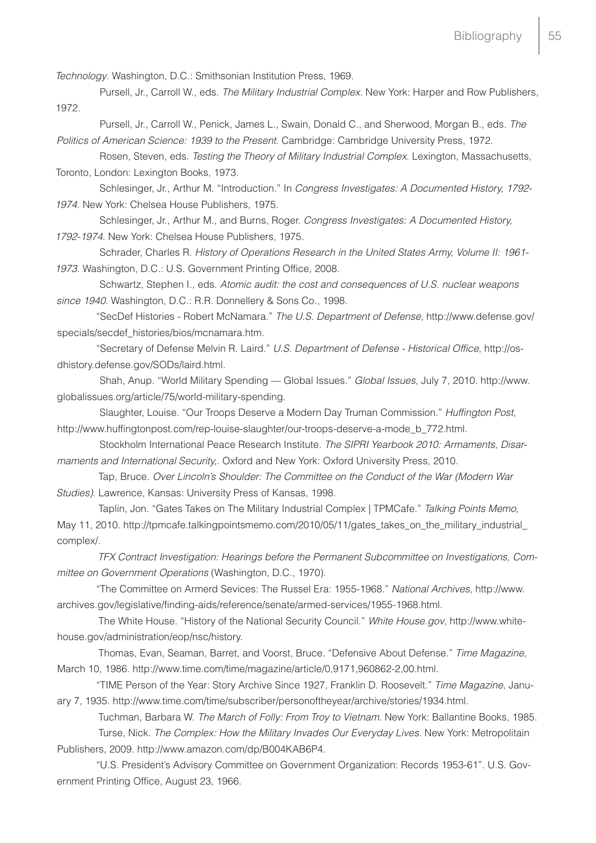*Technology*. Washington, D.C.: Smithsonian Institution Press, 1969.

Pursell, Jr., Carroll W., eds. *The Military Industrial Complex*. New York: Harper and Row Publishers, 1972.

Pursell, Jr., Carroll W., Penick, James L., Swain, Donald C., and Sherwood, Morgan B., eds. *The Politics of American Science: 1939 to the Present*. Cambridge: Cambridge University Press, 1972.

Rosen, Steven, eds. *Testing the Theory of Military Industrial Complex*. Lexington, Massachusetts, Toronto, London: Lexington Books, 1973.

Schlesinger, Jr., Arthur M. "Introduction." In *Congress Investigates: A Documented History, 1792- 1974*. New York: Chelsea House Publishers, 1975.

Schlesinger, Jr., Arthur M., and Burns, Roger. *Congress Investigates: A Documented History, 1792-1974*. New York: Chelsea House Publishers, 1975.

Schrader, Charles R. *History of Operations Research in the United States Army, Volume II: 1961- 1973*. Washington, D.C.: U.S. Government Printing Office, 2008.

Schwartz, Stephen I., eds. *Atomic audit: the cost and consequences of U.S. nuclear weapons since 1940*. Washington, D.C.: R.R. Donnellery & Sons Co., 1998.

"SecDef Histories - Robert McNamara." *The U.S. Department of Defense,* http://www.defense.gov/ specials/secdef\_histories/bios/mcnamara.htm.

"Secretary of Defense Melvin R. Laird." *U.S. Department of Defense - Historical Office*, http://osdhistory.defense.gov/SODs/laird.html.

Shah, Anup. "World Military Spending — Global Issues." *Global Issues*, July 7, 2010. http://www. globalissues.org/article/75/world-military-spending.

Slaughter, Louise. "Our Troops Deserve a Modern Day Truman Commission." *Huffington Post*, http://www.huffingtonpost.com/rep-louise-slaughter/our-troops-deserve-a-mode\_b\_772.html.

Stockholm International Peace Research Institute. *The SIPRI Yearbook 2010: Armaments, Disarmaments and International Security,*. Oxford and New York: Oxford University Press, 2010.

Tap, Bruce. *Over Lincoln's Shoulder: The Committee on the Conduct of the War (Modern War Studies)*. Lawrence, Kansas: University Press of Kansas, 1998.

Taplin, Jon. "Gates Takes on The Military Industrial Complex | TPMCafe." *Talking Points Memo*, May 11, 2010. http://tpmcafe.talkingpointsmemo.com/2010/05/11/gates\_takes\_on\_the\_military\_industrial\_ complex/.

*TFX Contract Investigation: Hearings before the Permanent Subcommittee on Investigations, Committee on Government Operations* (Washington, D.C., 1970).

"The Committee on Armerd Sevices: The Russel Era: 1955-1968." *National Archives*, http://www. archives.gov/legislative/finding-aids/reference/senate/armed-services/1955-1968.html.

The White House. "History of the National Security Council." *White House.gov*, http://www.whitehouse.gov/administration/eop/nsc/history.

Thomas, Evan, Seaman, Barret, and Voorst, Bruce. "Defensive About Defense." *Time Magazine*, March 10, 1986. http://www.time.com/time/magazine/article/0,9171,960862-2,00.html.

"TIME Person of the Year: Story Archive Since 1927, Franklin D. Roosevelt." *Time Magazine*, January 7, 1935. http://www.time.com/time/subscriber/personoftheyear/archive/stories/1934.html.

Tuchman, Barbara W. *The March of Folly: From Troy to Vietnam*. New York: Ballantine Books, 1985. Turse, Nick. *The Complex: How the Military Invades Our Everyday Lives*. New York: Metropolitain Publishers, 2009. http://www.amazon.com/dp/B004KAB6P4.

"U.S. President's Advisory Committee on Government Organization: Records 1953-61". U.S. Government Printing Office, August 23, 1966.